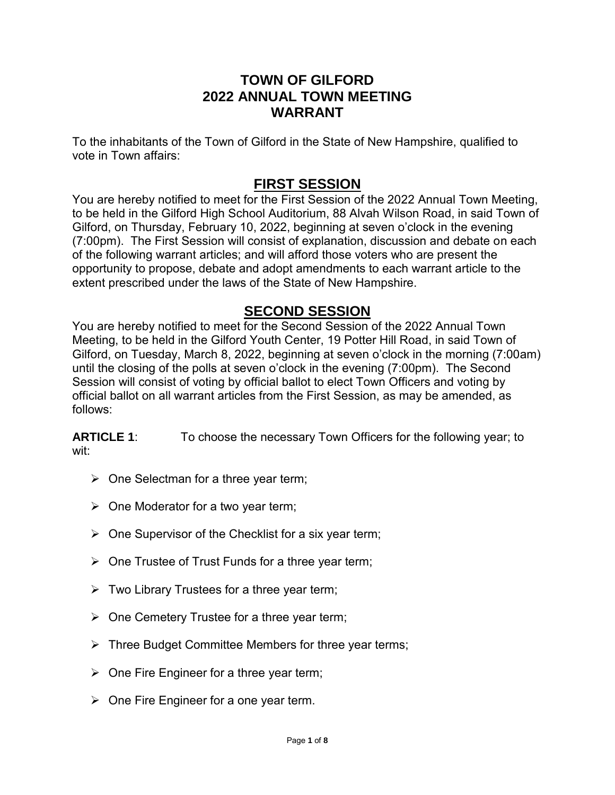### **TOWN OF GILFORD 2022 ANNUAL TOWN MEETING WARRANT**

To the inhabitants of the Town of Gilford in the State of New Hampshire, qualified to vote in Town affairs:

# **FIRST SESSION**

You are hereby notified to meet for the First Session of the 2022 Annual Town Meeting, to be held in the Gilford High School Auditorium, 88 Alvah Wilson Road, in said Town of Gilford, on Thursday, February 10, 2022, beginning at seven o'clock in the evening (7:00pm). The First Session will consist of explanation, discussion and debate on each of the following warrant articles; and will afford those voters who are present the opportunity to propose, debate and adopt amendments to each warrant article to the extent prescribed under the laws of the State of New Hampshire.

## **SECOND SESSION**

You are hereby notified to meet for the Second Session of the 2022 Annual Town Meeting, to be held in the Gilford Youth Center, 19 Potter Hill Road, in said Town of Gilford, on Tuesday, March 8, 2022, beginning at seven o'clock in the morning (7:00am) until the closing of the polls at seven o'clock in the evening (7:00pm). The Second Session will consist of voting by official ballot to elect Town Officers and voting by official ballot on all warrant articles from the First Session, as may be amended, as follows:

**ARTICLE 1:** To choose the necessary Town Officers for the following year; to wit:

- $\triangleright$  One Selectman for a three year term;
- $\triangleright$  One Moderator for a two year term;
- $\triangleright$  One Supervisor of the Checklist for a six year term;
- $\triangleright$  One Trustee of Trust Funds for a three year term;
- $\triangleright$  Two Library Trustees for a three year term;
- $\triangleright$  One Cemetery Trustee for a three year term;
- $\triangleright$  Three Budget Committee Members for three year terms;
- $\triangleright$  One Fire Engineer for a three year term;
- $\triangleright$  One Fire Engineer for a one year term.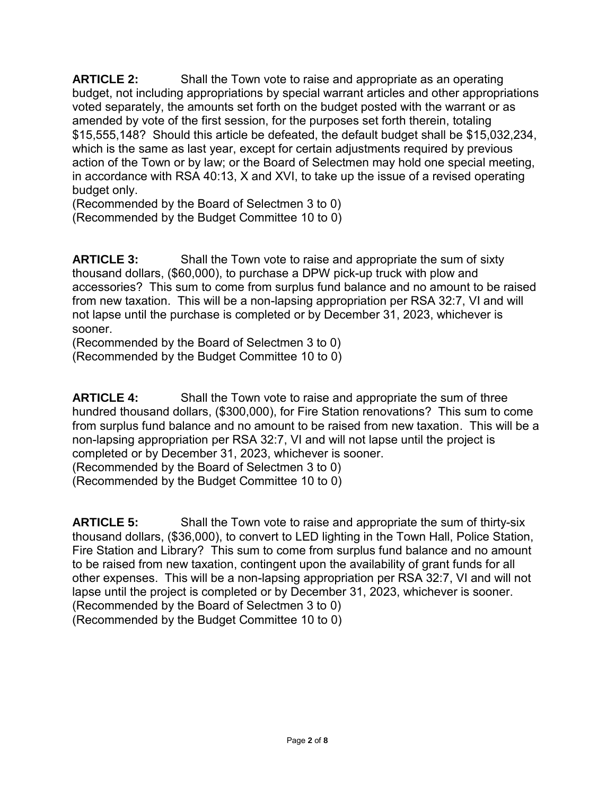**ARTICLE 2:** Shall the Town vote to raise and appropriate as an operating budget, not including appropriations by special warrant articles and other appropriations voted separately, the amounts set forth on the budget posted with the warrant or as amended by vote of the first session, for the purposes set forth therein, totaling \$15,555,148? Should this article be defeated, the default budget shall be \$15,032,234, which is the same as last year, except for certain adjustments required by previous action of the Town or by law; or the Board of Selectmen may hold one special meeting, in accordance with RSA 40:13, X and XVI, to take up the issue of a revised operating budget only.

(Recommended by the Board of Selectmen 3 to 0) (Recommended by the Budget Committee 10 to 0)

**ARTICLE 3:** Shall the Town vote to raise and appropriate the sum of sixty thousand dollars, (\$60,000), to purchase a DPW pick-up truck with plow and accessories? This sum to come from surplus fund balance and no amount to be raised from new taxation. This will be a non-lapsing appropriation per RSA 32:7, VI and will not lapse until the purchase is completed or by December 31, 2023, whichever is sooner.

(Recommended by the Board of Selectmen 3 to 0) (Recommended by the Budget Committee 10 to 0)

**ARTICLE 4:** Shall the Town vote to raise and appropriate the sum of three hundred thousand dollars, (\$300,000), for Fire Station renovations? This sum to come from surplus fund balance and no amount to be raised from new taxation. This will be a non-lapsing appropriation per RSA 32:7, VI and will not lapse until the project is completed or by December 31, 2023, whichever is sooner.

(Recommended by the Board of Selectmen 3 to 0)

(Recommended by the Budget Committee 10 to 0)

**ARTICLE 5:** Shall the Town vote to raise and appropriate the sum of thirty-six thousand dollars, (\$36,000), to convert to LED lighting in the Town Hall, Police Station, Fire Station and Library? This sum to come from surplus fund balance and no amount to be raised from new taxation, contingent upon the availability of grant funds for all other expenses. This will be a non-lapsing appropriation per RSA 32:7, VI and will not lapse until the project is completed or by December 31, 2023, whichever is sooner. (Recommended by the Board of Selectmen 3 to 0) (Recommended by the Budget Committee 10 to 0)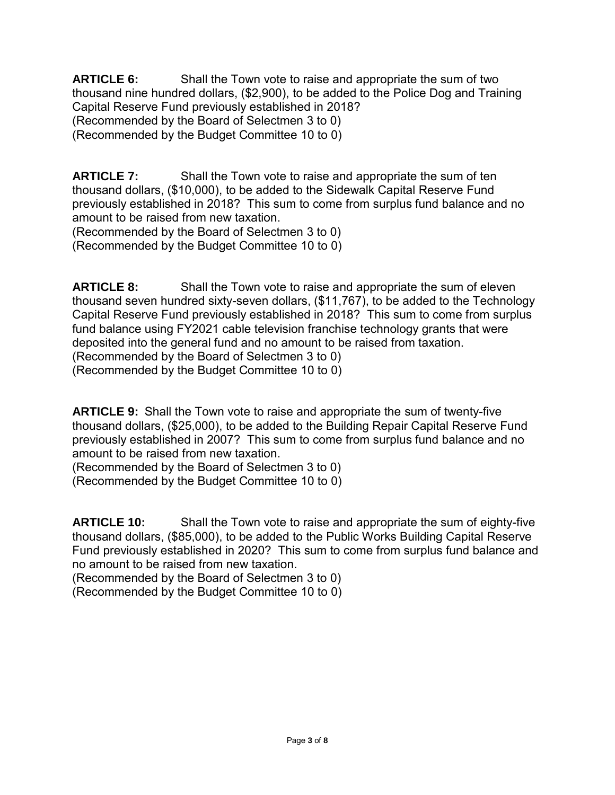**ARTICLE 6:** Shall the Town vote to raise and appropriate the sum of two thousand nine hundred dollars, (\$2,900), to be added to the Police Dog and Training Capital Reserve Fund previously established in 2018? (Recommended by the Board of Selectmen 3 to 0) (Recommended by the Budget Committee 10 to 0)

**ARTICLE 7:** Shall the Town vote to raise and appropriate the sum of ten thousand dollars, (\$10,000), to be added to the Sidewalk Capital Reserve Fund previously established in 2018? This sum to come from surplus fund balance and no amount to be raised from new taxation.

(Recommended by the Board of Selectmen 3 to 0) (Recommended by the Budget Committee 10 to 0)

**ARTICLE 8:** Shall the Town vote to raise and appropriate the sum of eleven thousand seven hundred sixty-seven dollars, (\$11,767), to be added to the Technology Capital Reserve Fund previously established in 2018? This sum to come from surplus fund balance using FY2021 cable television franchise technology grants that were deposited into the general fund and no amount to be raised from taxation. (Recommended by the Board of Selectmen 3 to 0) (Recommended by the Budget Committee 10 to 0)

**ARTICLE 9:** Shall the Town vote to raise and appropriate the sum of twenty-five thousand dollars, (\$25,000), to be added to the Building Repair Capital Reserve Fund previously established in 2007? This sum to come from surplus fund balance and no amount to be raised from new taxation.

(Recommended by the Board of Selectmen 3 to 0)

(Recommended by the Budget Committee 10 to 0)

**ARTICLE 10:** Shall the Town vote to raise and appropriate the sum of eighty-five thousand dollars, (\$85,000), to be added to the Public Works Building Capital Reserve Fund previously established in 2020? This sum to come from surplus fund balance and no amount to be raised from new taxation.

(Recommended by the Board of Selectmen 3 to 0) (Recommended by the Budget Committee 10 to 0)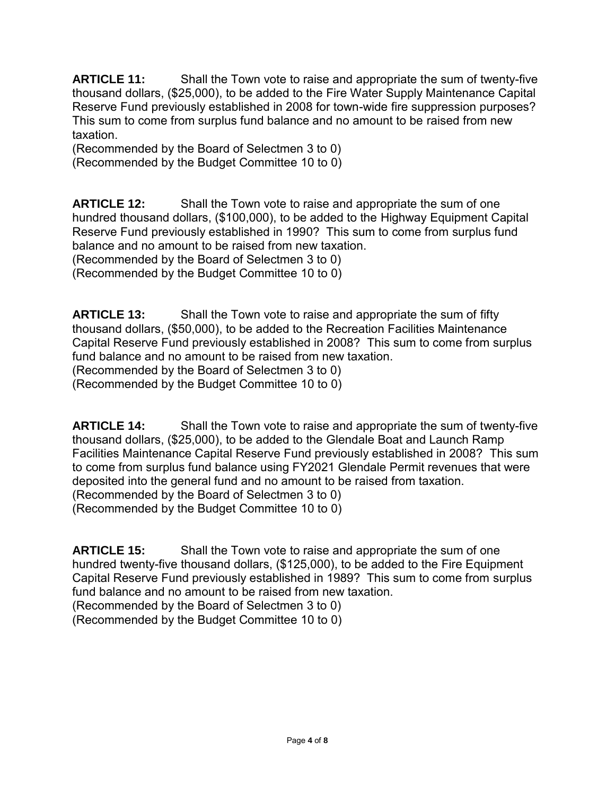**ARTICLE 11:** Shall the Town vote to raise and appropriate the sum of twenty-five thousand dollars, (\$25,000), to be added to the Fire Water Supply Maintenance Capital Reserve Fund previously established in 2008 for town-wide fire suppression purposes? This sum to come from surplus fund balance and no amount to be raised from new taxation.

(Recommended by the Board of Selectmen 3 to 0) (Recommended by the Budget Committee 10 to 0)

**ARTICLE 12:** Shall the Town vote to raise and appropriate the sum of one hundred thousand dollars, (\$100,000), to be added to the Highway Equipment Capital Reserve Fund previously established in 1990? This sum to come from surplus fund balance and no amount to be raised from new taxation. (Recommended by the Board of Selectmen 3 to 0) (Recommended by the Budget Committee 10 to 0)

**ARTICLE 13:** Shall the Town vote to raise and appropriate the sum of fifty thousand dollars, (\$50,000), to be added to the Recreation Facilities Maintenance Capital Reserve Fund previously established in 2008? This sum to come from surplus fund balance and no amount to be raised from new taxation. (Recommended by the Board of Selectmen 3 to 0)

(Recommended by the Budget Committee 10 to 0)

**ARTICLE 14:** Shall the Town vote to raise and appropriate the sum of twenty-five thousand dollars, (\$25,000), to be added to the Glendale Boat and Launch Ramp Facilities Maintenance Capital Reserve Fund previously established in 2008? This sum to come from surplus fund balance using FY2021 Glendale Permit revenues that were deposited into the general fund and no amount to be raised from taxation. (Recommended by the Board of Selectmen 3 to 0) (Recommended by the Budget Committee 10 to 0)

**ARTICLE 15:** Shall the Town vote to raise and appropriate the sum of one hundred twenty-five thousand dollars, (\$125,000), to be added to the Fire Equipment Capital Reserve Fund previously established in 1989? This sum to come from surplus fund balance and no amount to be raised from new taxation.

(Recommended by the Board of Selectmen 3 to 0)

(Recommended by the Budget Committee 10 to 0)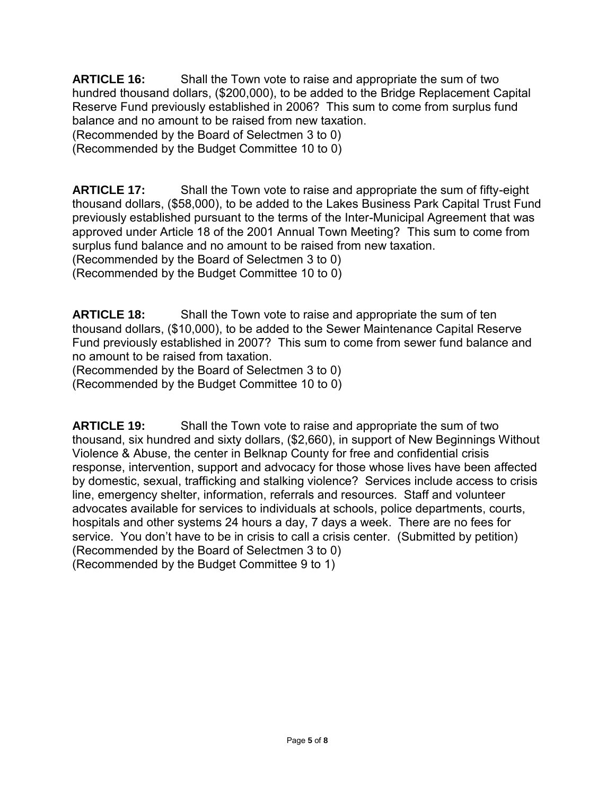**ARTICLE 16:** Shall the Town vote to raise and appropriate the sum of two hundred thousand dollars, (\$200,000), to be added to the Bridge Replacement Capital Reserve Fund previously established in 2006? This sum to come from surplus fund balance and no amount to be raised from new taxation.

(Recommended by the Board of Selectmen 3 to 0)

(Recommended by the Budget Committee 10 to 0)

**ARTICLE 17:** Shall the Town vote to raise and appropriate the sum of fifty-eight thousand dollars, (\$58,000), to be added to the Lakes Business Park Capital Trust Fund previously established pursuant to the terms of the Inter-Municipal Agreement that was approved under Article 18 of the 2001 Annual Town Meeting? This sum to come from surplus fund balance and no amount to be raised from new taxation. (Recommended by the Board of Selectmen 3 to 0)

(Recommended by the Budget Committee 10 to 0)

**ARTICLE 18:** Shall the Town vote to raise and appropriate the sum of ten thousand dollars, (\$10,000), to be added to the Sewer Maintenance Capital Reserve Fund previously established in 2007? This sum to come from sewer fund balance and no amount to be raised from taxation.

(Recommended by the Board of Selectmen 3 to 0)

(Recommended by the Budget Committee 10 to 0)

**ARTICLE 19:** Shall the Town vote to raise and appropriate the sum of two thousand, six hundred and sixty dollars, (\$2,660), in support of New Beginnings Without Violence & Abuse, the center in Belknap County for free and confidential crisis response, intervention, support and advocacy for those whose lives have been affected by domestic, sexual, trafficking and stalking violence? Services include access to crisis line, emergency shelter, information, referrals and resources. Staff and volunteer advocates available for services to individuals at schools, police departments, courts, hospitals and other systems 24 hours a day, 7 days a week. There are no fees for service. You don't have to be in crisis to call a crisis center. (Submitted by petition) (Recommended by the Board of Selectmen 3 to 0) (Recommended by the Budget Committee 9 to 1)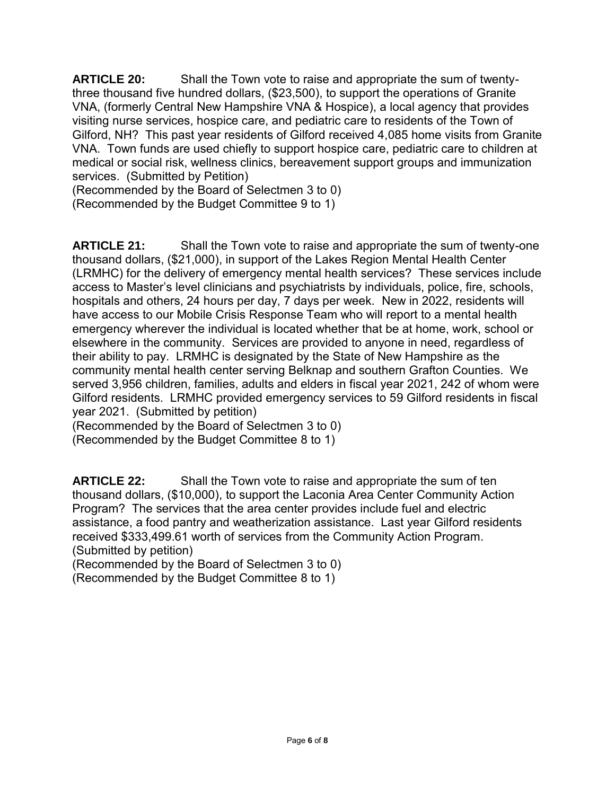**ARTICLE 20:** Shall the Town vote to raise and appropriate the sum of twentythree thousand five hundred dollars, (\$23,500), to support the operations of Granite VNA, (formerly Central New Hampshire VNA & Hospice), a local agency that provides visiting nurse services, hospice care, and pediatric care to residents of the Town of Gilford, NH? This past year residents of Gilford received 4,085 home visits from Granite VNA. Town funds are used chiefly to support hospice care, pediatric care to children at medical or social risk, wellness clinics, bereavement support groups and immunization services. (Submitted by Petition)

(Recommended by the Board of Selectmen 3 to 0)

(Recommended by the Budget Committee 9 to 1)

**ARTICLE 21:** Shall the Town vote to raise and appropriate the sum of twenty-one thousand dollars, (\$21,000), in support of the Lakes Region Mental Health Center (LRMHC) for the delivery of emergency mental health services? These services include access to Master's level clinicians and psychiatrists by individuals, police, fire, schools, hospitals and others, 24 hours per day, 7 days per week. New in 2022, residents will have access to our Mobile Crisis Response Team who will report to a mental health emergency wherever the individual is located whether that be at home, work, school or elsewhere in the community. Services are provided to anyone in need, regardless of their ability to pay. LRMHC is designated by the State of New Hampshire as the community mental health center serving Belknap and southern Grafton Counties. We served 3,956 children, families, adults and elders in fiscal year 2021, 242 of whom were Gilford residents. LRMHC provided emergency services to 59 Gilford residents in fiscal year 2021. (Submitted by petition)

(Recommended by the Board of Selectmen 3 to 0)

(Recommended by the Budget Committee 8 to 1)

**ARTICLE 22:** Shall the Town vote to raise and appropriate the sum of ten thousand dollars, (\$10,000), to support the Laconia Area Center Community Action Program? The services that the area center provides include fuel and electric assistance, a food pantry and weatherization assistance. Last year Gilford residents received \$333,499.61 worth of services from the Community Action Program. (Submitted by petition)

(Recommended by the Board of Selectmen 3 to 0)

(Recommended by the Budget Committee 8 to 1)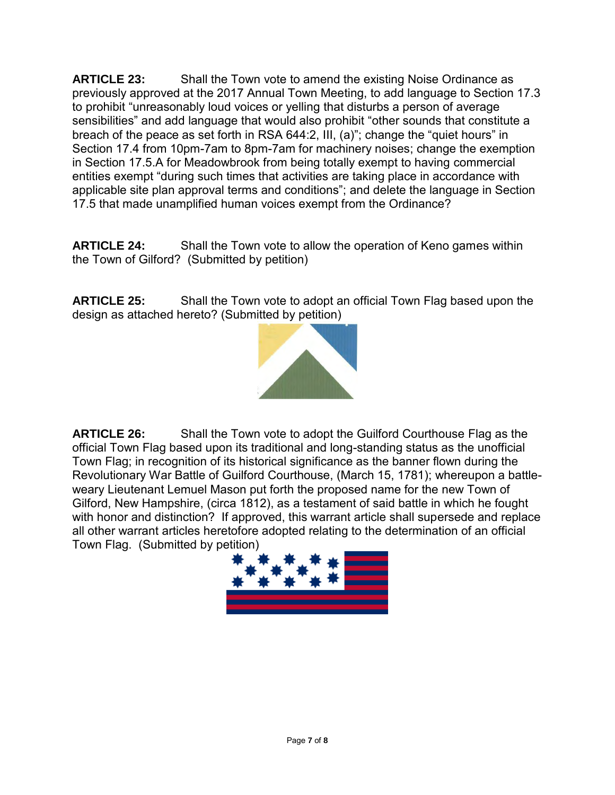**ARTICLE 23:** Shall the Town vote to amend the existing Noise Ordinance as previously approved at the 2017 Annual Town Meeting, to add language to Section 17.3 to prohibit "unreasonably loud voices or yelling that disturbs a person of average sensibilities" and add language that would also prohibit "other sounds that constitute a breach of the peace as set forth in RSA 644:2, III, (a)"; change the "quiet hours" in Section 17.4 from 10pm-7am to 8pm-7am for machinery noises; change the exemption in Section 17.5.A for Meadowbrook from being totally exempt to having commercial entities exempt "during such times that activities are taking place in accordance with applicable site plan approval terms and conditions"; and delete the language in Section 17.5 that made unamplified human voices exempt from the Ordinance?

**ARTICLE 24:** Shall the Town vote to allow the operation of Keno games within the Town of Gilford? (Submitted by petition)

**ARTICLE 25:** Shall the Town vote to adopt an official Town Flag based upon the design as attached hereto? (Submitted by petition)



**ARTICLE 26:** Shall the Town vote to adopt the Guilford Courthouse Flag as the official Town Flag based upon its traditional and long-standing status as the unofficial Town Flag; in recognition of its historical significance as the banner flown during the Revolutionary War Battle of Guilford Courthouse, (March 15, 1781); whereupon a battleweary Lieutenant Lemuel Mason put forth the proposed name for the new Town of Gilford, New Hampshire, (circa 1812), as a testament of said battle in which he fought with honor and distinction? If approved, this warrant article shall supersede and replace all other warrant articles heretofore adopted relating to the determination of an official Town Flag. (Submitted by petition)

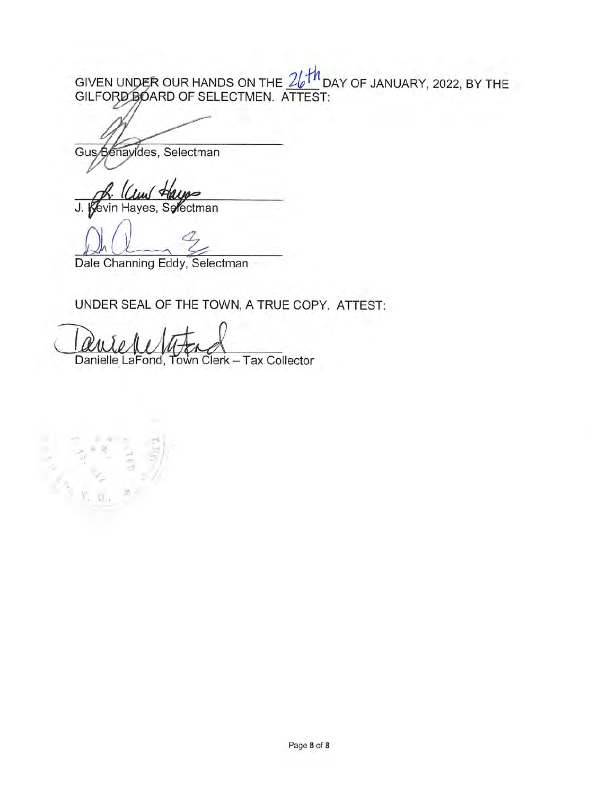GIVEN UNDER OUR HANDS ON THE  $\frac{26+h}{h}$  DAY OF JANUARY, 2022, BY THE GILFORD BOARD OF SELECTMEN. ATTEST:

Gus Benavides, Selectman

J. Kevin Hayes, Selectman

Dale Channing Eddy, Selectman

## UNDER SEAL OF THE TOWN, A TRUE COPY. ATTEST:

Danielle LaFond, Town Clerk - Tax Collector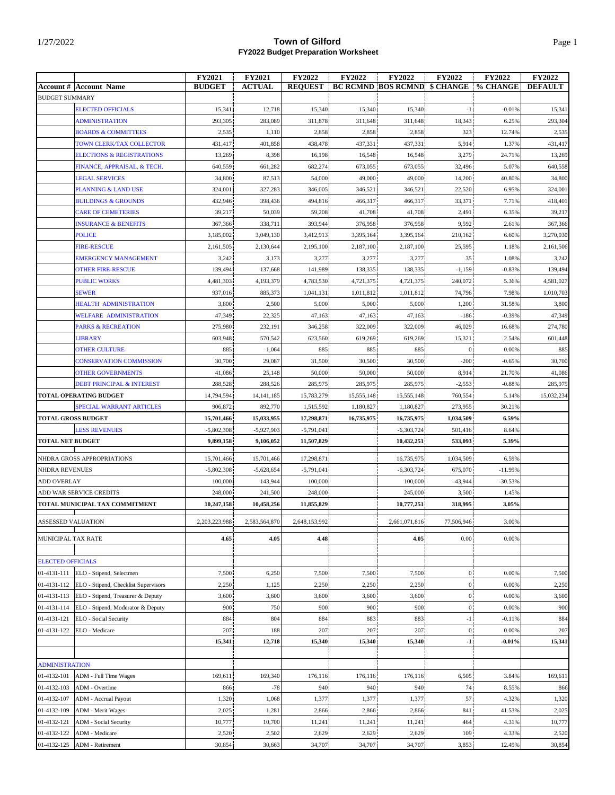|                                                     | <b>FY2021</b> | <b>FY2021</b> | <b>FY2022</b>  | <b>FY2022</b> | <b>FY2022</b>                                  | <b>FY2022</b>  | <b>FY2022</b> | <b>FY2022</b>  |
|-----------------------------------------------------|---------------|---------------|----------------|---------------|------------------------------------------------|----------------|---------------|----------------|
| <b>Account #   Account Name</b>                     | <b>BUDGET</b> | <b>ACTUAL</b> | <b>REQUEST</b> |               | <b>BC RCMND BOS RCMND \$ CHANGE   % CHANGE</b> |                |               | <b>DEFAULT</b> |
| <b>BUDGET SUMMARY</b>                               |               |               |                |               |                                                |                |               |                |
| <b>ELECTED OFFICIALS</b>                            | 15,341        | 12,718        | 15,340         | 15,340        | 15,340                                         | $-1$           | $-0.01%$      | 15,341         |
| <b>ADMINISTRATION</b>                               | 293,305       | 283,089       | 311,878        | 311,648       | 311,648                                        | 18,343         | 6.25%         | 293,304        |
| <b>BOARDS &amp; COMMITTEES</b>                      | 2,535         | 1,110         | 2,858          | 2,858         | 2,858                                          | 323            | 12.74%        | 2,535          |
| TOWN CLERK/TAX COLLECTOR                            | 431,417       | 401,858       | 438,478        | 437,331       | 437,331                                        | 5,914          | 1.37%         | 431,417        |
| <b>ELECTIONS &amp; REGISTRATIONS</b>                | 13,269        | 8,398         | 16,198         | 16,548        | 16,548                                         | 3,279          | 24.71%        | 13,269         |
| FINANCE, APPRAISAL, & TECH.                         | 640,559       | 661,282       | 682,274        | 673,055       | 673,055                                        | 32,496         | 5.07%         | 640,558        |
| <b>LEGAL SERVICES</b>                               | 34,800        | 87,513        | 54,000         | 49,000        | 49,000                                         | 14,200         | 40.80%        | 34,800         |
| <b>PLANNING &amp; LAND USE</b>                      | 324,001       | 327,283       | 346,005        | 346,521       | 346,521                                        | 22,520         | 6.95%         | 324,001        |
| <b>BUILDINGS &amp; GROUNDS</b>                      | 432,946       | 398,436       | 494,816        | 466,317       | 466,317                                        | 33,371         | 7.71%         | 418,401        |
| <b>CARE OF CEMETERIES</b>                           | 39,217        | 50,039        | 59,208         | 41,708        | 41,708                                         | 2,491          | 6.35%         | 39,217         |
| <b>INSURANCE &amp; BENEFITS</b>                     | 367,366       | 338,711       | 393,944        | 376,958       | 376,958                                        | 9,592          | 2.61%         | 367,366        |
| <b>POLICE</b>                                       | 3,185,002     | 3,049,130     | 3,412,913      | 3,395,164     | 3,395,164                                      | 210,162        | 6.60%         | 3,270,030      |
| <b>FIRE-RESCUE</b>                                  | 2,161,505     | 2,130,644     | 2,195,100      | 2,187,100     | 2,187,100                                      | 25,595         | 1.18%         | 2,161,506      |
| <b>EMERGENCY MANAGEMENT</b>                         | 3,242         | 3,173         | 3,277          | 3,277         | 3,277                                          | 35             | 1.08%         | 3,242          |
| <b>OTHER FIRE-RESCUE</b>                            | 139,494       | 137,668       | 141,989        | 138,335       | 138,335                                        | $-1,159$       | $-0.83%$      | 139,494        |
| <b>PUBLIC WORKS</b>                                 | 4.481.303     | 4,193,379     | 4.783.530      | 4,721,375     | 4,721,375                                      | 240,072        | 5.36%         | 4.581.027      |
| <b>SEWER</b>                                        | 937,016       | 885,373       | 1,041,131      | 1,011,812     | 1,011,812                                      | 74,796         | 7.98%         | 1,010,703      |
| <b>HEALTH ADMINISTRATION</b>                        | 3,800         | 2,500         | 5,000          | 5,000         | 5,000                                          | 1,200          | 31.58%        | 3,800          |
| <b>WELFARE ADMINISTRATION</b>                       | 47,349        | 22,325        | 47,163         | 47,163        | 47,163                                         | $-186$         | $-0.39%$      | 47,349         |
| <b>PARKS &amp; RECREATION</b>                       | 275,980       | 232,191       | 346,258        | 322,009       | 322,009                                        | 46,029         | 16.68%        | 274,780        |
| <b>LIBRARY</b>                                      | 603,948       | 570,542       | 623,560        | 619,269       | 619,269                                        | 15,321         | 2.54%         | 601,448        |
| <b>OTHER CULTURE</b>                                | 885           | 1,064         | 885            | 885           | 885                                            | $\mathbf{0}$   | 0.00%         | 885            |
| <b>CONSERVATION COMMISSION</b>                      | 30,700        | 29,087        | 31,500         | 30,500        | 30,500                                         | $-200$         | $-0.65%$      | 30,700         |
| <b>OTHER GOVERNMENTS</b>                            | 41,086        | 25,148        | 50,000         | 50,000        | 50,000                                         | 8,914          | 21.70%        | 41,086         |
| <b>DEBT PRINCIPAL &amp; INTEREST</b>                | 288,528       | 288,526       | 285,975        | 285,975       | 285,975                                        | $-2,553$       | $-0.88%$      | 285,975        |
| <b>TOTAL OPERATING BUDGET</b>                       | 14,794,594    | 14, 141, 185  | 15,783,279     | 15,555,148    | 15,555,148                                     | 760,554        | 5.14%         | 15,032,234     |
| SPECIAL WARRANT ARTICLES                            | 906,872       | 892,770       | 1,515,592      | 1,180,827     | 1,180,827                                      | 273,955        | 30.21%        |                |
| <b>TOTAL GROSS BUDGET</b>                           | 15,701,466    | 15,033,955    | 17,298,871     | 16,735,975    | 16,735,975                                     | 1,034,509      | 6.59%         |                |
| <b>LESS REVENUES</b>                                | $-5,802,308$  | $-5,927,903$  | $-5,791,041$   |               | $-6,303,724$                                   | 501,416        | 8.64%         |                |
| <b>TOTAL NET BUDGET</b>                             | 9,899,158     | 9,106,052     | 11,507,829     |               | 10,432,251                                     | 533,093        | 5.39%         |                |
| NHDRA GROSS APPROPRIATIONS                          | 15,701,466    | 15,701,466    | 17,298,871     |               | 16,735,975                                     | 1.034.509      | 6.59%         |                |
| <b>NHDRA REVENUES</b>                               | $-5,802,308$  | $-5,628,654$  | $-5.791.041$   |               | $-6,303,724$                                   | 675,070        | $-11.99%$     |                |
| ADD OVERLAY                                         | 100,000       | 143,944       | 100,000        |               | 100,000                                        | $-43,944$      | $-30.53%$     |                |
| ADD WAR SERVICE CREDITS                             | 248,000       | 241,500       | 248,000        |               | 245,000                                        | 3,500          | 1.45%         |                |
| TOTAL MUNICIPAL TAX COMMITMENT                      | 10.247.158    | 10,458,256    | 11,855,829     |               | 10,777,251                                     | 318,995        | 3.05%         |                |
| ASSESSED VALUATION                                  | 2,203,223,988 | 2,583,564,870 | 2,648,153,992  |               | 2,661,071,816                                  | 77,506,946     | 3.00%         |                |
|                                                     |               |               |                |               |                                                |                |               |                |
| MUNICIPAL TAX RATE                                  | 4.65          | 4.05          | 4.48           |               | 4.05                                           | 0.00           | 0.00%         |                |
|                                                     |               |               |                |               |                                                |                |               |                |
| <b>ELECTED OFFICIALS</b>                            |               |               |                |               |                                                |                |               |                |
| 01-4131-111<br>ELO - Stipend, Selectmen             | 7,500         | 6,250         | 7,500          | 7,500         | 7,500                                          | $\overline{0}$ | 0.00%         | 7,500          |
| 01-4131-112<br>ELO - Stipend, Checklist Supervisors | 2,250         | 1,125         | 2,250          | 2,250         | 2,250                                          | $\mathbf{0}$   | 0.00%         | 2,250          |
| 01-4131-113<br>ELO - Stipend, Treasurer & Deputy    | 3,600         | 3,600         | 3,600          | 3,600         | 3,600                                          | $\mathbf{0}$   | 0.00%         | 3,600          |
| 01-4131-114<br>ELO - Stipend, Moderator & Deputy    | 900           | 750           | 900            | 900           | 900                                            | $\mathbf{0}$   | 0.00%         | 900            |
| 01-4131-121<br>ELO - Social Security                | 884           | 804           | 884            | 883           | 883                                            | $-1$           | $-0.11%$      | 884            |
| 01-4131-122<br>ELO - Medicare                       | 207           | 188           | 207            | 207           | 207                                            | $\mathbf{0}$   | 0.00%         | 207            |
|                                                     | 15,341        | 12,718        | 15,340         | 15,340        | 15,340                                         | $-1$           | $-0.01%$      | 15,341         |
|                                                     |               |               |                |               |                                                |                |               |                |
| <b>ADMINISTRATION</b>                               |               |               |                |               |                                                |                |               |                |
| 01-4132-101<br>ADM - Full Time Wages                | 169,611       | 169,340       | 176,116        | 176,116       | 176,116                                        | 6,505          | 3.84%         | 169,611        |
| 01-4132-103<br>ADM - Overtime                       | 866           | $-78$         | 940            | 940           | 940                                            | 74             | 8.55%         | 866            |
| 01-4132-107<br>ADM - Accrual Payout                 | 1,320         | 1,068         | 1,377          | 1,377         | 1,377                                          | 57             | 4.32%         | 1,320          |
| 01-4132-109<br><b>ADM</b> - Merit Wages             | 2,025         | 1,281         | 2,866          | 2,866         | 2,866                                          | 841            | 41.53%        | 2,025          |
| 01-4132-121<br><b>ADM</b> - Social Security         | 10,777        | 10,700        | 11,241         | 11,241        | 11,241                                         | 464            | 4.31%         | 10,777         |
| 01-4132-122<br>ADM - Medicare                       | 2,520         | 2,502         | 2,629          | 2,629         | 2,629                                          | 109            | 4.33%         | 2,520          |
| 01-4132-125<br>ADM - Retirement                     | 30,854        | 30,663        | 34,707         | 34,707        | 34,707                                         | 3,853          | 12.49%        | 30,854         |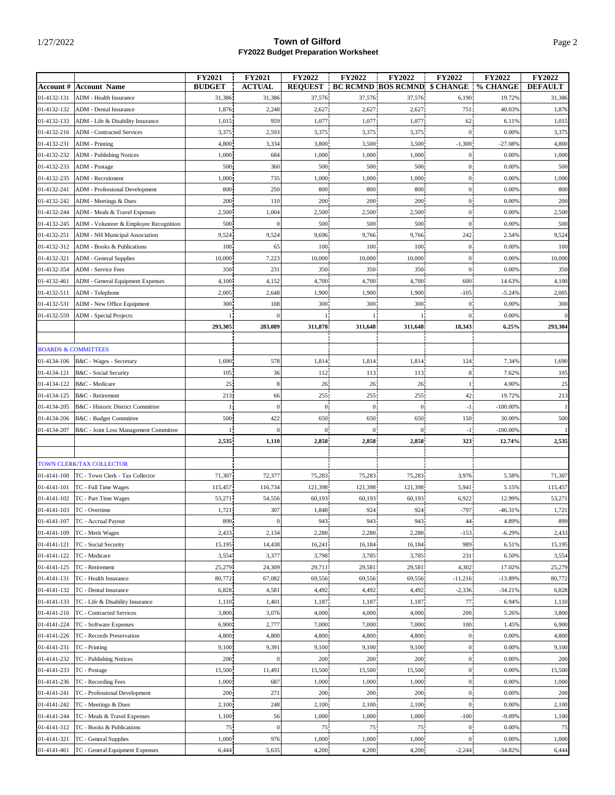|             |                                        | FY2021        | <b>FY2021</b>    | <b>FY2022</b>  | FY2022         | <b>FY2022</b>                       | <b>FY2022</b>  | FY2022      | <b>FY2022</b>  |
|-------------|----------------------------------------|---------------|------------------|----------------|----------------|-------------------------------------|----------------|-------------|----------------|
|             | <b>Account #   Account Name</b>        | <b>BUDGET</b> | <b>ACTUAL</b>    | <b>REQUEST</b> |                | <b>BC RCMND BOS RCMND \$ CHANGE</b> |                | % CHANGE    | <b>DEFAULT</b> |
| 01-4132-131 | <b>ADM</b> - Health Insurance          | 31,386        | 31,386           | 37,576         | 37,576         | 37,576                              | 6,190          | 19.72%      | 31,386         |
| 01-4132-132 | ADM - Dental Insurance                 | 1,876         | 2,248            | 2,627          | 2,627          | 2,627                               | 751            | 40.03%      | 1,876          |
| 01-4132-133 | ADM - Life & Disability Insurance      | 1,015         | 959              | 1,077          | 1,077          | 1,077                               | 62             | 6.11%       | 1,015          |
| 01-4132-216 | <b>ADM</b> - Contracted Services       | 3,375         | 2,593            | 3,375          | 3,375          | 3,375                               | $\bf{0}$       | 0.00%       | 3,375          |
| 01-4132-231 | <b>ADM</b> - Printing                  | 4,800         | 3,334            | 3,800          | 3,500          | 3,500                               | $-1,300$       | $-27.08%$   | 4,800          |
| 01-4132-232 | <b>ADM</b> - Publishing Notices        | 1,000         | 684              | 1,000          | 1,000          | 1,000                               | $\overline{0}$ | 0.00%       | 1,000          |
| 01-4132-233 |                                        | 500           | 360              | 500            | 500            | 500                                 | $\overline{0}$ | 0.00%       | 500            |
|             | ADM - Postage                          |               |                  |                |                |                                     |                |             |                |
| 01-4132-235 | <b>ADM</b> - Recruitment               | 1,000         | 735              | 1,000          | 1,000          | 1,000                               | $\overline{0}$ | 0.00%       | 1,000          |
| 01-4132-241 | <b>ADM</b> - Professional Development  | 800           | 250              | 800            | 800            | 800                                 | $\overline{0}$ | 0.00%       | 800            |
| 01-4132-242 | ADM - Meetings & Dues                  | 200           | 110              | 200            | 200            | 200                                 | $\overline{0}$ | 0.00%       | 200            |
| 01-4132-244 | ADM - Meals & Travel Expenses          | 2,500         | 1,004            | 2,500          | 2,500          | 2,500                               | $\overline{0}$ | 0.00%       | 2,500          |
| 01-4132-245 | ADM - Volunteer & Employee Recognition | 500           | $\Omega$         | 500            | 500            | 500                                 | $\mathbf{0}$   | 0.00%       | 500            |
| 01-4132-251 | ADM - NH Municipal Association         | 9,524         | 9,524            | 9,696          | 9,766          | 9,766                               | 242            | 2.54%       | 9,524          |
| 01-4132-312 | ADM - Books & Publications             | 100           | 65               | 100            | 100            | 100                                 | $\mathbf{0}$   | 0.00%       | 100            |
| 01-4132-321 | <b>ADM</b> - General Supplies          | 10,000        | 7,223            | 10,000         | 10,000         | 10,000                              | $\theta$       | 0.00%       | 10,000         |
| 01-4132-354 | ADM - Service Fees                     | 350           | 231              | 350            | 350            | 350                                 | $\overline{0}$ | 0.00%       | 350            |
| 01-4132-461 | ADM - General Equipment Expenses       | 4,100         | 4,152            | 4,700          | 4,700          | 4,700                               | 600            | 14.63%      | 4,100          |
| 01-4132-511 | ADM - Telephone                        | 2,005         | 2,648            | 1,900          | 1,900          | 1,900                               | $-105$         | $-5.24%$    | 2,005          |
| 01-4132-531 | ADM - New Office Equipment             | 300           | 108              | 300            | 300            | 300                                 | $\mathbf{0}$   | 0.00%       | 300            |
|             |                                        | $\mathbf{1}$  | $\overline{0}$   |                | $\mathbf{1}$   | 1                                   | $\mathbf{0}$   | 0.00%       | $\mathbf{0}$   |
| 01-4132-559 | ADM - Special Projects                 |               |                  |                |                |                                     |                |             |                |
|             |                                        | 293,305       | 283,089          | 311,878        | 311,648        | 311,648                             | 18,343         | 6.25%       | 293,304        |
|             |                                        |               |                  |                |                |                                     |                |             |                |
|             | <b>BOARDS &amp; COMMITTEES</b>         |               |                  |                |                |                                     |                |             |                |
| 01-4134-106 | B&C - Wages - Secretary                | 1,690         | 578              | 1,814          | 1,814          | 1,814                               | 124            | 7.34%       | 1,690          |
| 01-4134-121 | B&C - Social Security                  | 105           | 36               | 112            | 113            | 113                                 | 8              | 7.62%       | 105            |
| 01-4134-122 | B&C - Medicare                         | 25            | 8                | 26             | 26             | 26                                  |                | 4.00%       | 25             |
| 01-4134-125 | B&C - Retirement                       | 213           | 66               | 255            | 255            | 255                                 | 42             | 19.72%      | 213            |
| 01-4134-205 | B&C - Historic District Committee      | 1             | $\mathbf{0}$     | $\mathbf{0}$   | $\mathbf{0}$   | $\mathbf{0}$                        | $-1$           | $-100.00\%$ |                |
| 01-4134-206 | B&C - Budget Committee                 | 500           | 422              | 650            | 650            | 650                                 | 150            | 30.00%      | 500            |
| 01-4134-207 | B&C - Joint Loss Management Committee  | -11           | $\overline{0}$   | $\mathbf{0}$   | $\overline{0}$ | $\overline{0}$                      | $-1$           | $-100.00\%$ |                |
|             |                                        | 2,535         | 1,110            | 2,858          | 2,858          | 2,858                               | 323            | 12.74%      | 2,535          |
|             |                                        |               |                  |                |                |                                     |                |             |                |
|             | TOWN CLERK/TAX COLLECTOR               |               |                  |                |                |                                     |                |             |                |
| 01-4141-100 | TC - Town Clerk - Tax Collector        | 71,307        | 72,377           | 75,283         | 75,283         | 75,283                              | 3,976          | 5.58%       | 71,307         |
| 01-4141-101 | TC - Full Time Wages                   | 115,457       | 116,734          | 121,398        | 121,398        | 121,398                             | 5,941          | 5.15%       | 115,457        |
| 01-4141-102 | TC - Part Time Wages                   | 53,271        | 54,556           | 60,193         | 60,193         | 60,193                              | 6,922          | 12.99%      | 53,271         |
| 01-4141-103 | TC - Overtime                          | 1,721         | 307              | 1,848          | 924            | 924                                 | $-797$         | $-46.31%$   | 1,721          |
|             |                                        |               |                  |                |                |                                     |                |             |                |
| 01-4141-107 | TC - Accrual Payout                    | 899           | $\mathbf{0}$     | 943            | 943            | 943                                 | 44             | 4.89%       | 899            |
| 01-4141-109 | TC - Merit Wages                       | 2,433         | 2,134            | 2,280          | 2,280          | 2,280                               | $-153$         | $-6.29%$    | 2,433          |
| 01-4141-121 | TC - Social Security                   | 15,195        | 14,438           | 16,241         | 16,184         | 16,184                              | 989            | 6.51%       | 15,195         |
| 01-4141-122 | TC - Medicare                          | 3,554         | 3,377            | 3,798          | 3,785          | 3,785                               | 231            | 6.50%       | 3,554          |
| 01-4141-125 | TC - Retirement                        | 25,279        | 24,309           | 29,711         | 29,581         | 29,581                              | 4,302          | 17.02%      | 25,279         |
| 01-4141-131 | TC - Health Insurance                  | 80,772        | 67,082           | 69,556         | 69,556         | 69,556                              | $-11,216$      | $-13.89%$   | 80,772         |
| 01-4141-132 | TC - Dental Insurance                  | 6,828         | 4,581            | 4,492          | 4,492          | 4,492                               | $-2,336$       | $-34.21%$   | 6,828          |
| 01-4141-133 | TC - Life & Disability Insurance       | 1,110         | 1,401            | 1,187          | 1,187          | 1,187                               | 77             | 6.94%       | 1,110          |
| 01-4141-216 | TC - Contracted Services               | 3,800         | 3,076            | 4,000          | 4,000          | 4,000                               | 200            | 5.26%       | 3,800          |
| 01-4141-224 | TC - Software Expenses                 | 6,900         | 2,777            | 7,000          | 7,000          | 7,000                               | 100            | 1.45%       | 6,900          |
| 01-4141-226 | TC - Records Preservation              | 4,800         | 4,800            | 4,800          | 4,800          | 4,800                               | $\mathbf{0}$   | 0.00%       | 4,800          |
| 01-4141-231 | TC - Printing                          | 9,100         | 9,391            | 9,100          | 9,100          | 9,100                               | $\overline{0}$ | 0.00%       | 9,100          |
| 01-4141-232 | TC - Publishing Notices                | 200           | $\boldsymbol{0}$ | 200            | 200            | 200                                 | $\overline{0}$ | 0.00%       | 200            |
| 01-4141-233 | TC - Postage                           | 15,500        | 11,491           | 15,500         | 15,500         | 15,500                              | $\overline{0}$ | 0.00%       | 15,500         |
|             |                                        |               |                  | 1,000          |                |                                     | $\mathbf{0}$   | 0.00%       | 1,000          |
| 01-4141-236 | TC - Recording Fees                    | 1,000         | 687              |                | 1,000          | 1,000                               |                |             |                |
| 01-4141-241 | TC - Professional Development          | 200           | 271              | 200            | 200            | 200                                 | $\overline{0}$ | 0.00%       | 200            |
| 01-4141-242 | TC - Meetings & Dues                   | 2,100         | 248              | 2,100          | 2,100          | 2,100                               | $\overline{0}$ | 0.00%       | 2,100          |
| 01-4141-244 | TC - Meals & Travel Expenses           | 1,100         | 56               | 1,000          | 1,000          | 1,000                               | $-100$         | $-9.09%$    | 1,100          |
| 01-4141-312 | TC - Books & Publications              | 75            | $\boldsymbol{0}$ | 75             | 75             | 75                                  | $\overline{0}$ | 0.00%       | 75             |
| 01-4141-321 | TC - General Supplies                  | 1,000         | 976              | 1,000          | 1,000          | 1,000                               | $\overline{0}$ | 0.00%       | 1,000          |
| 01-4141-461 | TC - General Equipment Expenses        | 6,444         | 5,635            | 4,200          | 4,200          | 4,200                               | $-2,244$       | $-34.82%$   | 6,444          |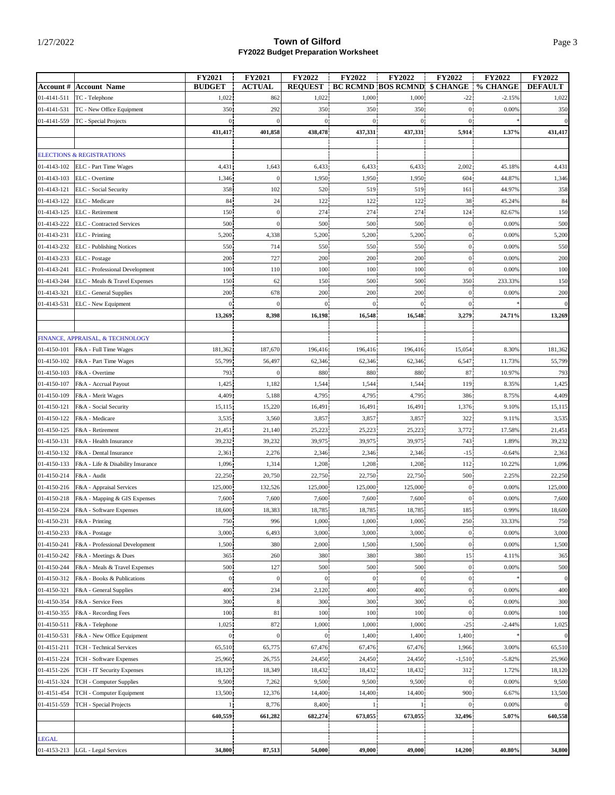|                            | <b>Account #   Account Name</b>                       | <b>FY2021</b><br><b>BUDGET</b> | <b>FY2021</b><br><b>ACTUAL</b> | <b>FY2022</b><br><b>REQUEST</b> | <b>FY2022</b>       | FY2022<br><b>BC RCMND BOS RCMND \$ CHANGE</b> | FY2022                  | <b>FY2022</b><br>% CHANGE | <b>FY2022</b><br><b>DEFAULT</b> |
|----------------------------|-------------------------------------------------------|--------------------------------|--------------------------------|---------------------------------|---------------------|-----------------------------------------------|-------------------------|---------------------------|---------------------------------|
|                            | TC - Telephone                                        |                                |                                |                                 |                     |                                               |                         |                           |                                 |
| 01-4141-511                |                                                       | 1,022                          | 862                            | 1,022                           | 1,000               | 1,000                                         | $-22$<br>$\theta$       | $-2.15%$                  | 1,022                           |
| 01-4141-531                | TC - New Office Equipment                             | 350                            | 292<br>$\overline{0}$          | 350                             | 350<br>$\mathbf{0}$ | 350                                           |                         | 0.00%                     | 350                             |
| 01-4141-559                | TC - Special Projects                                 | $\overline{0}$<br>431,417      | 401,858                        | $\mathbf{0}$<br>438,478         | 437,331             | $\bf{0}$<br>437,331                           | $\overline{0}$<br>5,914 | 1.37%                     | $\overline{0}$<br>431,417       |
|                            |                                                       |                                |                                |                                 |                     |                                               |                         |                           |                                 |
|                            | <b>ELECTIONS &amp; REGISTRATIONS</b>                  |                                |                                |                                 |                     |                                               |                         |                           |                                 |
| 01-4143-102                | ELC - Part Time Wages                                 | 4,431                          | 1,643                          | 6,433                           | 6,433               | 6,433                                         | 2,002                   | 45.18%                    | 4,431                           |
| 01-4143-103                | ELC - Overtime                                        | 1,346                          | $\overline{0}$                 | 1,950                           | 1,950               | 1,950                                         | 604                     | 44.87%                    | 1,346                           |
| 01-4143-121                | ELC - Social Security                                 | 358                            | 102                            | 520                             | 519                 | 519                                           | 161                     | 44.97%                    | 358                             |
| 01-4143-122                | ELC - Medicare                                        | 84                             | 24                             | 122                             | 122                 | 122                                           | 38                      | 45.24%                    | 84                              |
| 01-4143-125                | ELC - Retirement                                      | 150                            | $\overline{0}$                 | 274                             | 274                 | 274                                           | 124                     | 82.67%                    | 150                             |
| 01-4143-222                | <b>ELC</b> - Contracted Services                      | 500                            | $\boldsymbol{0}$               | 500                             | 500                 | 500                                           | $\theta$                | 0.00%                     | 500                             |
| 01-4143-231                | ELC - Printing                                        | 5,200                          | 4,338                          | 5,200                           | 5,200               | 5,200                                         | $\overline{0}$          | 0.00%                     | 5,200                           |
| 01-4143-232                | ELC - Publishing Notices                              | 550                            | 714                            | 550                             | 550                 | 550                                           | $\mathbf{0}$            | 0.00%                     | 550                             |
| 01-4143-233                | ELC - Postage                                         | 200                            | 727                            | 200                             | 200                 | 200                                           | $\theta$                | 0.00%                     | 200                             |
| 01-4143-241                | ELC - Professional Development                        | 100                            | 110                            | 100                             | 100                 | 100                                           | $\overline{0}$          | 0.00%                     | 100                             |
| 01-4143-244                | ELC - Meals & Travel Expenses                         | 150                            | 62                             | 150                             | 500                 | 500                                           | 350                     | 233.33%                   | 150                             |
| 01-4143-321                | ELC - General Supplies                                | 200                            | 678                            | 200                             | 200                 | 200                                           | $\mathbf{0}$            | 0.00%                     | 200                             |
| 01-4143-531                | ELC - New Equipment                                   | $\mathbf{0}$                   |                                |                                 | $\boldsymbol{0}$    | $\bf{0}$                                      |                         |                           | $\overline{0}$                  |
|                            |                                                       | 13,269                         | 8,398                          | 16,198                          | 16,548              | 16,548                                        | 3,279                   | 24.71%                    | 13,269                          |
|                            |                                                       |                                |                                |                                 |                     |                                               |                         |                           |                                 |
|                            | FINANCE, APPRAISAL, & TECHNOLOGY                      |                                |                                |                                 |                     |                                               |                         |                           |                                 |
| 01-4150-101                | F&A - Full Time Wages                                 | 181,362                        | 187,670                        | 196,416                         | 196,416             | 196,416                                       | 15,054                  | 8.30%                     | 181,362                         |
| 01-4150-102                | F&A - Part Time Wages                                 | 55,799                         | 56,497                         | 62,346                          | 62,346              | 62,346                                        | 6,547                   | 11.73%                    | 55,799                          |
| 01-4150-103                | F&A - Overtime                                        | 793                            | $\Omega$                       | 880                             | 880                 | 880                                           | 87                      | 10.97%                    | 793                             |
| 01-4150-107                | F&A - Accrual Payout                                  | 1,425                          | 1,182                          | 1,544                           | 1,544               | 1,544                                         | 119                     | 8.35%                     | 1,425                           |
| 01-4150-109                | F&A - Merit Wages                                     | 4,409                          | 5,188                          | 4,795                           | 4,795               | 4,795                                         | 386                     | 8.75%                     | 4,409                           |
| 01-4150-121                | F&A - Social Security                                 | 15,115                         | 15,220                         | 16,491                          | 16,491              | 16,491                                        | 1,376                   | 9.10%                     | 15,115                          |
| 01-4150-122                | F&A - Medicare                                        | 3,535                          | 3,560                          | 3,857                           | 3,857               | 3,857                                         | 322                     | 9.11%                     | 3,535                           |
| 01-4150-125                | F&A - Retirement                                      | 21,451                         | 21,140                         | 25,223                          | 25,223              | 25,223                                        | 3,772                   | 17.58%                    | 21,451                          |
| 01-4150-131                | F&A - Health Insurance                                | 39,232                         | 39,232                         | 39,975                          | 39,975              | 39,975                                        | 743                     | 1.89%                     | 39,232                          |
| 01-4150-132                | F&A - Dental Insurance                                | 2,361                          | 2,276                          | 2,346                           | 2,346               | 2,346                                         | $-15$                   | $-0.64%$                  | 2,361                           |
| 01-4150-133                | F&A - Life & Disability Insurance                     | 1,096                          | 1,314                          | 1,208                           | 1,208               | 1,208                                         | 112                     | 10.22%                    | 1,096                           |
| 01-4150-214                | F&A - Audit                                           | 22,250                         | 20,750                         | 22,750                          | 22,750              | 22,750                                        | 500                     | 2.25%                     | 22,250                          |
| 01-4150-216                | F&A - Appraisal Services                              | 125,000                        | 132,526                        | 125,000                         | 125,000             | 125,000                                       | $\theta$                | 0.00%                     | 125,000                         |
| 01-4150-218                | F&A - Mapping & GIS Expenses                          | 7,600                          | 7,600                          | 7,600                           | 7,600               | 7,600                                         | $\overline{0}$          | 0.00%                     | 7,600                           |
| 01-4150-224                | F&A - Software Expenses                               | 18,600                         | 18,383                         | 18,785                          | 18,785              | 18,785                                        | 185                     | 0.99%                     | 18,600                          |
|                            | 01-4150-231   F&A - Printing                          | 750                            | 996                            | 1,000                           | 1,000               | 1,000                                         | 250                     | 33.33%                    | 750                             |
| 01-4150-233                | F&A - Postage                                         | 3,000                          | 6,493                          | 3,000                           | 3,000               | 3,000                                         | $\mathbf{0}$            | 0.00%                     | 3,000                           |
| 01-4150-241                | F&A - Professional Development                        | 1,500                          | 380                            | 2,000                           | 1,500               | 1,500                                         | $\mathbf{0}$            | 0.00%                     | 1,500                           |
| 01-4150-242                | F&A - Meetings & Dues                                 | 365                            | 260                            | 380                             | 380                 | 380                                           | 15                      | 4.11%                     | 365                             |
| 01-4150-244                | F&A - Meals & Travel Expenses                         | 500                            | 127                            | 500                             | 500                 | 500                                           | $\mathbf{0}$            | 0.00%                     | 500                             |
| 01-4150-312                | F&A - Books & Publications                            | $\mathbf{0}$                   | $\boldsymbol{0}$               | $\mathbf{0}$                    | $\mathbf{0}$        | $\overline{0}$                                | $\mathbf{0}$            |                           | $\overline{0}$                  |
| 01-4150-321                | F&A - General Supplies                                | 400                            | 234                            | 2,120                           | 400                 | 400                                           | $\mathbf{0}$            | 0.00%                     | 400                             |
| 01-4150-354                | F&A - Service Fees                                    | 300                            | 8                              | 300                             | 300                 | 300                                           | $\mathbf{0}$            | 0.00%                     | 300                             |
| 01-4150-355                | F&A - Recording Fees                                  | 100                            | 81                             | 100                             | 100                 | 100                                           | $\mathbf{0}$            | 0.00%                     | 100                             |
| 01-4150-511                | F&A - Telephone                                       | 1,025                          | 872                            | 1,000                           | 1,000               | 1,000                                         | $-25$                   | $-2.44%$                  | 1,025                           |
| 01-4150-531                | F&A - New Office Equipment                            | $\mathbf{0}$                   | $\overline{0}$                 | $\mathbf{0}$                    | 1,400               | 1,400                                         | 1,400                   |                           | $\overline{0}$                  |
| 01-4151-211<br>01-4151-224 | TCH - Technical Services                              | 65,510<br>25,960               | 65,775                         | 67,476<br>24,450                | 67,476              | 67,476                                        | 1,966                   | 3.00%                     | 65,510                          |
| 01-4151-226                | TCH - Software Expenses<br>TCH - IT Security Expenses | 18,120                         | 26,755<br>18,349               | 18,432                          | 24,450<br>18,432    | 24,450<br>18,432                              | $-1,510$<br>312         | $-5.82%$<br>1.72%         | 25,960<br>18,120                |
| 01-4151-324                | TCH - Computer Supplies                               | 9,500                          | 7,262                          | 9,500                           | 9,500               | 9,500                                         | $\mathbf{0}$            | 0.00%                     | 9,500                           |
| 01-4151-454                | TCH - Computer Equipment                              | 13,500                         | 12,376                         | 14,400                          | 14,400              | 14,400                                        | 900                     | 6.67%                     | 13,500                          |
| 01-4151-559                | TCH - Special Projects                                |                                | 8,776                          | 8,400                           |                     |                                               |                         | 0.00%                     | $\vert 0 \vert$                 |
|                            |                                                       | 640,559                        | 661,282                        | 682,274                         | 673,055             | 673,055                                       | 32,496                  | 5.07%                     | 640,558                         |
|                            |                                                       |                                |                                |                                 |                     |                                               |                         |                           |                                 |
| LEGAL                      |                                                       |                                |                                |                                 |                     |                                               |                         |                           |                                 |
| 01-4153-213                | LGL - Legal Services                                  | 34,800                         | 87,513                         | 54,000                          | 49,000              | 49,000                                        | 14,200                  | 40.80%                    | 34,800                          |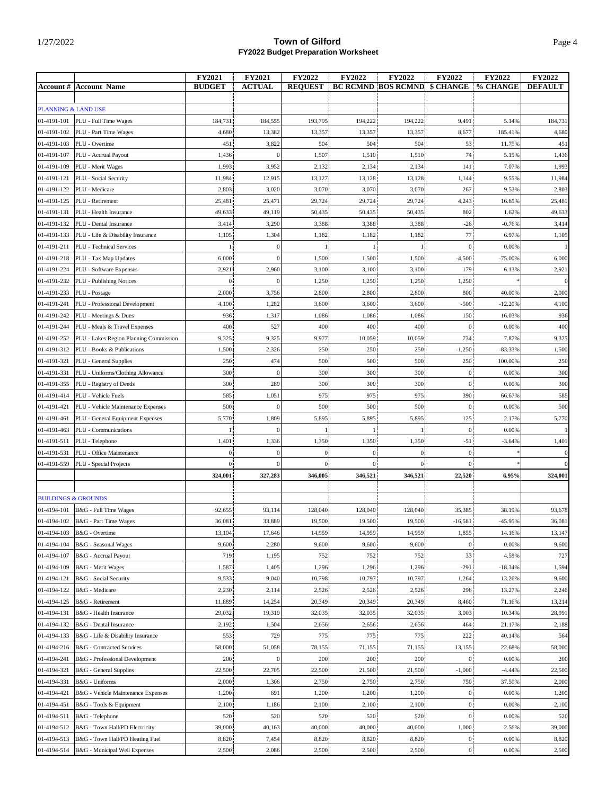|                                |                                         | <b>FY2021</b>  | <b>FY2021</b>     | <b>FY2022</b>  | <b>FY2022</b>         | <b>FY2022</b>                       | <b>FY2022</b>           | <b>FY2022</b>  | <b>FY2022</b>  |
|--------------------------------|-----------------------------------------|----------------|-------------------|----------------|-----------------------|-------------------------------------|-------------------------|----------------|----------------|
|                                | <b>Account #  Account Name</b>          | <b>BUDGET</b>  | <b>ACTUAL</b>     | <b>REOUEST</b> |                       | <b>BC RCMND BOS RCMND \$ CHANGE</b> |                         | % CHANGE       | <b>DEFAULT</b> |
| PLANNING & LAND USE            |                                         |                |                   |                |                       |                                     |                         |                |                |
| 01-4191-101                    | PLU - Full Time Wages                   | 184,731        | 184,555           | 193,795        | 194,222               | 194,222                             | 9,491                   | 5.14%          | 184,731        |
| 01-4191-102                    | PLU - Part Time Wages                   | 4,680          | 13,382            | 13,357         | 13,357                | 13,357                              | 8,677                   | 185.41%        | 4,680          |
| 01-4191-103                    | PLU - Overtime                          | 451            | 3,822             | 504            | 504                   | 504                                 | 53                      | 11.75%         | 451            |
| 01-4191-107                    | PLU - Accrual Payout                    | 1,436          | $\overline{0}$    | 1,507          | 1,510                 | 1,510                               | 74                      | 5.15%          | 1,436          |
| 01-4191-109                    | PLU - Merit Wages                       | 1,993          | 3,952             | 2,132          | 2,134                 | 2,134                               | 141                     | 7.07%          | 1,993          |
| 01-4191-121                    | PLU - Social Security                   | 11,984         | 12,915            | 13,127         | 13,128                | 13,128                              | 1,144                   | 9.55%          | 11,984         |
| 01-4191-122                    | PLU - Medicare                          | 2,803          | 3,020             | 3,070          | 3,070                 | 3,070                               | 267                     | 9.53%          | 2,803          |
| 01-4191-125                    | PLU - Retirement                        | 25,481         | 25,471            | 29,724         | 29,724                | 29,724                              | 4,243                   | 16.65%         | 25,481         |
| 01-4191-131                    | PLU - Health Insurance                  | 49,633         | 49,119            | 50,435         | 50,435                | 50,435                              | 802                     | 1.62%          | 49,633         |
| 01-4191-132                    | PLU - Dental Insurance                  | 3,414          | 3,290             | 3,388          | 3,388                 | 3,388                               | $-26$                   | $-0.76%$       | 3,414          |
| 01-4191-133                    | PLU - Life & Disability Insurance       | 1,105          | 1,304             | 1,182          | 1,182                 | 1,182                               | 77                      | 6.97%          | 1,105          |
| 01-4191-211                    | PLU - Technical Services                |                | $\boldsymbol{0}$  |                |                       |                                     | $\mathbf{0}$            | 0.00%          |                |
| 01-4191-218                    | PLU - Tax Map Updates                   | 6,000          | $\Omega$          | 1,500          | 1,500                 | 1,500                               | $-4,500$                | $-75.00%$      | 6,000          |
| 01-4191-224                    | PLU - Software Expenses                 | 2,921          | 2,960             | 3,100          | 3,100                 | 3,100                               | 179                     | 6.13%          | 2,921          |
| 01-4191-232                    | PLU - Publishing Notices                | $\mathbf{0}$   | $\Omega$          | 1,250          | 1,250                 | 1,250                               | 1,250                   |                | $\vert$ 0      |
| 01-4191-233                    | PLU - Postage                           | 2,000          | 3,756             | 2,800          | 2,800                 | 2,800                               | 800                     | 40.00%         | 2,000          |
| 01-4191-241                    | PLU - Professional Development          | 4,100          | 1,282             | 3,600          | 3,600                 | 3,600                               | $-500$                  | $-12.20%$      | 4,100          |
| 01-4191-242                    | PLU - Meetings & Dues                   | 936            | 1,317             | 1,086          | 1,086                 | 1,086                               | 150                     | 16.03%         | 936            |
| 01-4191-244                    | PLU - Meals & Travel Expenses           | 400            | 527               | 400            | 400                   | 400                                 | $\mathbf{0}$            | 0.00%          | 400            |
| 01-4191-252                    | PLU - Lakes Region Planning Commission  | 9,325          | 9,325             | 9,977          | 10,059                | 10,059                              | 734                     | 7.87%          | 9,325          |
| 01-4191-312                    | PLU - Books & Publications              | 1,500          | 2,326             | 250            | 250                   | 250                                 | $-1,250$                | $-83.33%$      | 1,500          |
| 01-4191-321                    | PLU - General Supplies                  | 250            | 474               | 500            | 500                   | 500                                 | 250                     | 100.00%        | 250            |
| 01-4191-331                    | PLU - Uniforms/Clothing Allowance       | 300            | $\Omega$          | 300            | 300                   | 300                                 | $\mathbf{0}$            | 0.00%          | 300            |
| 01-4191-355                    | PLU - Registry of Deeds                 | 300            | 289               | 300            | 300                   | 300                                 | $\overline{0}$          | 0.00%          | 300            |
| 01-4191-414                    | PLU - Vehicle Fuels                     | 585            | 1,051             | 975            | 975                   | 975                                 | 390<br>$\overline{0}$   | 66.67%         | 585            |
| 01-4191-421                    | PLU - Vehicle Maintenance Expenses      | 500            | $\Omega$          | 500            | 500                   | 500                                 |                         | 0.00%<br>2.17% | 500            |
| 01-4191-461                    | PLU - General Equipment Expenses        | 5,770          | 1,809<br>$\Omega$ | 5,895          | 5,895<br>$\mathbf{1}$ | 5,895<br>1                          | 125                     | 0.00%          | 5,770          |
| 01-4191-463<br>01-4191-511     | PLU - Communications<br>PLU - Telephone | 1,401          | 1,336             | 1,350          | 1,350                 | 1,350                               | $\overline{0}$<br>$-51$ | $-3.64%$       | 1,401          |
| 01-4191-531                    | PLU - Office Maintenance                | $\overline{0}$ | $\overline{0}$    | $\mathbf{0}$   | $\boldsymbol{0}$      | $\overline{0}$                      | $\overline{0}$          |                | $\mathbf{0}$   |
| 01-4191-559                    | PLU - Special Projects                  | $\overline{0}$ | $\Omega$          | $\theta$       | $\theta$              | $\overline{0}$                      | $\Omega$                |                | $\overline{0}$ |
|                                |                                         | 324,001        | 327,283           | 346,005        | 346,521               | 346,521                             | 22,520                  | 6.95%          | 324,001        |
|                                |                                         |                |                   |                |                       |                                     |                         |                |                |
| <b>BUILDINGS &amp; GROUNDS</b> |                                         |                |                   |                |                       |                                     |                         |                |                |
| 01-4194-101                    | B&G - Full Time Wages                   | 92,655         | 93,114            | 128,040        | 128,040               | 128,040                             | 35,385                  | 38.19%         | 93,678         |
|                                | 01-4194-102   B&G - Part Time Wages     | 36,081         | 33,889            | 19,500         | 19,500                | 19,500                              | -16,581                 | -45.95%        | 36,081         |
| 01-4194-103                    | B&G - Overtime                          | 13,104         | 17,646            | 14,959         | 14,959                | 14,959                              | 1,855                   | 14.16%         | 13,147         |
| 01-4194-104                    | B&G - Seasonal Wages                    | 9,600          | 2,280             | 9,600          | 9,600                 | 9,600                               | $\mathbf{0}$            | 0.00%          | 9,600          |
| 01-4194-107                    | B&G - Accrual Payout                    | 719            | 1,195             | 752            | 752                   | 752                                 | 33                      | 4.59%          | 727            |
| 01-4194-109                    | B&G - Merit Wages                       | 1,587          | 1,405             | 1,296          | 1,296                 | 1,296                               | $-291$                  | $-18.34%$      | 1,594          |
| 01-4194-121                    | B&G - Social Security                   | 9,533          | 9,040             | 10,798         | 10,797                | 10,797                              | 1,264                   | 13.26%         | 9,600          |
| 01-4194-122                    | B&G - Medicare                          | 2,230          | 2,114             | 2,526          | 2,526                 | 2,526                               | 296                     | 13.27%         | 2,246          |
| 01-4194-125                    | B&G - Retirement                        | 11,889         | 14,254            | 20,349         | 20,349                | 20,349                              | 8,460                   | 71.16%         | 13,214         |
| 01-4194-131                    | B&G - Health Insurance                  | 29,032         | 19,319            | 32,035         | 32,035                | 32,035                              | 3,003                   | 10.34%         | 28,991         |
| 01-4194-132                    | B&G - Dental Insurance                  | 2,192          | 1,504             | 2,656          | 2,656                 | 2,656                               | 464                     | 21.17%         | 2,188          |
| 01-4194-133                    | B&G - Life & Disability Insurance       | 553            | 729               | 775            | 775                   | 775                                 | 222                     | 40.14%         | 564            |
| 01-4194-216                    | B&G - Contracted Services               | 58,000         | 51,058            | 78,155         | 71,155                | 71,155                              | 13,155                  | 22.68%         | 58,000         |
| 01-4194-241                    | B&G - Professional Development          | 200            | $\boldsymbol{0}$  | 200            | 200                   | 200                                 | $\boldsymbol{0}$        | 0.00%          | 200            |
| 01-4194-321                    | B&G - General Supplies                  | 22,500         | 22,705            | 22,500         | 21,500                | 21,500                              | $-1,000$                | $-4.44%$       | 22,500         |
| 01-4194-331                    | B&G - Uniforms                          | 2,000          | 1,306             | 2,750          | 2,750                 | 2,750                               | 750                     | 37.50%         | 2,000          |
| 01-4194-421                    | B&G - Vehicle Maintenance Expenses      | 1,200          | 691               | 1,200          | 1,200                 | 1,200                               | $\overline{0}$          | 0.00%          | 1,200          |
| 01-4194-451                    | B&G - Tools & Equipment                 | 2,100          | 1,186             | 2,100          | 2,100                 | 2,100                               | $\overline{0}$          | 0.00%          | 2,100          |
| 01-4194-511                    | B&G - Telephone                         | 520            | 520               | 520            | 520                   | 520                                 | $^{0}$                  | 0.00%          | 520            |
| 01-4194-512                    | B&G - Town Hall/PD Electricity          | 39,000         | 40,163            | 40,000         | 40,000                | 40,000                              | 1,000                   | 2.56%          | 39,000         |
| 01-4194-513                    | B&G - Town Hall/PD Heating Fuel         | 8,820          | 7,454             | 8,820          | 8,820                 | 8,820                               | $\overline{0}$          | 0.00%          | 8,820          |
| 01-4194-514                    | B&G - Municipal Well Expenses           | 2,500          | 2,086             | 2,500          | 2,500                 | 2,500                               | $\mathbf{0}$            | 0.00%          | 2,500          |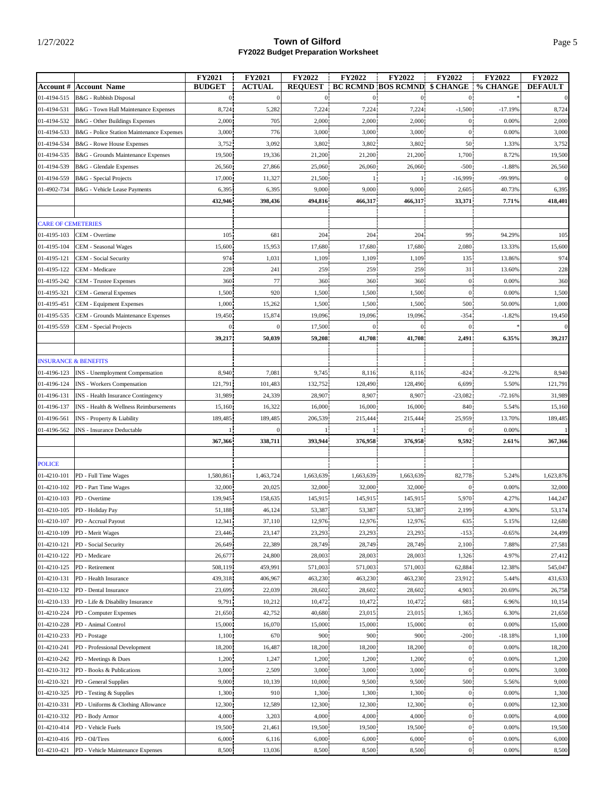|                           |                                           | FY2021         | <b>FY2021</b>    | <b>FY2022</b>  | FY2022           | FY2022                              | FY2022         | <b>FY2022</b> | <b>FY2022</b>  |
|---------------------------|-------------------------------------------|----------------|------------------|----------------|------------------|-------------------------------------|----------------|---------------|----------------|
| <b>Account</b> #          | <b>Account Name</b>                       | <b>BUDGET</b>  | <b>ACTUAL</b>    | <b>REQUEST</b> |                  | <b>BC RCMND BOS RCMND \$ CHANGE</b> |                | % CHANGE      | <b>DEFAULT</b> |
| 01-4194-515               | B&G - Rubbish Disposal                    | $\overline{0}$ | $\boldsymbol{0}$ | 0 <sup>1</sup> | $\boldsymbol{0}$ | $\overline{0}$                      | $\overline{0}$ |               | $\mathbf{0}$   |
| 01-4194-531               | B&G - Town Hall Maintenance Expenses      | 8,724          | 5,282            | 7,224          | 7,224            | 7,224                               | $-1,500$       | $-17.19%$     | 8,724          |
| 01-4194-532               | B&G - Other Buildings Expenses            | 2,000          | 705              | 2,000          | 2,000            | 2,000                               | $\theta$       | 0.00%         | 2,000          |
| 01-4194-533               | B&G - Police Station Maintenance Expenses | 3,000          | 776              | 3,000          | 3,000            | 3,000                               | $\theta$       | 0.00%         | 3,000          |
| 01-4194-534               | <b>B&amp;G</b> - Rowe House Expenses      | 3,752          | 3,092            | 3,802          | 3,802            | 3,802                               | 50             | 1.33%         | 3,752          |
|                           |                                           |                |                  | 21,200         | 21,200           | 21,200                              | 1,700          |               |                |
| 01-4194-535               | B&G - Grounds Maintenance Expenses        | 19,500         | 19,336           |                |                  |                                     |                | 8.72%         | 19,500         |
| 01-4194-539               | B&G - Glendale Expenses                   | 26,560         | 27,866           | 25,060         | 26,060           | 26,060                              | $-500$         | $-1.88%$      | 26,560         |
| 01-4194-559               | B&G - Special Projects                    | 17,000         | 11,327           | 21,500         |                  | 1                                   | $-16,999$      | -99.99%       | $\mathbf{0}$   |
| 01-4902-734               | B&G - Vehicle Lease Payments              | 6,395          | 6,395            | 9,000          | 9,000            | 9,000                               | 2,605          | 40.73%        | 6,395          |
|                           |                                           | 432,946        | 398,436          | 494,816        | 466,317          | 466,317                             | 33,371         | 7.71%         | 418,401        |
|                           |                                           |                |                  |                |                  |                                     |                |               |                |
| <b>CARE OF CEMETERIES</b> |                                           |                |                  |                |                  |                                     |                |               |                |
| 01-4195-103               | CEM - Overtime                            | 105            | 681              | 204            | 204              | 204                                 | 99             | 94.29%        | 105            |
| 01-4195-104               | CEM - Seasonal Wages                      | 15,600         | 15,953           | 17,680         | 17,680           | 17,680                              | 2,080          | 13.33%        | 15,600         |
| 01-4195-121               | CEM - Social Security                     | 974            | 1,031            | 1,109          | 1,109            | 1,109                               | 135            | 13.86%        | 974            |
| 01-4195-122               | CEM - Medicare                            | 228            | 241              | 259            | 259              | 259                                 | 31             | 13.60%        | 228            |
| 01-4195-242               | <b>CEM</b> - Trustee Expenses             | 360            | 77               | 360            | 360              | 360                                 | $\mathbf{0}$   | 0.00%         | 360            |
| 01-4195-321               | <b>CEM</b> - General Expenses             | 1,500          | 920              | 1,500          | 1,500            | 1,500                               | $\mathbf{0}$   | 0.00%         | 1,500          |
| 01-4195-451               | <b>CEM</b> - Equipment Expenses           | 1,000          | 15,262           | 1,500          | 1,500            | 1,500                               | 500            | 50.00%        | 1,000          |
|                           |                                           |                |                  |                |                  |                                     |                |               |                |
| 01-4195-535               | CEM - Grounds Maintenance Expenses        | 19,450         | 15,874           | 19,096         | 19,096           | 19,096                              | $-354$         | $-1.82%$      | 19,450         |
| 01-4195-559               | CEM - Special Projects                    | $\overline{0}$ | $\Omega$         | 17,500         | $\boldsymbol{0}$ | $\mathbf{0}$                        | $\mathbf{0}$   |               | $\overline{0}$ |
|                           |                                           | 39,217         | 50,039           | 59,208         | 41,708           | 41,708                              | 2,491          | 6.35%         | 39,217         |
|                           |                                           |                |                  |                |                  |                                     |                |               |                |
|                           | <b>INSURANCE &amp; BENEFITS</b>           |                |                  |                |                  |                                     |                |               |                |
| 01-4196-123               | INS - Unemployment Compensation           | 8,940          | 7,081            | 9,745          | 8,116            | 8,116                               | $-824$         | $-9.22%$      | 8,940          |
| 01-4196-124               | INS - Workers Compensation                | 121,791        | 101,483          | 132,752        | 128,490          | 128,490                             | 6,699          | 5.50%         | 121,791        |
| 01-4196-131               | INS - Health Insurance Contingency        | 31,989         | 24,339           | 28,907         | 8,907            | 8,907                               | $-23,082$      | $-72.16%$     | 31,989         |
| 01-4196-137               | INS - Health & Wellness Reimbursements    | 15,160         | 16,322           | 16,000         | 16,000           | 16,000                              | 840            | 5.54%         | 15,160         |
| 01-4196-561               | INS - Property & Liability                | 189,485        | 189,485          | 206,539        | 215,444          | 215,444                             | 25,959         | 13.70%        | 189,485        |
| 01-4196-562               | <b>INS</b> - Insurance Deductable         | 1!             |                  |                | 1 <sub>1</sub>   | 1                                   | $\overline{0}$ | 0.00%         |                |
|                           |                                           | 367,366        | 338,711          | 393,944        | 376,958          | 376,958                             | 9,592          | 2.61%         | 367,366        |
|                           |                                           |                |                  |                |                  |                                     |                |               |                |
| <b>POLICE</b>             |                                           |                |                  |                |                  |                                     |                |               |                |
| 01-4210-101               | PD - Full Time Wages                      | 1,580,861      | 1,463,724        | 1,663,639      | 1,663,639        | 1,663,639                           | 82,778         | 5.24%         | 1,623,876      |
|                           |                                           |                |                  |                |                  |                                     |                |               |                |
| 01-4210-102               | PD - Part Time Wages                      | 32,000         | 20,025           | 32,000         | 32,000           | 32,000                              | $\mathbf{0}$   | 0.00%         | 32,000         |
| 01-4210-103               | PD - Overtime                             | 139,945        | 158,635          | 145,915        | 145,915          | 145,915                             | 5,970          | 4.27%         | 144,247        |
| 01-4210-105               | PD - Holiday Pay                          | 51,188         | 46,124           | 53,387         | 53,387           | 53,387                              | 2,199          | 4.30%         | 53,174         |
|                           | 01-4210-107 PD - Accrual Payout           | 12,341         | 37,110           | 12,976         | 12,976           | 12,976                              | 635            | 5.15%         | 12,680         |
| 01-4210-109               | PD - Merit Wages                          | 23,446         | 23,147           | 23,293         | 23,293           | 23,293                              | $-153$         | $-0.65%$      | 24,499         |
| 01-4210-121               | PD - Social Security                      | 26,649         | 22,389           | 28,749         | 28,749           | 28,749                              | 2,100          | 7.88%         | 27,581         |
| 01-4210-122               | PD - Medicare                             | 26,677         | 24,800           | 28,003         | 28,003           | 28,003                              | 1,326          | 4.97%         | 27,412         |
| 01-4210-125               | PD - Retirement                           | 508,119        | 459,991          | 571,003        | 571,003          | 571,003                             | 62,884         | 12.38%        | 545,047        |
| 01-4210-131               | PD - Health Insurance                     | 439,318        | 406,967          | 463,230        | 463,230          | 463,230                             | 23,912         | 5.44%         | 431,633        |
| 01-4210-132               | PD - Dental Insurance                     | 23,699         | 22,039           | 28,602         | 28,602           | 28,602                              | 4,903          | 20.69%        | 26,758         |
| 01-4210-133               | PD - Life & Disability Insurance          | 9,791          | 10,212           | 10,472         | 10,472           | 10,472                              | 681            | 6.96%         | 10,154         |
| 01-4210-224               | PD - Computer Expenses                    | 21,650         | 42,752           | 40,680         | 23,015           | 23,015                              | 1,365          | 6.30%         | 21,650         |
| 01-4210-228               | PD - Animal Control                       | 15,000         | 16,070           | 15,000         | 15,000           | 15,000                              | $\mathbf{0}$   | 0.00%         | 15,000         |
| 01-4210-233               | PD - Postage                              | 1,100          | 670              | 900            | 900              | 900                                 | $-200$         | $-18.18%$     | 1,100          |
| 01-4210-241               | PD - Professional Development             | 18,200         | 16,487           | 18,200         | 18,200           | 18,200                              | $\mathbf{0}$   | 0.00%         | 18,200         |
|                           |                                           |                |                  |                |                  |                                     |                |               |                |
| 01-4210-242               | PD - Meetings & Dues                      | 1,200          | 1,247            | 1,200          | 1,200            | 1,200                               | $\overline{0}$ | 0.00%         | 1,200          |
| 01-4210-312               | PD - Books & Publications                 | 3,000          | 2,509            | 3,000          | 3,000            | 3,000                               | $\overline{0}$ | 0.00%         | 3,000          |
| 01-4210-321               | PD - General Supplies                     | 9,000          | 10,139           | 10,000         | 9,500            | 9,500                               | 500            | 5.56%         | 9,000          |
| 01-4210-325               | PD - Testing & Supplies                   | 1,300          | 910              | 1,300          | 1,300            | 1,300                               | $\overline{0}$ | 0.00%         | 1,300          |
| 01-4210-331               | PD - Uniforms & Clothing Allowance        | 12,300         | 12,589           | 12,300         | 12,300           | 12,300                              | $\overline{0}$ | 0.00%         | 12,300         |
| 01-4210-332               | PD - Body Armor                           | 4,000          | 3,203            | 4,000          | 4,000            | 4,000                               | $\overline{0}$ | 0.00%         | 4,000          |
| 01-4210-414               | PD - Vehicle Fuels                        | 19,500         | 21,461           | 19,500         | 19,500           | 19,500                              | $\overline{0}$ | 0.00%         | 19,500         |
| 01-4210-416               | PD - Oil/Tires                            | 6,000          | 6,116            | 6,000          | 6,000            | 6,000                               | $\overline{0}$ | 0.00%         | 6,000          |
| 01-4210-421               | PD - Vehicle Maintenance Expenses         | 8,500          | 13,036           | 8,500          | 8,500            | 8,500                               | $\overline{0}$ | 0.00%         | 8,500          |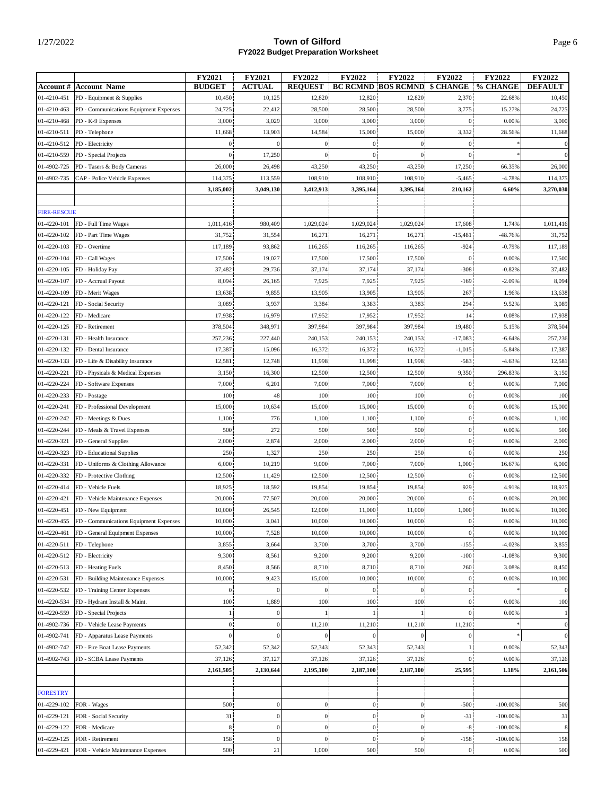|                    |                                                    | FY2021         | <b>FY2021</b>    | FY2022           | <b>FY2022</b>    | <b>FY2022</b>                       | <b>FY2022</b>    | <b>FY2022</b> | <b>FY2022</b>    |
|--------------------|----------------------------------------------------|----------------|------------------|------------------|------------------|-------------------------------------|------------------|---------------|------------------|
|                    | <b>Account # Account Name</b>                      | <b>BUDGET</b>  | <b>ACTUAL</b>    | <b>REQUEST</b>   |                  | <b>BC RCMND BOS RCMND \$ CHANGE</b> |                  | % CHANGE      | <b>DEFAULT</b>   |
| 01-4210-451        | PD - Equipment & Supplies                          | 10,450         | 10,125           | 12,820           | 12,820           | 12,820                              | 2,370            | 22.68%        | 10,450           |
| 01-4210-463        | PD - Communications Equipment Expenses             | 24,725         | 22,412           | 28,500           | 28,500           | 28,500                              | 3,775            | 15.27%        | 24,725           |
| 01-4210-468        | PD - K-9 Expenses                                  | 3,000          | 3,029            | 3,000            | 3,000            | 3,000                               | $\mathbf{0}$     | 0.00%         | 3,000            |
| 01-4210-511        | PD - Telephone                                     | 11,668         | 13,903           | 14,584           | 15,000           | 15,000                              | 3,332            | 28.56%        | 11,668           |
| 01-4210-512        | PD - Electricity                                   | $\overline{0}$ | 0                | $\overline{0}$   | $\overline{0}$   | $\overline{0}$                      | $\mathbf{0}$     |               | $\vert$ 0        |
| 01-4210-559        | PD - Special Projects                              | $\overline{0}$ | 17,250           | $\overline{0}$   | $\overline{0}$   | $\overline{0}$                      | $\overline{0}$   |               |                  |
| 01-4902-725        | PD - Tasers & Body Cameras                         | 26,000         | 26,498           | 43,250           | 43,250           | 43,250                              | 17,250           | 66.35%        | 26,000           |
| 01-4902-735        | CAP - Police Vehicle Expenses                      | 114,375        | 113,559          | 108,910          | 108,910          | 108,910                             | $-5,465$         | $-4.78%$      | 114,375          |
|                    |                                                    | 3,185,002      | 3,049,130        | 3,412,913        | 3,395,164        | 3,395,164                           | 210,162          | 6.60%         | 3,270,030        |
|                    |                                                    |                |                  |                  |                  |                                     |                  |               |                  |
| <b>FIRE-RESCUE</b> |                                                    |                |                  |                  |                  |                                     |                  |               |                  |
| 01-4220-101        | FD - Full Time Wages                               | 1,011,416      | 980,409          | 1,029,024        | 1,029,024        | 1,029,024                           | 17,608           | 1.74%         | 1,011,416        |
|                    |                                                    |                |                  |                  |                  |                                     |                  |               |                  |
| 01-4220-102        | FD - Part Time Wages                               | 31,752         | 31,554           | 16,271           | 16,271           | 16,271                              | $-15,481$        | $-48.76%$     | 31,752           |
| 01-4220-103        | FD - Overtime                                      | 117,189        | 93,862           | 116,265          | 116,265          | 116,265                             | $-924$           | $-0.79%$      | 117,189          |
| 01-4220-104        | FD - Call Wages                                    | 17,500         | 19,027           | 17,500           | 17,500           | 17,500                              | $\bf{0}$         | 0.00%         | 17,500           |
| 01-4220-105        | FD - Holiday Pay                                   | 37,482         | 29,736           | 37,174           | 37,174           | 37,174                              | $-308$           | $-0.82%$      | 37,482           |
| 01-4220-107        | FD - Accrual Payout                                | 8,094          | 26,165           | 7,925            | 7,925            | 7,925                               | $-169$           | $-2.09%$      | 8,094            |
| 01-4220-109        | FD - Merit Wages                                   | 13,638         | 9,855            | 13,905           | 13,905           | 13,905                              | 267              | 1.96%         | 13,638           |
| 01-4220-121        | FD - Social Security                               | 3,089          | 3,937            | 3,384            | 3,383            | 3,383                               | 294              | 9.52%         | 3,089            |
| 01-4220-122        | FD - Medicare                                      | 17,938         | 16,979           | 17,952           | 17,952           | 17,952                              | 14               | 0.08%         | 17,938           |
| 01-4220-125        | FD - Retirement                                    | 378,504        | 348,971          | 397,984          | 397,984          | 397,984                             | 19,480           | 5.15%         | 378,504          |
| 01-4220-131        | FD - Health Insurance                              | 257,236        | 227,440          | 240,153          | 240,153          | 240,153                             | $-17,083$        | $-6.64%$      | 257,236          |
| 01-4220-132        | FD - Dental Insurance                              | 17,387         | 15,096           | 16,372           | 16,372           | 16,372                              | $-1,015$         | $-5.84%$      | 17,387           |
| 01-4220-133        | FD - Life & Disability Insurance                   | 12,581         | 12,748           | 11,998           | 11,998           | 11,998                              | $-583$           | $-4.63%$      | 12,581           |
| 01-4220-221        | FD - Physicals & Medical Expenses                  | 3,150          | 16,300           | 12,500           | 12,500           | 12,500                              | 9,350            | 296.83%       | 3,150            |
| 01-4220-224        | FD - Software Expenses                             | 7,000          | 6,201            | 7,000            | 7,000            | 7,000                               | $\overline{0}$   | 0.00%         | 7,000            |
| 01-4220-233        | FD - Postage                                       | 100            | 48               | 100              | 100              | 100                                 | $\overline{0}$   | 0.00%         | 100              |
| 01-4220-241        | FD - Professional Development                      | 15,000         | 10,634           | 15,000           | 15,000           | 15,000                              | 0 <sup>1</sup>   | 0.00%         | 15,000           |
| 01-4220-242        | FD - Meetings & Dues                               | 1,100          | 776              | 1,100            | 1,100            | 1,100                               | $\boldsymbol{0}$ | 0.00%         | 1,100            |
|                    |                                                    |                |                  |                  |                  |                                     |                  |               |                  |
| 01-4220-244        | FD - Meals & Travel Expenses                       | 500            | 272              | 500              | 500              | 500                                 | 0 <sup>1</sup>   | 0.00%         | 500              |
| 01-4220-321        | FD - General Supplies                              | 2,000          | 2,874            | 2,000            | 2,000            | 2,000                               | $\overline{0}$   | 0.00%         | 2,000            |
| 01-4220-323        | FD - Educational Supplies                          | 250            | 1,327            | 250              | 250              | 250                                 | $\overline{0}$   | 0.00%         | 250              |
| 01-4220-331        | FD - Uniforms & Clothing Allowance                 | 6,000          | 10,219           | 9,000            | 7,000            | 7,000                               | 1,000            | 16.67%        | 6,000            |
| 01-4220-332        | FD - Protective Clothing                           | 12,500         | 11,429           | 12,500           | 12,500           | 12,500                              | $\boldsymbol{0}$ | 0.00%         | 12,500           |
| 01-4220-414        | FD - Vehicle Fuels                                 | 18,925         | 18,592           | 19,854           | 19,854           | 19,854                              | 929              | 4.91%         | 18,925           |
| 01-4220-421        | FD - Vehicle Maintenance Expenses                  | 20,000         | 77,507           | 20,000           | 20,000           | 20,000                              | $\overline{0}$   | 0.00%         | 20,000           |
| 01-4220-451        | FD - New Equipment                                 | 10,000         | 26,545           | 12,000           | 11,000           | 11,000                              | 1,000            | 10.00%        | 10,000           |
|                    | 01-4220-455 FD - Communications Equipment Expenses | 10,000         | 3,041            | 10,000           | 10,000           | 10,000                              | o,               | 0.00%         | 10,000           |
| 01-4220-461        | FD - General Equipment Expenses                    | 10,000         | 7,528            | 10,000           | 10,000           | 10,000                              | $\mathbf{0}$     | 0.00%         | 10,000           |
| 01-4220-511        | FD - Telephone                                     | 3,855          | 3,664            | 3,700            | 3,700            | 3,700                               | $-155$           | $-4.02%$      | 3,855            |
| 01-4220-512        | FD - Electricity                                   | 9,300          | 8,561            | 9,200            | 9,200            | 9,200                               | $-100$           | $-1.08%$      | 9,300            |
| 01-4220-513        | FD - Heating Fuels                                 | 8,450          | 8,566            | 8,710            | 8,710            | 8,710                               | 260              | 3.08%         | 8,450            |
| 01-4220-531        | FD - Building Maintenance Expenses                 | 10,000         | 9,423            | 15,000           | 10,000           | 10,000                              | $\mathbf{0}$     | 0.00%         | 10,000           |
| 01-4220-532        | FD - Training Center Expenses                      | 0 <sup>1</sup> | 0                | $\mathbf{0}$     | $\overline{0}$   | $\overline{0}$                      | 0 <sup>1</sup>   |               | $\overline{0}$   |
| 01-4220-534        | FD - Hydrant Install & Maint.                      | 100            | 1,889            | 100              | 100              | 100                                 | $\mathbf{0}$     | 0.00%         | 100              |
| 01-4220-559        | FD - Special Projects                              | $\mathbf{1}$   | 0                |                  |                  | $\mathbf{1}$                        | 0 <sup>1</sup>   | 0.00%         | $\left  \right $ |
| 01-4902-736        | FD - Vehicle Lease Payments                        | 0 <sup>1</sup> | 0                | 11,210           | 11,210           | 11,210                              | 11,210           |               | $\overline{0}$   |
| 01-4902-741        | FD - Apparatus Lease Payments                      | $\Omega$       | 0                |                  | $\mathbf{0}$     |                                     |                  |               | $\vert$          |
| 01-4902-742        | FD - Fire Boat Lease Payments                      | 52,342         |                  | 52,343           | 52,343           | 52,343                              |                  | 0.00%         | 52,343           |
|                    |                                                    |                | 52,342           |                  |                  |                                     |                  |               |                  |
| 01-4902-743        | FD - SCBA Lease Payments                           | 37,126         | 37,127           | 37,126           | 37,126           | 37,126                              | $\overline{0}$   | 0.00%         | 37,126           |
|                    |                                                    | 2,161,505      | 2,130,644        | 2,195,100        | 2,187,100        | 2,187,100                           | 25,595           | 1.18%         | 2,161,506        |
|                    |                                                    |                |                  |                  |                  |                                     |                  |               |                  |
| <b>FORESTRY</b>    |                                                    |                |                  |                  |                  |                                     |                  |               |                  |
| 01-4229-102        | FOR - Wages                                        | 500            | 0                | $\boldsymbol{0}$ | $\boldsymbol{0}$ | $\overline{0}$                      | $-500$           | $-100.00\%$   | 500              |
| 01-4229-121        | FOR - Social Security                              | 31             | $\boldsymbol{0}$ | $\mathbf{0}$     | $\mathbf{0}$     | $\overline{0}$                      | $-31$            | $-100.00\%$   | 31               |
| 01-4229-122        | FOR - Medicare                                     | 8              | $\boldsymbol{0}$ | $\mathbf{0}$     | $\mathbf{0}$     | $\overline{0}$                      | $-8$             | $-100.00\%$   | $\boldsymbol{8}$ |
| 01-4229-125        | FOR - Retirement                                   | 158            | 0                | $\overline{0}$   | $\overline{0}$   | $\overline{0}$                      | $-158$           | $-100.00\%$   | 158              |
| 01-4229-421        | FOR - Vehicle Maintenance Expenses                 | 500            | 21               | 1,000            | 500              | 500                                 | $\boldsymbol{0}$ | 0.00%         | 500              |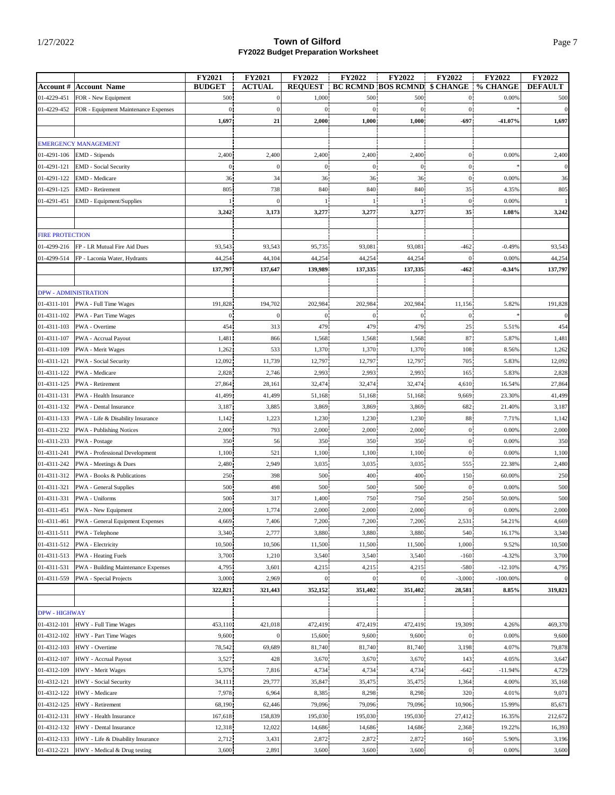|                        |                                              | <b>FY2021</b>  | <b>FY2021</b>    | <b>FY2022</b>  | <b>FY2022</b> | FY2022                              | FY2022         | FY2022      | <b>FY2022</b>  |
|------------------------|----------------------------------------------|----------------|------------------|----------------|---------------|-------------------------------------|----------------|-------------|----------------|
|                        | <b>Account #   Account Name</b>              | <b>BUDGET</b>  | <b>ACTUAL</b>    | <b>REOUEST</b> |               | <b>BC RCMND BOS RCMND \$ CHANGE</b> |                | % CHANGE    | <b>DEFAULT</b> |
| 01-4229-451            | FOR - New Equipment                          | 500            | $\boldsymbol{0}$ | 1,000          | 500           | 500                                 | $\overline{0}$ | 0.00%       | 500            |
| 01-4229-452            | FOR - Equipment Maintenance Expenses         | $\overline{0}$ | $\boldsymbol{0}$ | $\overline{0}$ | $\mathbf{0}$  | $\boldsymbol{0}$                    | $\overline{0}$ |             | $\mathbf{0}$   |
|                        |                                              | 1,697          | 21               | 2,000          | 1,000         | 1,000                               | -697           | $-41.07%$   | 1,697          |
|                        |                                              |                |                  |                |               |                                     |                |             |                |
|                        | <b>EMERGENCY MANAGEMENT</b>                  |                |                  |                |               |                                     |                |             |                |
| 01-4291-106            | EMD - Stipends                               | 2,400          | 2,400            | 2,400          | 2,400         | 2,400                               | $\overline{0}$ | 0.00%       | 2,400          |
| 01-4291-121            | <b>EMD</b> - Social Security                 | $\overline{0}$ | $\Omega$         | $\theta$       | $\mathbf{0}$  | $\overline{0}$                      | $\overline{0}$ |             | $\overline{0}$ |
| 01-4291-122            | EMD - Medicare                               | 36             | 34               | 36             | 36            | 36<br>840                           | $\mathbf{0}$   | 0.00%       | 36             |
| 01-4291-125            | <b>EMD</b> - Retirement                      | 805            | 738              | 840            | 840           |                                     | 35             | 4.35%       | 805            |
| 01-4291-451            | EMD - Equipment/Supplies                     |                |                  |                |               |                                     | $\overline{0}$ | 0.00%       |                |
|                        |                                              | 3,242          | 3,173            | 3,277          | 3,277         | 3,277                               | 35             | 1.08%       | 3,242          |
| <b>FIRE PROTECTION</b> |                                              |                |                  |                |               |                                     |                |             |                |
| 01-4299-216            | FP - LR Mutual Fire Aid Dues                 | 93,543         | 93,543           | 95,735         | 93,081        | 93,081                              | $-462$         | $-0.49%$    | 93,543         |
| 01-4299-514            | FP - Laconia Water, Hydrants                 | 44,254         | 44,104           | 44,254         | 44,254        | 44,254                              |                | 0.00%       | 44,254         |
|                        |                                              | 137,797        | 137,647          | 139,989        | 137,335       | 137,335                             | $-462$         | $-0.34%$    | 137,797        |
|                        |                                              |                |                  |                |               |                                     |                |             |                |
|                        | <b>DPW - ADMINISTRATION</b>                  |                |                  |                |               |                                     |                |             |                |
| 01-4311-101            | PWA - Full Time Wages                        | 191,828        | 194,702          | 202,984        | 202,984       | 202,984                             | 11,156         | 5.82%       | 191,828        |
| 01-4311-102            | PWA - Part Time Wages                        | $\mathbf{0}$   |                  | $\theta$       | $\mathbf{0}$  | $\mathbf{0}$                        | $\mathbf{0}$   |             | $\overline{0}$ |
| 01-4311-103            | PWA - Overtime                               | 454            | 313              | 479            | 479           | 479                                 | 25             | 5.51%       | 454            |
| 01-4311-107            | PWA - Accrual Payout                         | 1,481          | 866              | 1,568          | 1,568         | 1,568                               | 87             | 5.87%       | 1,481          |
| 01-4311-109            | PWA - Merit Wages                            | 1,262          | 533              | 1,370          | 1,370         | 1,370                               | 108            | 8.56%       | 1,262          |
| 01-4311-121            | PWA - Social Security                        | 12,092         | 11,739           | 12,797         | 12,797        | 12,797                              | 705            | 5.83%       | 12,092         |
| 01-4311-122            | PWA - Medicare                               | 2,828          | 2,746            | 2,993          | 2,993         | 2,993                               | 165            | 5.83%       | 2,828          |
| 01-4311-125            | PWA - Retirement                             | 27,864         | 28,161           | 32,474         | 32,474        | 32,474                              | 4,610          | 16.54%      | 27,864         |
| 01-4311-131            | PWA - Health Insurance                       | 41,499         | 41,499           | 51,168         | 51,168        | 51,168                              | 9,669          | 23.30%      | 41,499         |
| 01-4311-132            | PWA - Dental Insurance                       | 3,187          | 3,885            | 3,869          | 3,869         | 3,869                               | 682            | 21.40%      | 3,187          |
| 01-4311-133            | PWA - Life & Disability Insurance            | 1,142          | 1,223            | 1,230          | 1,230         | 1,230                               | 88             | 7.71%       | 1,142          |
| 01-4311-232            | <b>PWA</b> - Publishing Notices              | 2,000          | 793              | 2,000          | 2,000         | 2,000                               | $\overline{0}$ | 0.00%       | 2,000          |
| 01-4311-233            | PWA - Postage                                | 350            | 56               | 350            | 350           | 350                                 | $\overline{0}$ | 0.00%       | 350            |
| 01-4311-241            | PWA - Professional Development               | 1,100          | 521              | 1,100          | 1,100         | 1,100                               | $\overline{0}$ | 0.00%       | 1,100          |
| 01-4311-242            | PWA - Meetings & Dues                        | 2,480          | 2,949            | 3,035          | 3,035         | 3,035                               | 555            | 22.38%      | 2,480          |
| 01-4311-312            | PWA - Books & Publications                   | 250            | 398              | 500            | 400           | 400                                 | 150            | 60.00%      | 250            |
| 01-4311-321            | PWA - General Supplies                       | 500            | 498              | 500            | 500           | 500                                 | $\mathbf{0}$   | 0.00%       | 500            |
| 01-4311-331            | PWA - Uniforms                               | 500            | 317              | 1,400          | 750           | 750                                 | 250            | 50.00%      | 500            |
| 01-4311-451            | PWA - New Equipment                          | 2,000          | 1,774            | 2,000          | 2,000         | 2,000                               | $\overline{0}$ | 0.00%       | 2,000          |
|                        | 01-4311-461 PWA - General Equipment Expenses | 4,669          | 7,406            | 7,200          | 7,200         | 7,200                               | 2,531          | 54.21%      | 4,669          |
| 01-4311-511            | PWA - Telephone                              | 3,340          | 2,777            | 3,880          | 3,880         | 3,880                               | 540            | 16.17%      | 3,340          |
| 01-4311-512            | PWA - Electricity                            | 10,500         | 10,506           | 11,500         | 11,500        | 11,500                              | 1,000          | 9.52%       | 10,500         |
| 01-4311-513            | <b>PWA</b> - Heating Fuels                   | 3,700          | 1,210            | 3,540          | 3,540         | 3,540                               | $-160$         | $-4.32%$    | 3,700          |
| 01-4311-531            | PWA - Building Maintenance Expenses          | 4,795          | 3,601            | 4,215          | 4,215         | 4,215                               | $-580$         | $-12.10%$   | 4,795          |
| 01-4311-559            | PWA - Special Projects                       | 3,000          | 2,969            | $\overline{0}$ | $\mathbf{0}$  | $\mathbf{0}$                        | $-3,000$       | $-100.00\%$ | $\vert$        |
|                        |                                              | 322,821        | 321,443          | 352,152        | 351,402       | 351,402                             | 28,581         | 8.85%       | 319,821        |
|                        |                                              |                |                  |                |               |                                     |                |             |                |
| <b>DPW - HIGHWAY</b>   |                                              |                |                  |                |               |                                     |                |             |                |
| 01-4312-101            | HWY - Full Time Wages                        | 453,110        | 421,018          | 472,419        | 472,419       | 472,419                             | 19,309         | 4.26%       | 469,370        |
| 01-4312-102            | HWY - Part Time Wages                        | 9,600          | $\overline{0}$   | 15,600         | 9,600         | 9,600                               | $\theta$       | 0.00%       | 9,600          |
| 01-4312-103            | HWY - Overtime                               | 78,542         | 69,689           | 81,740         | 81,740        | 81,740                              | 3,198          | 4.07%       | 79,878         |
| 01-4312-107            | HWY - Accrual Payout                         | 3,527          | 428              | 3,670          | 3,670         | 3,670                               | 143            | 4.05%       | 3,647          |
| 01-4312-109            | HWY - Merit Wages                            | 5,376          | 7,816            | 4,734          | 4,734         | 4,734                               | $-642$         | $-11.94%$   | 4,729          |
| 01-4312-121            | HWY - Social Security                        | 34,111         | 29,777           | 35,847         | 35,475        | 35,475                              | 1,364          | 4.00%       | 35,168         |
| 01-4312-122            | HWY - Medicare                               | 7,978          | 6,964            | 8,385          | 8,298         | 8,298                               | 320            | 4.01%       | 9,071          |
| 01-4312-125            | HWY - Retirement                             | 68,190         | 62,446           | 79,096         | 79,096        | 79,096                              | 10,906         | 15.99%      | 85,671         |
| 01-4312-131            | HWY - Health Insurance                       | 167,618        | 158,839          | 195,030        | 195,030       | 195,030                             | 27,412         | 16.35%      | 212,672        |
| 01-4312-132            | HWY - Dental Insurance                       | 12,318         | 12,022           | 14,686         | 14,686        | 14,686                              | 2,368          | 19.22%      | 16,393         |
| 01-4312-133            | HWY - Life & Disability Insurance            | 2,712          | 3,431            | 2,872          | 2,872         | 2,872                               | 160            | 5.90%       | 3,196          |
| 01-4312-221            | HWY - Medical & Drug testing                 | 3,600          | 2,891            | 3,600          | 3,600         | 3,600                               | $\mathbf{0}$   | 0.00%       | 3,600          |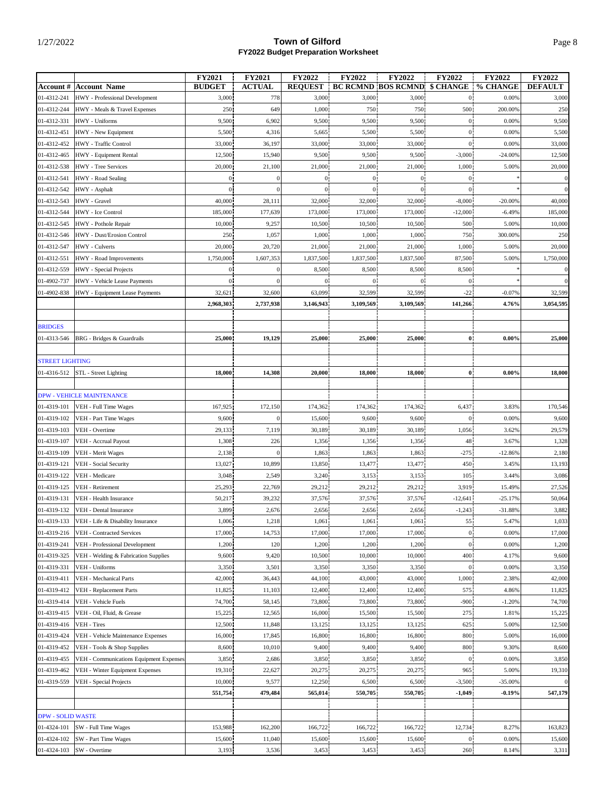|                          |                                         | FY2021         | <b>FY2021</b>    | FY2022         | <b>FY2022</b>  | <b>FY2022</b>                                | <b>FY2022</b>  | <b>FY2022</b> | <b>FY2022</b>  |
|--------------------------|-----------------------------------------|----------------|------------------|----------------|----------------|----------------------------------------------|----------------|---------------|----------------|
|                          | <b>Account # Account Name</b>           | <b>BUDGET</b>  | <b>ACTUAL</b>    | <b>REQUEST</b> |                | <b>BC RCMND BOS RCMND \$ CHANGE % CHANGE</b> |                |               | <b>DEFAULT</b> |
| 01-4312-241              | HWY - Professional Development          | 3,000          | 778              | 3,000          | 3,000          | 3,000                                        | $\overline{0}$ | 0.00%         | 3,000          |
| 01-4312-244              | HWY - Meals & Travel Expenses           | 250            | 649              | 1,000          | 750            | 750                                          | 500            | 200.00%       | 250            |
| 01-4312-331              | HWY - Uniforms                          | 9,500          | 6,902            | 9,500          | 9,500          | 9,500                                        | $\mathbf{0}$   | 0.00%         | 9,500          |
| 01-4312-451              | HWY - New Equipment                     | 5,500          | 4,316            | 5,665          | 5,500          | 5,500                                        | $\overline{0}$ | 0.00%         | 5,500          |
| 01-4312-452              | HWY - Traffic Control                   | 33,000         | 36,197           | 33,000         | 33,000         | 33,000                                       | $\overline{0}$ | 0.00%         | 33,000         |
| 01-4312-465              | HWY - Equipment Rental                  | 12,500         | 15,940           | 9,500          | 9,500          | 9,500                                        | $-3,000$       | $-24.00\%$    | 12,500         |
| 01-4312-538              | HWY - Tree Services                     | 20,000         | 21,100           | 21,000         | 21,000         | 21,000                                       | 1,000          | 5.00%         | 20,000         |
| 01-4312-541              | HWY - Road Sealing                      | 0 <sub>1</sub> |                  | $\overline{0}$ | $\overline{0}$ | $\overline{0}$                               | $\overline{0}$ |               | $\overline{0}$ |
| 01-4312-542              | HWY - Asphalt                           | $\mathbf{0}$   |                  | $\overline{0}$ | $\overline{0}$ | $\overline{0}$                               | $\overline{0}$ |               | $\overline{0}$ |
|                          | HWY - Gravel                            | 40,000         | 28,111           | 32,000         | 32,000         | 32,000                                       | $-8,000$       | $-20.00%$     | 40,000         |
| 01-4312-543              |                                         |                |                  |                |                |                                              |                |               |                |
| 01-4312-544              | HWY - Ice Control                       | 185,000        | 177,639          | 173,000        | 173,000        | 173,000                                      | $-12,000$      | $-6.49%$      | 185,000        |
| 01-4312-545              | HWY - Pothole Repair                    | 10,000         | 9,257            | 10,500         | 10,500         | 10,500                                       | 500            | 5.00%         | 10,000         |
| 01-4312-546              | HWY - Dust/Erosion Control              | 250            | 1,057            | 1,000          | 1,000          | 1,000                                        | 750            | 300.00%       | 250            |
| 01-4312-547              | HWY - Culverts                          | 20,000         | 20,720           | 21,000         | 21,000         | 21,000                                       | 1,000          | 5.00%         | 20,000         |
| 01-4312-551              | HWY - Road Improvements                 | 1,750,000      | 1,607,353        | 1,837,500      | 1,837,500      | 1,837,500                                    | 87,500         | 5.00%         | 1,750,000      |
| 01-4312-559              | HWY - Special Projects                  | $\overline{0}$ |                  | 8,500          | 8,500          | 8,500                                        | 8,500          |               | $\overline{0}$ |
| 01-4902-737              | HWY - Vehicle Lease Payments            | $\overline{0}$ |                  | $\Omega$       | $\mathbf{0}$   | $\overline{0}$                               | $\mathbf{0}$   |               |                |
| 01-4902-838              | HWY - Equipment Lease Payments          | 32,621         | 32,600           | 63,099         | 32,599         | 32,599                                       | $-22$          | $-0.07%$      | 32,599         |
|                          |                                         | 2,968,303      | 2,737,938        | 3,146,943      | 3,109,569      | 3,109,569                                    | 141,266        | 4.76%         | 3,054,595      |
|                          |                                         |                |                  |                |                |                                              |                |               |                |
| <b>BRIDGES</b>           |                                         |                |                  |                |                |                                              |                |               |                |
| 01-4313-546              | <b>BRG</b> - Bridges & Guardrails       | 25,000         | 19,129           | 25,000         | 25,000         | 25,000                                       | $\mathbf{0}$   | $0.00\%$      | 25,000         |
|                          |                                         |                |                  |                |                |                                              |                |               |                |
| <b>STREET LIGHTING</b>   |                                         |                |                  |                |                |                                              |                |               |                |
| 01-4316-512              | STL - Street Lighting                   | 18,000         | 14,308           | 20,000         | 18,000         | 18,000                                       | $\mathbf{0}$   | $0.00\%$      | 18,000         |
|                          |                                         |                |                  |                |                |                                              |                |               |                |
|                          | <b>DPW - VEHICLE MAINTENANCE</b>        |                |                  |                |                |                                              |                |               |                |
| 01-4319-101              | VEH - Full Time Wages                   | 167,925        | 172,150          | 174,362        | 174,362        | 174,362                                      | 6,437          | 3.83%         | 170,546        |
| 01-4319-102              | VEH - Part Time Wages                   | 9,600          | $\boldsymbol{0}$ | 15,600         | 9,600          | 9,600                                        | $\overline{0}$ | 0.00%         | 9,600          |
| 01-4319-103              | VEH - Overtime                          | 29,133         | 7,119            | 30,189         | 30,189         | 30,189                                       | 1,056          | 3.62%         | 29,579         |
| 01-4319-107              | VEH - Accrual Payout                    | 1,308          | 226              | 1,356          | 1,356          | 1,356                                        | 48             | 3.67%         | 1,328          |
| 01-4319-109              | VEH - Merit Wages                       | 2,138          | $\Omega$         | 1,863          | 1,863          | 1,863                                        | $-275$         | $-12.86%$     | 2,180          |
| 01-4319-121              | VEH - Social Security                   | 13,027         | 10,899           | 13,850         | 13,477         | 13,477                                       | 450            | 3.45%         | 13,193         |
| 01-4319-122              | VEH - Medicare                          | 3,048          | 2,549            | 3,240          | 3,153          | 3,153                                        | 105            | 3.44%         | 3,086          |
| 01-4319-125              | VEH - Retirement                        | 25,293         |                  | 29,212         | 29,212         | 29,212                                       | 3,919          | 15.49%        | 27,526         |
|                          | VEH - Health Insurance                  |                | 22,769           |                |                |                                              |                |               |                |
| 01-4319-131              |                                         | 50,217         | 39,232           | 37,576         | 37,576         | 37,576                                       | $-12,641$      | $-25.17%$     | 50,064         |
| 01-4319-132              | VEH - Dental Insurance                  | 3,899          | 2,676            | 2,656          | 2,656          | 2,656                                        | $-1,243$       | $-31.88%$     | 3,882          |
| 01-4319-133              | VEH - Life & Disability Insurance       | 1,006          | 1,218            | 1,061          | 1,061          | 1,061                                        | וככ            | 5.47%         | 1,033          |
| 01-4319-216              | VEH - Contracted Services               | 17,000         | 14,753           | 17,000         | 17,000         | 17,000                                       | $\mathbf{0}$   | 0.00%         | 17,000         |
| 01-4319-241              | VEH - Professional Development          | 1,200          | 120              | 1,200          | 1,200          | 1,200                                        | $\mathbf{0}$   | 0.00%         | 1,200          |
| 01-4319-325              | VEH - Welding & Fabrication Supplies    | 9,600          | 9,420            | 10,500         | 10,000         | 10,000                                       | 400            | 4.17%         | 9,600          |
| 01-4319-331              | VEH - Uniforms                          | 3,350          | 3,501            | 3,350          | 3,350          | 3,350                                        | $\mathbf{0}$   | 0.00%         | 3,350          |
| 01-4319-411              | VEH - Mechanical Parts                  | 42,000         | 36,443           | 44,100         | 43,000         | 43,000                                       | 1,000          | 2.38%         | 42,000         |
| 01-4319-412              | VEH - Replacement Parts                 | 11,825         | 11,103           | 12,400         | 12,400         | 12,400                                       | 575            | 4.86%         | 11,825         |
| 01-4319-414              | VEH - Vehicle Fuels                     | 74,700         | 58,145           | 73,800         | 73,800         | 73,800                                       | $-900$         | $-1.20%$      | 74,700         |
| 01-4319-415              | VEH - Oil, Fluid, & Grease              | 15,225         | 12,565           | 16,000         | 15,500         | 15,500                                       | 275            | 1.81%         | 15,225         |
| 01-4319-416              | VEH - Tires                             | 12,500         | 11,848           | 13,125         | 13,125         | 13,125                                       | 625            | 5.00%         | 12,500         |
| 01-4319-424              | VEH - Vehicle Maintenance Expenses      | 16,000         | 17,845           | 16,800         | 16,800         | 16,800                                       | 800            | 5.00%         | 16,000         |
| 01-4319-452              | VEH - Tools & Shop Supplies             | 8,600          | 10,010           | 9,400          | 9,400          | 9,400                                        | $800\,$        | 9.30%         | 8,600          |
| 01-4319-455              | VEH - Communications Equipment Expenses | 3,850          | 2,686            | 3,850          | 3,850          | 3,850                                        | $\overline{0}$ | 0.00%         | 3,850          |
| 01-4319-462              | VEH - Winter Equipment Expenses         | 19,310         | 22,627           | 20,275         | 20,275         | 20,275                                       | 965            | 5.00%         | 19,310         |
| 01-4319-559              | VEH - Special Projects                  | 10,000         | 9,577            | 12,250         | 6,500          | 6,500                                        | $-3,500$       | $-35.00%$     | $\mathbf{0}$   |
|                          |                                         | 551,754        | 479,484          | 565,014        | 550,705        | 550,705                                      | $-1,049$       | $-0.19%$      | 547,179        |
|                          |                                         |                |                  |                |                |                                              |                |               |                |
| <b>DPW - SOLID WASTE</b> |                                         |                |                  |                |                |                                              |                |               |                |
| 01-4324-101              | SW - Full Time Wages                    | 153,988        | 162,200          | 166,722        | 166,722        | 166,722                                      | 12,734         | 8.27%         | 163,823        |
|                          |                                         |                |                  |                |                |                                              |                |               |                |
| 01-4324-102              | SW - Part Time Wages                    | 15,600         | 11,040           | 15,600         | 15,600         | 15,600                                       | $\overline{0}$ | 0.00%         | 15,600         |
| 01-4324-103              | SW - Overtime                           | 3,193          | 3,536            | 3,453          | 3,453          | 3,453                                        | 260            | 8.14%         | 3,311          |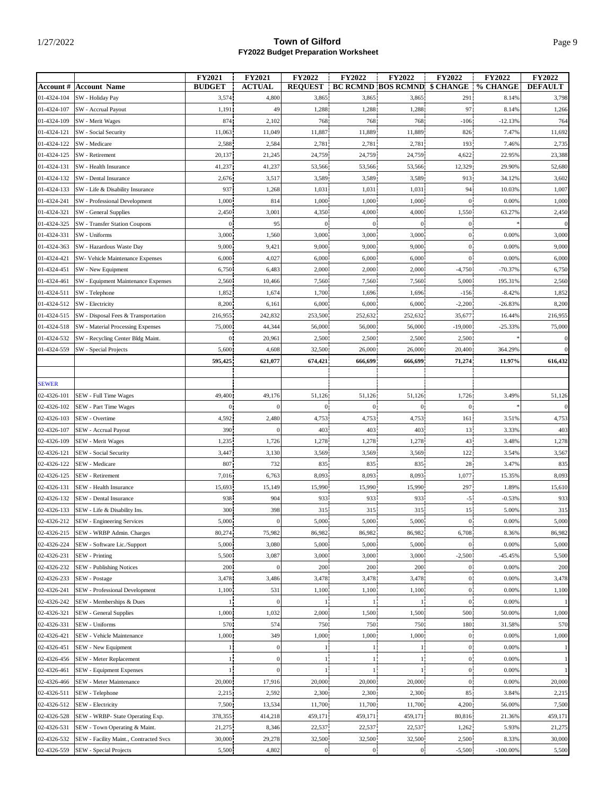| <b>BUDGET</b><br><b>ACTUAL</b><br><b>REQUEST</b><br><b>BC RCMND BOS RCMND</b><br>\$ CHANGE<br>% CHANGE<br><b>DEFAULT</b><br><b>Account #</b><br><b>Account Name</b><br>01-4324-104<br>SW - Holiday Pay<br>3,574<br>4,800<br>3,865<br>3,865<br>3,865<br>291<br>8.14%<br>3,798<br>01-4324-107<br>1,191<br>49<br>1,288<br>1,288<br>97<br>1,266<br>1,288<br>8.14%<br>SW - Accrual Payout<br>01-4324-109<br>SW - Merit Wages<br>874<br>2,102<br>768<br>768<br>768<br>$-106$<br>$-12.13%$<br>764<br>01-4324-121<br>11,889<br>SW - Social Security<br>11,049<br>11,887<br>11,889<br>826<br>7.47%<br>11,692<br>11,063<br>2,781<br>193<br>01-4324-122<br>SW - Medicare<br>2,588<br>2,584<br>2,781<br>2,781<br>7.46%<br>2,735<br>01-4324-125<br>SW - Retirement<br>20,137<br>21,245<br>24,759<br>24,759<br>24,759<br>4,622<br>22.95%<br>23,388<br>41,237<br>12,329<br>01-4324-131<br>SW - Health Insurance<br>41,237<br>53,566<br>53,566<br>53,566<br>29.90%<br>52,680<br>01-4324-132<br>SW - Dental Insurance<br>2,676<br>3,517<br>3,589<br>3,589<br>3,589<br>913<br>34.12%<br>3,602<br>937<br>1,031<br>1,007<br>01-4324-133<br>1,268<br>1,031<br>1,031<br>94<br>10.03%<br>SW - Life & Disability Insurance<br>1,000<br>814<br>1,000<br>1,000<br>01-4324-241<br>1,000<br>1,000<br>$\boldsymbol{0}$<br>0.00%<br>SW - Professional Development<br>01-4324-321<br>SW - General Supplies<br>2,450<br>3,001<br>4,350<br>4,000<br>4,000<br>1,550<br>63.27%<br>2,450<br>01-4324-325<br>95<br>$\mathbf{0}$<br><b>SW</b> - Transfer Station Coupons<br>$\theta$<br>$\mathbf{0}$<br>$\theta$<br>$\mathbf{0}$<br>01-4324-331<br>SW - Uniforms<br>3,000<br>1,560<br>3,000<br>3,000<br>3,000<br>$\overline{0}$<br>0.00%<br>3,000<br>9,000<br>9,000<br>01-4324-363<br>SW - Hazardous Waste Day<br>9,000<br>9,421<br>9,000<br>$\overline{0}$<br>0.00%<br>9,000<br>4,027<br>01-4324-421<br>SW- Vehicle Maintenance Expenses<br>6,000<br>6,000<br>6,000<br>6,000<br>$\mathbf{0}$<br>0.00%<br>6,000<br>01-4324-451<br>6,750<br>6,483<br>2,000<br>2,000<br>2,000<br>$-4,750$<br>$-70.37%$<br>6,750<br>SW - New Equipment<br>01-4324-461<br>7,560<br>7,560<br>5,000<br>195.31%<br>2,560<br>SW - Equipment Maintenance Expenses<br>2,560<br>10,466<br>7,560<br>$-8.42%$<br>01-4324-511<br>SW - Telephone<br>1,852<br>1,674<br>1,700<br>1,696<br>1,696<br>$-156$<br>1,852<br>6,000<br>01-4324-512<br>SW - Electricity<br>8,200<br>6,161<br>6,000<br>6,000<br>$-2,200$<br>$-26.83%$<br>8,200<br>216,955<br>01-4324-515<br>242,832<br>253,500<br>252,632<br>252,632<br>35,677<br>216,955<br>SW - Disposal Fees & Transportation<br>16.44%<br>01-4324-518<br>75,000<br>44,344<br>56,000<br>56,000<br>56,000<br>$-19,000$<br>$-25.33%$<br>75,000<br>SW - Material Processing Expenses<br>01-4324-532<br>0 <sub>1</sub><br>20,961<br>2,500<br>SW - Recycling Center Bldg Maint.<br>2,500<br>2,500<br>2,500<br>01-4324-559<br>5,600<br>4,608<br>32,500<br>26,000<br>26,000<br>20,400<br>364.29%<br>SW - Special Projects<br>616,432<br>595,425<br>621,077<br>674,421<br>666,699<br>666,699<br>71,274<br>11.97%<br><b>SEWER</b><br>1,726<br>02-4326-101<br>49,400<br>49,176<br>51,126<br>51,126<br>51,126<br>3.49%<br>51,126<br>SEW - Full Time Wages<br>0 <sup>1</sup><br>$\mathbf{0}$<br>$\boldsymbol{0}$<br>02-4326-102<br>SEW - Part Time Wages<br>$\overline{0}$<br>$\mathbf{0}$<br>4,753<br>4,753<br>02-4326-103<br>SEW - Overtime<br>4,592<br>2,480<br>4,753<br>4,753<br>161<br>3.51%<br>390<br>403<br>403<br>403<br>403<br>02-4326-107<br>$\boldsymbol{0}$<br>13<br>SEW - Accrual Payout<br>3.33%<br>1,278<br>02-4326-109<br>1,235<br>1,726<br>1,278<br>1,278<br>43<br>3.48%<br>1,278<br>SEW - Merit Wages<br>3,569<br>3,567<br>02-4326-121<br>SEW - Social Security<br>3,447<br>3,130<br>3,569<br>3,569<br>122<br>3.54%<br>02-4326-122<br>732<br>835<br>SEW - Medicare<br>807<br>835<br>835<br>28<br>3.47%<br>835<br>8,093<br>1,077<br>8,093<br>02-4326-125<br>SEW - Retirement<br>7,016<br>6,763<br>8,093<br>8,093<br>15.35%<br>297<br>02-4326-131<br>15,693<br>15,149<br>15,990<br>15,990<br>15,990<br>1.89%<br>15,610<br>SEW - Health Insurance<br>904<br>933<br>02-4326-132<br>938<br>933<br>933<br>$-5$<br>$-0.53%$<br>933<br>SEW - Dental Insurance<br>300<br>398<br>315<br>315<br>02-4326-133<br>315<br>315<br>15<br>5.00%<br>SEW - Life & Disability Ins.<br>SEW - Engineering Services<br>5,000<br>02-4326-212<br>0.00%<br>5,000<br>5,000<br>5,000<br>5,000<br>$\mathbf{0}$<br>$\mathbf{0}$<br>80,274<br>86,982<br>86,982<br>86,982<br>02-4326-215<br>SEW - WRBP Admin. Charges<br>75,982<br>86,982<br>6,708<br>8.36%<br>5,000<br>5,000<br>5,000<br>02-4326-224<br>SEW - Software Lic./Support<br>3,080<br>5,000<br>0.00%<br>5,000<br>$\overline{0}$<br>3,000<br>02-4326-231<br><b>SEW</b> - Printing<br>5,500<br>3,087<br>3,000<br>3,000<br>$-2,500$<br>$-45.45%$<br>5,500<br>02-4326-232<br><b>SEW</b> - Publishing Notices<br>200<br>200<br>200<br>$\theta$<br>200<br>200<br>0.00%<br>$\overline{0}$<br>02-4326-233<br>3,478<br>3,478<br>0.00%<br>3,478<br>SEW - Postage<br>3,478<br>3,486<br>3,478<br>0 <sub>1</sub><br>02-4326-241<br>SEW - Professional Development<br>0 <sup>1</sup><br>1,100<br>531<br>1,100<br>1,100<br>1,100<br>0.00%<br>1,100<br>0 <sup>1</sup><br>02-4326-242<br>SEW - Memberships & Dues<br>$\boldsymbol{0}$<br>0.00%<br>$\mathbf{1}$<br>$\mathbf{1}$<br>1,032<br>1,500<br>500<br>02-4326-321<br><b>SEW</b> - General Supplies<br>1,000<br>2,000<br>1,500<br>50.00%<br>1,000<br>570<br>02-4326-331<br>SEW - Uniforms<br>574<br>750<br>750<br>750<br>180<br>31.58%<br>570<br>1,000<br>349<br>1,000<br>1,000<br>1,000<br>0 <sup>1</sup><br>1,000<br>02-4326-421<br>SEW - Vehicle Maintenance<br>0.00%<br>$\overline{0}$<br>02-4326-451<br>SEW - New Equipment<br>$\overline{0}$<br>$\mathbf{1}$<br>$\mathbf{1}$<br>0.00%<br>$\frac{1}{2}$<br>0 <sup>1</sup><br>11<br>$\boldsymbol{0}$<br>02-4326-456<br>SEW - Meter Replacement<br>1 <sub>1</sub><br>1 <sub>1</sub><br>$\mathbf{1}$<br>0.00%<br>$\overline{0}$<br>11<br>02-4326-461<br>SEW - Equipment Expenses<br>$\theta$<br>$\frac{1}{2}$<br>$\mathbf{1}$<br>0.00%<br>$\mathbf{1}$<br>02-4326-466<br>20,000<br>$\overline{0}$<br>SEW - Meter Maintenance<br>20,000<br>17,916<br>20,000<br>20,000<br>0.00%<br>20,000<br>02-4326-511<br>2,592<br>2,300<br>2,300<br>SEW - Telephone<br>2,215<br>2,300<br>85<br>3.84%<br>2,215<br>02-4326-512<br>SEW - Electricity<br>7,500<br>4,200<br>7,500<br>13,534<br>11,700<br>11,700<br>11,700<br>56.00%<br>02-4326-528<br>SEW - WRBP- State Operating Exp.<br>378,355<br>459,171<br>414,218<br>459,171<br>459,171<br>80,816<br>21.36%<br>459,171<br>22,537<br>02-4326-531<br>SEW - Town Operating & Maint.<br>21,275<br>8,346<br>22,537<br>22,537<br>1,262<br>5.93%<br>21,275<br>32,500<br>2,500<br>02-4326-532<br>SEW - Facility Maint., Contracted Svcs<br>30,000<br>29,278<br>32,500<br>32,500<br>8.33%<br>30,000<br>02-4326-559<br>4,802<br>$\overline{0}$<br>$-5,500$<br>$-100.00\%$<br>$\boldsymbol{0}$<br>$\bf{0}$ |                        | FY2021 | <b>FY2021</b> | FY2022 | <b>FY2022</b> | <b>FY2022</b> | FY2022 | FY2022 | FY2022 |
|-------------------------------------------------------------------------------------------------------------------------------------------------------------------------------------------------------------------------------------------------------------------------------------------------------------------------------------------------------------------------------------------------------------------------------------------------------------------------------------------------------------------------------------------------------------------------------------------------------------------------------------------------------------------------------------------------------------------------------------------------------------------------------------------------------------------------------------------------------------------------------------------------------------------------------------------------------------------------------------------------------------------------------------------------------------------------------------------------------------------------------------------------------------------------------------------------------------------------------------------------------------------------------------------------------------------------------------------------------------------------------------------------------------------------------------------------------------------------------------------------------------------------------------------------------------------------------------------------------------------------------------------------------------------------------------------------------------------------------------------------------------------------------------------------------------------------------------------------------------------------------------------------------------------------------------------------------------------------------------------------------------------------------------------------------------------------------------------------------------------------------------------------------------------------------------------------------------------------------------------------------------------------------------------------------------------------------------------------------------------------------------------------------------------------------------------------------------------------------------------------------------------------------------------------------------------------------------------------------------------------------------------------------------------------------------------------------------------------------------------------------------------------------------------------------------------------------------------------------------------------------------------------------------------------------------------------------------------------------------------------------------------------------------------------------------------------------------------------------------------------------------------------------------------------------------------------------------------------------------------------------------------------------------------------------------------------------------------------------------------------------------------------------------------------------------------------------------------------------------------------------------------------------------------------------------------------------------------------------------------------------------------------------------------------------------------------------------------------------------------------------------------------------------------------------------------------------------------------------------------------------------------------------------------------------------------------------------------------------------------------------------------------------------------------------------------------------------------------------------------------------------------------------------------------------------------------------------------------------------------------------------------------------------------------------------------------------------------------------------------------------------------------------------------------------------------------------------------------------------------------------------------------------------------------------------------------------------------------------------------------------------------------------------------------------------------------------------------------------------------------------------------------------------------------------------------------------------------------------------------------------------------------------------------------------------------------------------------------------------------------------------------------------------------------------------------------------------------------------------------------------------------------------------------------------------------------------------------------------------------------------------------------------------------------------------------------------------------------------------------------------------------------------------------------------------------------------------------------------------------------------------------------------------------------------------------------------------------------------------------------------------------------------------------------------------------------------------------------------------------------------------------------------------------------------------------------------------------------------------------------------------------------------------------------------------------------------------------------------------------------------------------------------------------------------------------------------------------------------------------------------------------------------------------------------------------------------------------------------------------------------------------------------------------------------------------------------------------------------------------------------------------------------------------------------------------------------------------------------------------------------------------------------------------------------------------------------------------------------------------------------------------------------------------------------------------------------------------------------------------------------------------------------------------------------------------------------------------------------------------------------------------------------------------------------------------------------------------------------------------------------------------------|------------------------|--------|---------------|--------|---------------|---------------|--------|--------|--------|
|                                                                                                                                                                                                                                                                                                                                                                                                                                                                                                                                                                                                                                                                                                                                                                                                                                                                                                                                                                                                                                                                                                                                                                                                                                                                                                                                                                                                                                                                                                                                                                                                                                                                                                                                                                                                                                                                                                                                                                                                                                                                                                                                                                                                                                                                                                                                                                                                                                                                                                                                                                                                                                                                                                                                                                                                                                                                                                                                                                                                                                                                                                                                                                                                                                                                                                                                                                                                                                                                                                                                                                                                                                                                                                                                                                                                                                                                                                                                                                                                                                                                                                                                                                                                                                                                                                                                                                                                                                                                                                                                                                                                                                                                                                                                                                                                                                                                                                                                                                                                                                                                                                                                                                                                                                                                                                                                                                                                                                                                                                                                                                                                                                                                                                                                                                                                                                                                                                                                                                                                                                                                                                                                                                                                                                                                                                                                                                                                                                                                                                                                                                                                                                                                                                                                                                                                                                                                                                                                                                                                                         |                        |        |               |        |               |               |        |        |        |
|                                                                                                                                                                                                                                                                                                                                                                                                                                                                                                                                                                                                                                                                                                                                                                                                                                                                                                                                                                                                                                                                                                                                                                                                                                                                                                                                                                                                                                                                                                                                                                                                                                                                                                                                                                                                                                                                                                                                                                                                                                                                                                                                                                                                                                                                                                                                                                                                                                                                                                                                                                                                                                                                                                                                                                                                                                                                                                                                                                                                                                                                                                                                                                                                                                                                                                                                                                                                                                                                                                                                                                                                                                                                                                                                                                                                                                                                                                                                                                                                                                                                                                                                                                                                                                                                                                                                                                                                                                                                                                                                                                                                                                                                                                                                                                                                                                                                                                                                                                                                                                                                                                                                                                                                                                                                                                                                                                                                                                                                                                                                                                                                                                                                                                                                                                                                                                                                                                                                                                                                                                                                                                                                                                                                                                                                                                                                                                                                                                                                                                                                                                                                                                                                                                                                                                                                                                                                                                                                                                                                                         |                        |        |               |        |               |               |        |        |        |
|                                                                                                                                                                                                                                                                                                                                                                                                                                                                                                                                                                                                                                                                                                                                                                                                                                                                                                                                                                                                                                                                                                                                                                                                                                                                                                                                                                                                                                                                                                                                                                                                                                                                                                                                                                                                                                                                                                                                                                                                                                                                                                                                                                                                                                                                                                                                                                                                                                                                                                                                                                                                                                                                                                                                                                                                                                                                                                                                                                                                                                                                                                                                                                                                                                                                                                                                                                                                                                                                                                                                                                                                                                                                                                                                                                                                                                                                                                                                                                                                                                                                                                                                                                                                                                                                                                                                                                                                                                                                                                                                                                                                                                                                                                                                                                                                                                                                                                                                                                                                                                                                                                                                                                                                                                                                                                                                                                                                                                                                                                                                                                                                                                                                                                                                                                                                                                                                                                                                                                                                                                                                                                                                                                                                                                                                                                                                                                                                                                                                                                                                                                                                                                                                                                                                                                                                                                                                                                                                                                                                                         |                        |        |               |        |               |               |        |        |        |
|                                                                                                                                                                                                                                                                                                                                                                                                                                                                                                                                                                                                                                                                                                                                                                                                                                                                                                                                                                                                                                                                                                                                                                                                                                                                                                                                                                                                                                                                                                                                                                                                                                                                                                                                                                                                                                                                                                                                                                                                                                                                                                                                                                                                                                                                                                                                                                                                                                                                                                                                                                                                                                                                                                                                                                                                                                                                                                                                                                                                                                                                                                                                                                                                                                                                                                                                                                                                                                                                                                                                                                                                                                                                                                                                                                                                                                                                                                                                                                                                                                                                                                                                                                                                                                                                                                                                                                                                                                                                                                                                                                                                                                                                                                                                                                                                                                                                                                                                                                                                                                                                                                                                                                                                                                                                                                                                                                                                                                                                                                                                                                                                                                                                                                                                                                                                                                                                                                                                                                                                                                                                                                                                                                                                                                                                                                                                                                                                                                                                                                                                                                                                                                                                                                                                                                                                                                                                                                                                                                                                                         |                        |        |               |        |               |               |        |        |        |
|                                                                                                                                                                                                                                                                                                                                                                                                                                                                                                                                                                                                                                                                                                                                                                                                                                                                                                                                                                                                                                                                                                                                                                                                                                                                                                                                                                                                                                                                                                                                                                                                                                                                                                                                                                                                                                                                                                                                                                                                                                                                                                                                                                                                                                                                                                                                                                                                                                                                                                                                                                                                                                                                                                                                                                                                                                                                                                                                                                                                                                                                                                                                                                                                                                                                                                                                                                                                                                                                                                                                                                                                                                                                                                                                                                                                                                                                                                                                                                                                                                                                                                                                                                                                                                                                                                                                                                                                                                                                                                                                                                                                                                                                                                                                                                                                                                                                                                                                                                                                                                                                                                                                                                                                                                                                                                                                                                                                                                                                                                                                                                                                                                                                                                                                                                                                                                                                                                                                                                                                                                                                                                                                                                                                                                                                                                                                                                                                                                                                                                                                                                                                                                                                                                                                                                                                                                                                                                                                                                                                                         |                        |        |               |        |               |               |        |        |        |
|                                                                                                                                                                                                                                                                                                                                                                                                                                                                                                                                                                                                                                                                                                                                                                                                                                                                                                                                                                                                                                                                                                                                                                                                                                                                                                                                                                                                                                                                                                                                                                                                                                                                                                                                                                                                                                                                                                                                                                                                                                                                                                                                                                                                                                                                                                                                                                                                                                                                                                                                                                                                                                                                                                                                                                                                                                                                                                                                                                                                                                                                                                                                                                                                                                                                                                                                                                                                                                                                                                                                                                                                                                                                                                                                                                                                                                                                                                                                                                                                                                                                                                                                                                                                                                                                                                                                                                                                                                                                                                                                                                                                                                                                                                                                                                                                                                                                                                                                                                                                                                                                                                                                                                                                                                                                                                                                                                                                                                                                                                                                                                                                                                                                                                                                                                                                                                                                                                                                                                                                                                                                                                                                                                                                                                                                                                                                                                                                                                                                                                                                                                                                                                                                                                                                                                                                                                                                                                                                                                                                                         |                        |        |               |        |               |               |        |        |        |
|                                                                                                                                                                                                                                                                                                                                                                                                                                                                                                                                                                                                                                                                                                                                                                                                                                                                                                                                                                                                                                                                                                                                                                                                                                                                                                                                                                                                                                                                                                                                                                                                                                                                                                                                                                                                                                                                                                                                                                                                                                                                                                                                                                                                                                                                                                                                                                                                                                                                                                                                                                                                                                                                                                                                                                                                                                                                                                                                                                                                                                                                                                                                                                                                                                                                                                                                                                                                                                                                                                                                                                                                                                                                                                                                                                                                                                                                                                                                                                                                                                                                                                                                                                                                                                                                                                                                                                                                                                                                                                                                                                                                                                                                                                                                                                                                                                                                                                                                                                                                                                                                                                                                                                                                                                                                                                                                                                                                                                                                                                                                                                                                                                                                                                                                                                                                                                                                                                                                                                                                                                                                                                                                                                                                                                                                                                                                                                                                                                                                                                                                                                                                                                                                                                                                                                                                                                                                                                                                                                                                                         |                        |        |               |        |               |               |        |        |        |
|                                                                                                                                                                                                                                                                                                                                                                                                                                                                                                                                                                                                                                                                                                                                                                                                                                                                                                                                                                                                                                                                                                                                                                                                                                                                                                                                                                                                                                                                                                                                                                                                                                                                                                                                                                                                                                                                                                                                                                                                                                                                                                                                                                                                                                                                                                                                                                                                                                                                                                                                                                                                                                                                                                                                                                                                                                                                                                                                                                                                                                                                                                                                                                                                                                                                                                                                                                                                                                                                                                                                                                                                                                                                                                                                                                                                                                                                                                                                                                                                                                                                                                                                                                                                                                                                                                                                                                                                                                                                                                                                                                                                                                                                                                                                                                                                                                                                                                                                                                                                                                                                                                                                                                                                                                                                                                                                                                                                                                                                                                                                                                                                                                                                                                                                                                                                                                                                                                                                                                                                                                                                                                                                                                                                                                                                                                                                                                                                                                                                                                                                                                                                                                                                                                                                                                                                                                                                                                                                                                                                                         |                        |        |               |        |               |               |        |        |        |
|                                                                                                                                                                                                                                                                                                                                                                                                                                                                                                                                                                                                                                                                                                                                                                                                                                                                                                                                                                                                                                                                                                                                                                                                                                                                                                                                                                                                                                                                                                                                                                                                                                                                                                                                                                                                                                                                                                                                                                                                                                                                                                                                                                                                                                                                                                                                                                                                                                                                                                                                                                                                                                                                                                                                                                                                                                                                                                                                                                                                                                                                                                                                                                                                                                                                                                                                                                                                                                                                                                                                                                                                                                                                                                                                                                                                                                                                                                                                                                                                                                                                                                                                                                                                                                                                                                                                                                                                                                                                                                                                                                                                                                                                                                                                                                                                                                                                                                                                                                                                                                                                                                                                                                                                                                                                                                                                                                                                                                                                                                                                                                                                                                                                                                                                                                                                                                                                                                                                                                                                                                                                                                                                                                                                                                                                                                                                                                                                                                                                                                                                                                                                                                                                                                                                                                                                                                                                                                                                                                                                                         |                        |        |               |        |               |               |        |        |        |
|                                                                                                                                                                                                                                                                                                                                                                                                                                                                                                                                                                                                                                                                                                                                                                                                                                                                                                                                                                                                                                                                                                                                                                                                                                                                                                                                                                                                                                                                                                                                                                                                                                                                                                                                                                                                                                                                                                                                                                                                                                                                                                                                                                                                                                                                                                                                                                                                                                                                                                                                                                                                                                                                                                                                                                                                                                                                                                                                                                                                                                                                                                                                                                                                                                                                                                                                                                                                                                                                                                                                                                                                                                                                                                                                                                                                                                                                                                                                                                                                                                                                                                                                                                                                                                                                                                                                                                                                                                                                                                                                                                                                                                                                                                                                                                                                                                                                                                                                                                                                                                                                                                                                                                                                                                                                                                                                                                                                                                                                                                                                                                                                                                                                                                                                                                                                                                                                                                                                                                                                                                                                                                                                                                                                                                                                                                                                                                                                                                                                                                                                                                                                                                                                                                                                                                                                                                                                                                                                                                                                                         |                        |        |               |        |               |               |        |        |        |
|                                                                                                                                                                                                                                                                                                                                                                                                                                                                                                                                                                                                                                                                                                                                                                                                                                                                                                                                                                                                                                                                                                                                                                                                                                                                                                                                                                                                                                                                                                                                                                                                                                                                                                                                                                                                                                                                                                                                                                                                                                                                                                                                                                                                                                                                                                                                                                                                                                                                                                                                                                                                                                                                                                                                                                                                                                                                                                                                                                                                                                                                                                                                                                                                                                                                                                                                                                                                                                                                                                                                                                                                                                                                                                                                                                                                                                                                                                                                                                                                                                                                                                                                                                                                                                                                                                                                                                                                                                                                                                                                                                                                                                                                                                                                                                                                                                                                                                                                                                                                                                                                                                                                                                                                                                                                                                                                                                                                                                                                                                                                                                                                                                                                                                                                                                                                                                                                                                                                                                                                                                                                                                                                                                                                                                                                                                                                                                                                                                                                                                                                                                                                                                                                                                                                                                                                                                                                                                                                                                                                                         |                        |        |               |        |               |               |        |        |        |
|                                                                                                                                                                                                                                                                                                                                                                                                                                                                                                                                                                                                                                                                                                                                                                                                                                                                                                                                                                                                                                                                                                                                                                                                                                                                                                                                                                                                                                                                                                                                                                                                                                                                                                                                                                                                                                                                                                                                                                                                                                                                                                                                                                                                                                                                                                                                                                                                                                                                                                                                                                                                                                                                                                                                                                                                                                                                                                                                                                                                                                                                                                                                                                                                                                                                                                                                                                                                                                                                                                                                                                                                                                                                                                                                                                                                                                                                                                                                                                                                                                                                                                                                                                                                                                                                                                                                                                                                                                                                                                                                                                                                                                                                                                                                                                                                                                                                                                                                                                                                                                                                                                                                                                                                                                                                                                                                                                                                                                                                                                                                                                                                                                                                                                                                                                                                                                                                                                                                                                                                                                                                                                                                                                                                                                                                                                                                                                                                                                                                                                                                                                                                                                                                                                                                                                                                                                                                                                                                                                                                                         |                        |        |               |        |               |               |        |        |        |
|                                                                                                                                                                                                                                                                                                                                                                                                                                                                                                                                                                                                                                                                                                                                                                                                                                                                                                                                                                                                                                                                                                                                                                                                                                                                                                                                                                                                                                                                                                                                                                                                                                                                                                                                                                                                                                                                                                                                                                                                                                                                                                                                                                                                                                                                                                                                                                                                                                                                                                                                                                                                                                                                                                                                                                                                                                                                                                                                                                                                                                                                                                                                                                                                                                                                                                                                                                                                                                                                                                                                                                                                                                                                                                                                                                                                                                                                                                                                                                                                                                                                                                                                                                                                                                                                                                                                                                                                                                                                                                                                                                                                                                                                                                                                                                                                                                                                                                                                                                                                                                                                                                                                                                                                                                                                                                                                                                                                                                                                                                                                                                                                                                                                                                                                                                                                                                                                                                                                                                                                                                                                                                                                                                                                                                                                                                                                                                                                                                                                                                                                                                                                                                                                                                                                                                                                                                                                                                                                                                                                                         |                        |        |               |        |               |               |        |        |        |
|                                                                                                                                                                                                                                                                                                                                                                                                                                                                                                                                                                                                                                                                                                                                                                                                                                                                                                                                                                                                                                                                                                                                                                                                                                                                                                                                                                                                                                                                                                                                                                                                                                                                                                                                                                                                                                                                                                                                                                                                                                                                                                                                                                                                                                                                                                                                                                                                                                                                                                                                                                                                                                                                                                                                                                                                                                                                                                                                                                                                                                                                                                                                                                                                                                                                                                                                                                                                                                                                                                                                                                                                                                                                                                                                                                                                                                                                                                                                                                                                                                                                                                                                                                                                                                                                                                                                                                                                                                                                                                                                                                                                                                                                                                                                                                                                                                                                                                                                                                                                                                                                                                                                                                                                                                                                                                                                                                                                                                                                                                                                                                                                                                                                                                                                                                                                                                                                                                                                                                                                                                                                                                                                                                                                                                                                                                                                                                                                                                                                                                                                                                                                                                                                                                                                                                                                                                                                                                                                                                                                                         |                        |        |               |        |               |               |        |        |        |
|                                                                                                                                                                                                                                                                                                                                                                                                                                                                                                                                                                                                                                                                                                                                                                                                                                                                                                                                                                                                                                                                                                                                                                                                                                                                                                                                                                                                                                                                                                                                                                                                                                                                                                                                                                                                                                                                                                                                                                                                                                                                                                                                                                                                                                                                                                                                                                                                                                                                                                                                                                                                                                                                                                                                                                                                                                                                                                                                                                                                                                                                                                                                                                                                                                                                                                                                                                                                                                                                                                                                                                                                                                                                                                                                                                                                                                                                                                                                                                                                                                                                                                                                                                                                                                                                                                                                                                                                                                                                                                                                                                                                                                                                                                                                                                                                                                                                                                                                                                                                                                                                                                                                                                                                                                                                                                                                                                                                                                                                                                                                                                                                                                                                                                                                                                                                                                                                                                                                                                                                                                                                                                                                                                                                                                                                                                                                                                                                                                                                                                                                                                                                                                                                                                                                                                                                                                                                                                                                                                                                                         |                        |        |               |        |               |               |        |        |        |
|                                                                                                                                                                                                                                                                                                                                                                                                                                                                                                                                                                                                                                                                                                                                                                                                                                                                                                                                                                                                                                                                                                                                                                                                                                                                                                                                                                                                                                                                                                                                                                                                                                                                                                                                                                                                                                                                                                                                                                                                                                                                                                                                                                                                                                                                                                                                                                                                                                                                                                                                                                                                                                                                                                                                                                                                                                                                                                                                                                                                                                                                                                                                                                                                                                                                                                                                                                                                                                                                                                                                                                                                                                                                                                                                                                                                                                                                                                                                                                                                                                                                                                                                                                                                                                                                                                                                                                                                                                                                                                                                                                                                                                                                                                                                                                                                                                                                                                                                                                                                                                                                                                                                                                                                                                                                                                                                                                                                                                                                                                                                                                                                                                                                                                                                                                                                                                                                                                                                                                                                                                                                                                                                                                                                                                                                                                                                                                                                                                                                                                                                                                                                                                                                                                                                                                                                                                                                                                                                                                                                                         |                        |        |               |        |               |               |        |        |        |
|                                                                                                                                                                                                                                                                                                                                                                                                                                                                                                                                                                                                                                                                                                                                                                                                                                                                                                                                                                                                                                                                                                                                                                                                                                                                                                                                                                                                                                                                                                                                                                                                                                                                                                                                                                                                                                                                                                                                                                                                                                                                                                                                                                                                                                                                                                                                                                                                                                                                                                                                                                                                                                                                                                                                                                                                                                                                                                                                                                                                                                                                                                                                                                                                                                                                                                                                                                                                                                                                                                                                                                                                                                                                                                                                                                                                                                                                                                                                                                                                                                                                                                                                                                                                                                                                                                                                                                                                                                                                                                                                                                                                                                                                                                                                                                                                                                                                                                                                                                                                                                                                                                                                                                                                                                                                                                                                                                                                                                                                                                                                                                                                                                                                                                                                                                                                                                                                                                                                                                                                                                                                                                                                                                                                                                                                                                                                                                                                                                                                                                                                                                                                                                                                                                                                                                                                                                                                                                                                                                                                                         |                        |        |               |        |               |               |        |        |        |
|                                                                                                                                                                                                                                                                                                                                                                                                                                                                                                                                                                                                                                                                                                                                                                                                                                                                                                                                                                                                                                                                                                                                                                                                                                                                                                                                                                                                                                                                                                                                                                                                                                                                                                                                                                                                                                                                                                                                                                                                                                                                                                                                                                                                                                                                                                                                                                                                                                                                                                                                                                                                                                                                                                                                                                                                                                                                                                                                                                                                                                                                                                                                                                                                                                                                                                                                                                                                                                                                                                                                                                                                                                                                                                                                                                                                                                                                                                                                                                                                                                                                                                                                                                                                                                                                                                                                                                                                                                                                                                                                                                                                                                                                                                                                                                                                                                                                                                                                                                                                                                                                                                                                                                                                                                                                                                                                                                                                                                                                                                                                                                                                                                                                                                                                                                                                                                                                                                                                                                                                                                                                                                                                                                                                                                                                                                                                                                                                                                                                                                                                                                                                                                                                                                                                                                                                                                                                                                                                                                                                                         |                        |        |               |        |               |               |        |        |        |
|                                                                                                                                                                                                                                                                                                                                                                                                                                                                                                                                                                                                                                                                                                                                                                                                                                                                                                                                                                                                                                                                                                                                                                                                                                                                                                                                                                                                                                                                                                                                                                                                                                                                                                                                                                                                                                                                                                                                                                                                                                                                                                                                                                                                                                                                                                                                                                                                                                                                                                                                                                                                                                                                                                                                                                                                                                                                                                                                                                                                                                                                                                                                                                                                                                                                                                                                                                                                                                                                                                                                                                                                                                                                                                                                                                                                                                                                                                                                                                                                                                                                                                                                                                                                                                                                                                                                                                                                                                                                                                                                                                                                                                                                                                                                                                                                                                                                                                                                                                                                                                                                                                                                                                                                                                                                                                                                                                                                                                                                                                                                                                                                                                                                                                                                                                                                                                                                                                                                                                                                                                                                                                                                                                                                                                                                                                                                                                                                                                                                                                                                                                                                                                                                                                                                                                                                                                                                                                                                                                                                                         |                        |        |               |        |               |               |        |        |        |
|                                                                                                                                                                                                                                                                                                                                                                                                                                                                                                                                                                                                                                                                                                                                                                                                                                                                                                                                                                                                                                                                                                                                                                                                                                                                                                                                                                                                                                                                                                                                                                                                                                                                                                                                                                                                                                                                                                                                                                                                                                                                                                                                                                                                                                                                                                                                                                                                                                                                                                                                                                                                                                                                                                                                                                                                                                                                                                                                                                                                                                                                                                                                                                                                                                                                                                                                                                                                                                                                                                                                                                                                                                                                                                                                                                                                                                                                                                                                                                                                                                                                                                                                                                                                                                                                                                                                                                                                                                                                                                                                                                                                                                                                                                                                                                                                                                                                                                                                                                                                                                                                                                                                                                                                                                                                                                                                                                                                                                                                                                                                                                                                                                                                                                                                                                                                                                                                                                                                                                                                                                                                                                                                                                                                                                                                                                                                                                                                                                                                                                                                                                                                                                                                                                                                                                                                                                                                                                                                                                                                                         |                        |        |               |        |               |               |        |        |        |
|                                                                                                                                                                                                                                                                                                                                                                                                                                                                                                                                                                                                                                                                                                                                                                                                                                                                                                                                                                                                                                                                                                                                                                                                                                                                                                                                                                                                                                                                                                                                                                                                                                                                                                                                                                                                                                                                                                                                                                                                                                                                                                                                                                                                                                                                                                                                                                                                                                                                                                                                                                                                                                                                                                                                                                                                                                                                                                                                                                                                                                                                                                                                                                                                                                                                                                                                                                                                                                                                                                                                                                                                                                                                                                                                                                                                                                                                                                                                                                                                                                                                                                                                                                                                                                                                                                                                                                                                                                                                                                                                                                                                                                                                                                                                                                                                                                                                                                                                                                                                                                                                                                                                                                                                                                                                                                                                                                                                                                                                                                                                                                                                                                                                                                                                                                                                                                                                                                                                                                                                                                                                                                                                                                                                                                                                                                                                                                                                                                                                                                                                                                                                                                                                                                                                                                                                                                                                                                                                                                                                                         |                        |        |               |        |               |               |        |        |        |
|                                                                                                                                                                                                                                                                                                                                                                                                                                                                                                                                                                                                                                                                                                                                                                                                                                                                                                                                                                                                                                                                                                                                                                                                                                                                                                                                                                                                                                                                                                                                                                                                                                                                                                                                                                                                                                                                                                                                                                                                                                                                                                                                                                                                                                                                                                                                                                                                                                                                                                                                                                                                                                                                                                                                                                                                                                                                                                                                                                                                                                                                                                                                                                                                                                                                                                                                                                                                                                                                                                                                                                                                                                                                                                                                                                                                                                                                                                                                                                                                                                                                                                                                                                                                                                                                                                                                                                                                                                                                                                                                                                                                                                                                                                                                                                                                                                                                                                                                                                                                                                                                                                                                                                                                                                                                                                                                                                                                                                                                                                                                                                                                                                                                                                                                                                                                                                                                                                                                                                                                                                                                                                                                                                                                                                                                                                                                                                                                                                                                                                                                                                                                                                                                                                                                                                                                                                                                                                                                                                                                                         |                        |        |               |        |               |               |        |        |        |
|                                                                                                                                                                                                                                                                                                                                                                                                                                                                                                                                                                                                                                                                                                                                                                                                                                                                                                                                                                                                                                                                                                                                                                                                                                                                                                                                                                                                                                                                                                                                                                                                                                                                                                                                                                                                                                                                                                                                                                                                                                                                                                                                                                                                                                                                                                                                                                                                                                                                                                                                                                                                                                                                                                                                                                                                                                                                                                                                                                                                                                                                                                                                                                                                                                                                                                                                                                                                                                                                                                                                                                                                                                                                                                                                                                                                                                                                                                                                                                                                                                                                                                                                                                                                                                                                                                                                                                                                                                                                                                                                                                                                                                                                                                                                                                                                                                                                                                                                                                                                                                                                                                                                                                                                                                                                                                                                                                                                                                                                                                                                                                                                                                                                                                                                                                                                                                                                                                                                                                                                                                                                                                                                                                                                                                                                                                                                                                                                                                                                                                                                                                                                                                                                                                                                                                                                                                                                                                                                                                                                                         |                        |        |               |        |               |               |        |        |        |
|                                                                                                                                                                                                                                                                                                                                                                                                                                                                                                                                                                                                                                                                                                                                                                                                                                                                                                                                                                                                                                                                                                                                                                                                                                                                                                                                                                                                                                                                                                                                                                                                                                                                                                                                                                                                                                                                                                                                                                                                                                                                                                                                                                                                                                                                                                                                                                                                                                                                                                                                                                                                                                                                                                                                                                                                                                                                                                                                                                                                                                                                                                                                                                                                                                                                                                                                                                                                                                                                                                                                                                                                                                                                                                                                                                                                                                                                                                                                                                                                                                                                                                                                                                                                                                                                                                                                                                                                                                                                                                                                                                                                                                                                                                                                                                                                                                                                                                                                                                                                                                                                                                                                                                                                                                                                                                                                                                                                                                                                                                                                                                                                                                                                                                                                                                                                                                                                                                                                                                                                                                                                                                                                                                                                                                                                                                                                                                                                                                                                                                                                                                                                                                                                                                                                                                                                                                                                                                                                                                                                                         |                        |        |               |        |               |               |        |        |        |
|                                                                                                                                                                                                                                                                                                                                                                                                                                                                                                                                                                                                                                                                                                                                                                                                                                                                                                                                                                                                                                                                                                                                                                                                                                                                                                                                                                                                                                                                                                                                                                                                                                                                                                                                                                                                                                                                                                                                                                                                                                                                                                                                                                                                                                                                                                                                                                                                                                                                                                                                                                                                                                                                                                                                                                                                                                                                                                                                                                                                                                                                                                                                                                                                                                                                                                                                                                                                                                                                                                                                                                                                                                                                                                                                                                                                                                                                                                                                                                                                                                                                                                                                                                                                                                                                                                                                                                                                                                                                                                                                                                                                                                                                                                                                                                                                                                                                                                                                                                                                                                                                                                                                                                                                                                                                                                                                                                                                                                                                                                                                                                                                                                                                                                                                                                                                                                                                                                                                                                                                                                                                                                                                                                                                                                                                                                                                                                                                                                                                                                                                                                                                                                                                                                                                                                                                                                                                                                                                                                                                                         |                        |        |               |        |               |               |        |        |        |
|                                                                                                                                                                                                                                                                                                                                                                                                                                                                                                                                                                                                                                                                                                                                                                                                                                                                                                                                                                                                                                                                                                                                                                                                                                                                                                                                                                                                                                                                                                                                                                                                                                                                                                                                                                                                                                                                                                                                                                                                                                                                                                                                                                                                                                                                                                                                                                                                                                                                                                                                                                                                                                                                                                                                                                                                                                                                                                                                                                                                                                                                                                                                                                                                                                                                                                                                                                                                                                                                                                                                                                                                                                                                                                                                                                                                                                                                                                                                                                                                                                                                                                                                                                                                                                                                                                                                                                                                                                                                                                                                                                                                                                                                                                                                                                                                                                                                                                                                                                                                                                                                                                                                                                                                                                                                                                                                                                                                                                                                                                                                                                                                                                                                                                                                                                                                                                                                                                                                                                                                                                                                                                                                                                                                                                                                                                                                                                                                                                                                                                                                                                                                                                                                                                                                                                                                                                                                                                                                                                                                                         |                        |        |               |        |               |               |        |        |        |
|                                                                                                                                                                                                                                                                                                                                                                                                                                                                                                                                                                                                                                                                                                                                                                                                                                                                                                                                                                                                                                                                                                                                                                                                                                                                                                                                                                                                                                                                                                                                                                                                                                                                                                                                                                                                                                                                                                                                                                                                                                                                                                                                                                                                                                                                                                                                                                                                                                                                                                                                                                                                                                                                                                                                                                                                                                                                                                                                                                                                                                                                                                                                                                                                                                                                                                                                                                                                                                                                                                                                                                                                                                                                                                                                                                                                                                                                                                                                                                                                                                                                                                                                                                                                                                                                                                                                                                                                                                                                                                                                                                                                                                                                                                                                                                                                                                                                                                                                                                                                                                                                                                                                                                                                                                                                                                                                                                                                                                                                                                                                                                                                                                                                                                                                                                                                                                                                                                                                                                                                                                                                                                                                                                                                                                                                                                                                                                                                                                                                                                                                                                                                                                                                                                                                                                                                                                                                                                                                                                                                                         |                        |        |               |        |               |               |        |        |        |
|                                                                                                                                                                                                                                                                                                                                                                                                                                                                                                                                                                                                                                                                                                                                                                                                                                                                                                                                                                                                                                                                                                                                                                                                                                                                                                                                                                                                                                                                                                                                                                                                                                                                                                                                                                                                                                                                                                                                                                                                                                                                                                                                                                                                                                                                                                                                                                                                                                                                                                                                                                                                                                                                                                                                                                                                                                                                                                                                                                                                                                                                                                                                                                                                                                                                                                                                                                                                                                                                                                                                                                                                                                                                                                                                                                                                                                                                                                                                                                                                                                                                                                                                                                                                                                                                                                                                                                                                                                                                                                                                                                                                                                                                                                                                                                                                                                                                                                                                                                                                                                                                                                                                                                                                                                                                                                                                                                                                                                                                                                                                                                                                                                                                                                                                                                                                                                                                                                                                                                                                                                                                                                                                                                                                                                                                                                                                                                                                                                                                                                                                                                                                                                                                                                                                                                                                                                                                                                                                                                                                                         |                        |        |               |        |               |               |        |        |        |
|                                                                                                                                                                                                                                                                                                                                                                                                                                                                                                                                                                                                                                                                                                                                                                                                                                                                                                                                                                                                                                                                                                                                                                                                                                                                                                                                                                                                                                                                                                                                                                                                                                                                                                                                                                                                                                                                                                                                                                                                                                                                                                                                                                                                                                                                                                                                                                                                                                                                                                                                                                                                                                                                                                                                                                                                                                                                                                                                                                                                                                                                                                                                                                                                                                                                                                                                                                                                                                                                                                                                                                                                                                                                                                                                                                                                                                                                                                                                                                                                                                                                                                                                                                                                                                                                                                                                                                                                                                                                                                                                                                                                                                                                                                                                                                                                                                                                                                                                                                                                                                                                                                                                                                                                                                                                                                                                                                                                                                                                                                                                                                                                                                                                                                                                                                                                                                                                                                                                                                                                                                                                                                                                                                                                                                                                                                                                                                                                                                                                                                                                                                                                                                                                                                                                                                                                                                                                                                                                                                                                                         |                        |        |               |        |               |               |        |        |        |
|                                                                                                                                                                                                                                                                                                                                                                                                                                                                                                                                                                                                                                                                                                                                                                                                                                                                                                                                                                                                                                                                                                                                                                                                                                                                                                                                                                                                                                                                                                                                                                                                                                                                                                                                                                                                                                                                                                                                                                                                                                                                                                                                                                                                                                                                                                                                                                                                                                                                                                                                                                                                                                                                                                                                                                                                                                                                                                                                                                                                                                                                                                                                                                                                                                                                                                                                                                                                                                                                                                                                                                                                                                                                                                                                                                                                                                                                                                                                                                                                                                                                                                                                                                                                                                                                                                                                                                                                                                                                                                                                                                                                                                                                                                                                                                                                                                                                                                                                                                                                                                                                                                                                                                                                                                                                                                                                                                                                                                                                                                                                                                                                                                                                                                                                                                                                                                                                                                                                                                                                                                                                                                                                                                                                                                                                                                                                                                                                                                                                                                                                                                                                                                                                                                                                                                                                                                                                                                                                                                                                                         |                        |        |               |        |               |               |        |        |        |
|                                                                                                                                                                                                                                                                                                                                                                                                                                                                                                                                                                                                                                                                                                                                                                                                                                                                                                                                                                                                                                                                                                                                                                                                                                                                                                                                                                                                                                                                                                                                                                                                                                                                                                                                                                                                                                                                                                                                                                                                                                                                                                                                                                                                                                                                                                                                                                                                                                                                                                                                                                                                                                                                                                                                                                                                                                                                                                                                                                                                                                                                                                                                                                                                                                                                                                                                                                                                                                                                                                                                                                                                                                                                                                                                                                                                                                                                                                                                                                                                                                                                                                                                                                                                                                                                                                                                                                                                                                                                                                                                                                                                                                                                                                                                                                                                                                                                                                                                                                                                                                                                                                                                                                                                                                                                                                                                                                                                                                                                                                                                                                                                                                                                                                                                                                                                                                                                                                                                                                                                                                                                                                                                                                                                                                                                                                                                                                                                                                                                                                                                                                                                                                                                                                                                                                                                                                                                                                                                                                                                                         |                        |        |               |        |               |               |        |        |        |
|                                                                                                                                                                                                                                                                                                                                                                                                                                                                                                                                                                                                                                                                                                                                                                                                                                                                                                                                                                                                                                                                                                                                                                                                                                                                                                                                                                                                                                                                                                                                                                                                                                                                                                                                                                                                                                                                                                                                                                                                                                                                                                                                                                                                                                                                                                                                                                                                                                                                                                                                                                                                                                                                                                                                                                                                                                                                                                                                                                                                                                                                                                                                                                                                                                                                                                                                                                                                                                                                                                                                                                                                                                                                                                                                                                                                                                                                                                                                                                                                                                                                                                                                                                                                                                                                                                                                                                                                                                                                                                                                                                                                                                                                                                                                                                                                                                                                                                                                                                                                                                                                                                                                                                                                                                                                                                                                                                                                                                                                                                                                                                                                                                                                                                                                                                                                                                                                                                                                                                                                                                                                                                                                                                                                                                                                                                                                                                                                                                                                                                                                                                                                                                                                                                                                                                                                                                                                                                                                                                                                                         |                        |        |               |        |               |               |        |        |        |
|                                                                                                                                                                                                                                                                                                                                                                                                                                                                                                                                                                                                                                                                                                                                                                                                                                                                                                                                                                                                                                                                                                                                                                                                                                                                                                                                                                                                                                                                                                                                                                                                                                                                                                                                                                                                                                                                                                                                                                                                                                                                                                                                                                                                                                                                                                                                                                                                                                                                                                                                                                                                                                                                                                                                                                                                                                                                                                                                                                                                                                                                                                                                                                                                                                                                                                                                                                                                                                                                                                                                                                                                                                                                                                                                                                                                                                                                                                                                                                                                                                                                                                                                                                                                                                                                                                                                                                                                                                                                                                                                                                                                                                                                                                                                                                                                                                                                                                                                                                                                                                                                                                                                                                                                                                                                                                                                                                                                                                                                                                                                                                                                                                                                                                                                                                                                                                                                                                                                                                                                                                                                                                                                                                                                                                                                                                                                                                                                                                                                                                                                                                                                                                                                                                                                                                                                                                                                                                                                                                                                                         |                        |        |               |        |               |               |        |        |        |
|                                                                                                                                                                                                                                                                                                                                                                                                                                                                                                                                                                                                                                                                                                                                                                                                                                                                                                                                                                                                                                                                                                                                                                                                                                                                                                                                                                                                                                                                                                                                                                                                                                                                                                                                                                                                                                                                                                                                                                                                                                                                                                                                                                                                                                                                                                                                                                                                                                                                                                                                                                                                                                                                                                                                                                                                                                                                                                                                                                                                                                                                                                                                                                                                                                                                                                                                                                                                                                                                                                                                                                                                                                                                                                                                                                                                                                                                                                                                                                                                                                                                                                                                                                                                                                                                                                                                                                                                                                                                                                                                                                                                                                                                                                                                                                                                                                                                                                                                                                                                                                                                                                                                                                                                                                                                                                                                                                                                                                                                                                                                                                                                                                                                                                                                                                                                                                                                                                                                                                                                                                                                                                                                                                                                                                                                                                                                                                                                                                                                                                                                                                                                                                                                                                                                                                                                                                                                                                                                                                                                                         |                        |        |               |        |               |               |        |        |        |
|                                                                                                                                                                                                                                                                                                                                                                                                                                                                                                                                                                                                                                                                                                                                                                                                                                                                                                                                                                                                                                                                                                                                                                                                                                                                                                                                                                                                                                                                                                                                                                                                                                                                                                                                                                                                                                                                                                                                                                                                                                                                                                                                                                                                                                                                                                                                                                                                                                                                                                                                                                                                                                                                                                                                                                                                                                                                                                                                                                                                                                                                                                                                                                                                                                                                                                                                                                                                                                                                                                                                                                                                                                                                                                                                                                                                                                                                                                                                                                                                                                                                                                                                                                                                                                                                                                                                                                                                                                                                                                                                                                                                                                                                                                                                                                                                                                                                                                                                                                                                                                                                                                                                                                                                                                                                                                                                                                                                                                                                                                                                                                                                                                                                                                                                                                                                                                                                                                                                                                                                                                                                                                                                                                                                                                                                                                                                                                                                                                                                                                                                                                                                                                                                                                                                                                                                                                                                                                                                                                                                                         |                        |        |               |        |               |               |        |        |        |
|                                                                                                                                                                                                                                                                                                                                                                                                                                                                                                                                                                                                                                                                                                                                                                                                                                                                                                                                                                                                                                                                                                                                                                                                                                                                                                                                                                                                                                                                                                                                                                                                                                                                                                                                                                                                                                                                                                                                                                                                                                                                                                                                                                                                                                                                                                                                                                                                                                                                                                                                                                                                                                                                                                                                                                                                                                                                                                                                                                                                                                                                                                                                                                                                                                                                                                                                                                                                                                                                                                                                                                                                                                                                                                                                                                                                                                                                                                                                                                                                                                                                                                                                                                                                                                                                                                                                                                                                                                                                                                                                                                                                                                                                                                                                                                                                                                                                                                                                                                                                                                                                                                                                                                                                                                                                                                                                                                                                                                                                                                                                                                                                                                                                                                                                                                                                                                                                                                                                                                                                                                                                                                                                                                                                                                                                                                                                                                                                                                                                                                                                                                                                                                                                                                                                                                                                                                                                                                                                                                                                                         |                        |        |               |        |               |               |        |        |        |
|                                                                                                                                                                                                                                                                                                                                                                                                                                                                                                                                                                                                                                                                                                                                                                                                                                                                                                                                                                                                                                                                                                                                                                                                                                                                                                                                                                                                                                                                                                                                                                                                                                                                                                                                                                                                                                                                                                                                                                                                                                                                                                                                                                                                                                                                                                                                                                                                                                                                                                                                                                                                                                                                                                                                                                                                                                                                                                                                                                                                                                                                                                                                                                                                                                                                                                                                                                                                                                                                                                                                                                                                                                                                                                                                                                                                                                                                                                                                                                                                                                                                                                                                                                                                                                                                                                                                                                                                                                                                                                                                                                                                                                                                                                                                                                                                                                                                                                                                                                                                                                                                                                                                                                                                                                                                                                                                                                                                                                                                                                                                                                                                                                                                                                                                                                                                                                                                                                                                                                                                                                                                                                                                                                                                                                                                                                                                                                                                                                                                                                                                                                                                                                                                                                                                                                                                                                                                                                                                                                                                                         |                        |        |               |        |               |               |        |        |        |
|                                                                                                                                                                                                                                                                                                                                                                                                                                                                                                                                                                                                                                                                                                                                                                                                                                                                                                                                                                                                                                                                                                                                                                                                                                                                                                                                                                                                                                                                                                                                                                                                                                                                                                                                                                                                                                                                                                                                                                                                                                                                                                                                                                                                                                                                                                                                                                                                                                                                                                                                                                                                                                                                                                                                                                                                                                                                                                                                                                                                                                                                                                                                                                                                                                                                                                                                                                                                                                                                                                                                                                                                                                                                                                                                                                                                                                                                                                                                                                                                                                                                                                                                                                                                                                                                                                                                                                                                                                                                                                                                                                                                                                                                                                                                                                                                                                                                                                                                                                                                                                                                                                                                                                                                                                                                                                                                                                                                                                                                                                                                                                                                                                                                                                                                                                                                                                                                                                                                                                                                                                                                                                                                                                                                                                                                                                                                                                                                                                                                                                                                                                                                                                                                                                                                                                                                                                                                                                                                                                                                                         |                        |        |               |        |               |               |        |        |        |
|                                                                                                                                                                                                                                                                                                                                                                                                                                                                                                                                                                                                                                                                                                                                                                                                                                                                                                                                                                                                                                                                                                                                                                                                                                                                                                                                                                                                                                                                                                                                                                                                                                                                                                                                                                                                                                                                                                                                                                                                                                                                                                                                                                                                                                                                                                                                                                                                                                                                                                                                                                                                                                                                                                                                                                                                                                                                                                                                                                                                                                                                                                                                                                                                                                                                                                                                                                                                                                                                                                                                                                                                                                                                                                                                                                                                                                                                                                                                                                                                                                                                                                                                                                                                                                                                                                                                                                                                                                                                                                                                                                                                                                                                                                                                                                                                                                                                                                                                                                                                                                                                                                                                                                                                                                                                                                                                                                                                                                                                                                                                                                                                                                                                                                                                                                                                                                                                                                                                                                                                                                                                                                                                                                                                                                                                                                                                                                                                                                                                                                                                                                                                                                                                                                                                                                                                                                                                                                                                                                                                                         |                        |        |               |        |               |               |        |        |        |
|                                                                                                                                                                                                                                                                                                                                                                                                                                                                                                                                                                                                                                                                                                                                                                                                                                                                                                                                                                                                                                                                                                                                                                                                                                                                                                                                                                                                                                                                                                                                                                                                                                                                                                                                                                                                                                                                                                                                                                                                                                                                                                                                                                                                                                                                                                                                                                                                                                                                                                                                                                                                                                                                                                                                                                                                                                                                                                                                                                                                                                                                                                                                                                                                                                                                                                                                                                                                                                                                                                                                                                                                                                                                                                                                                                                                                                                                                                                                                                                                                                                                                                                                                                                                                                                                                                                                                                                                                                                                                                                                                                                                                                                                                                                                                                                                                                                                                                                                                                                                                                                                                                                                                                                                                                                                                                                                                                                                                                                                                                                                                                                                                                                                                                                                                                                                                                                                                                                                                                                                                                                                                                                                                                                                                                                                                                                                                                                                                                                                                                                                                                                                                                                                                                                                                                                                                                                                                                                                                                                                                         |                        |        |               |        |               |               |        |        |        |
|                                                                                                                                                                                                                                                                                                                                                                                                                                                                                                                                                                                                                                                                                                                                                                                                                                                                                                                                                                                                                                                                                                                                                                                                                                                                                                                                                                                                                                                                                                                                                                                                                                                                                                                                                                                                                                                                                                                                                                                                                                                                                                                                                                                                                                                                                                                                                                                                                                                                                                                                                                                                                                                                                                                                                                                                                                                                                                                                                                                                                                                                                                                                                                                                                                                                                                                                                                                                                                                                                                                                                                                                                                                                                                                                                                                                                                                                                                                                                                                                                                                                                                                                                                                                                                                                                                                                                                                                                                                                                                                                                                                                                                                                                                                                                                                                                                                                                                                                                                                                                                                                                                                                                                                                                                                                                                                                                                                                                                                                                                                                                                                                                                                                                                                                                                                                                                                                                                                                                                                                                                                                                                                                                                                                                                                                                                                                                                                                                                                                                                                                                                                                                                                                                                                                                                                                                                                                                                                                                                                                                         |                        |        |               |        |               |               |        |        |        |
|                                                                                                                                                                                                                                                                                                                                                                                                                                                                                                                                                                                                                                                                                                                                                                                                                                                                                                                                                                                                                                                                                                                                                                                                                                                                                                                                                                                                                                                                                                                                                                                                                                                                                                                                                                                                                                                                                                                                                                                                                                                                                                                                                                                                                                                                                                                                                                                                                                                                                                                                                                                                                                                                                                                                                                                                                                                                                                                                                                                                                                                                                                                                                                                                                                                                                                                                                                                                                                                                                                                                                                                                                                                                                                                                                                                                                                                                                                                                                                                                                                                                                                                                                                                                                                                                                                                                                                                                                                                                                                                                                                                                                                                                                                                                                                                                                                                                                                                                                                                                                                                                                                                                                                                                                                                                                                                                                                                                                                                                                                                                                                                                                                                                                                                                                                                                                                                                                                                                                                                                                                                                                                                                                                                                                                                                                                                                                                                                                                                                                                                                                                                                                                                                                                                                                                                                                                                                                                                                                                                                                         |                        |        |               |        |               |               |        |        |        |
|                                                                                                                                                                                                                                                                                                                                                                                                                                                                                                                                                                                                                                                                                                                                                                                                                                                                                                                                                                                                                                                                                                                                                                                                                                                                                                                                                                                                                                                                                                                                                                                                                                                                                                                                                                                                                                                                                                                                                                                                                                                                                                                                                                                                                                                                                                                                                                                                                                                                                                                                                                                                                                                                                                                                                                                                                                                                                                                                                                                                                                                                                                                                                                                                                                                                                                                                                                                                                                                                                                                                                                                                                                                                                                                                                                                                                                                                                                                                                                                                                                                                                                                                                                                                                                                                                                                                                                                                                                                                                                                                                                                                                                                                                                                                                                                                                                                                                                                                                                                                                                                                                                                                                                                                                                                                                                                                                                                                                                                                                                                                                                                                                                                                                                                                                                                                                                                                                                                                                                                                                                                                                                                                                                                                                                                                                                                                                                                                                                                                                                                                                                                                                                                                                                                                                                                                                                                                                                                                                                                                                         |                        |        |               |        |               |               |        |        |        |
|                                                                                                                                                                                                                                                                                                                                                                                                                                                                                                                                                                                                                                                                                                                                                                                                                                                                                                                                                                                                                                                                                                                                                                                                                                                                                                                                                                                                                                                                                                                                                                                                                                                                                                                                                                                                                                                                                                                                                                                                                                                                                                                                                                                                                                                                                                                                                                                                                                                                                                                                                                                                                                                                                                                                                                                                                                                                                                                                                                                                                                                                                                                                                                                                                                                                                                                                                                                                                                                                                                                                                                                                                                                                                                                                                                                                                                                                                                                                                                                                                                                                                                                                                                                                                                                                                                                                                                                                                                                                                                                                                                                                                                                                                                                                                                                                                                                                                                                                                                                                                                                                                                                                                                                                                                                                                                                                                                                                                                                                                                                                                                                                                                                                                                                                                                                                                                                                                                                                                                                                                                                                                                                                                                                                                                                                                                                                                                                                                                                                                                                                                                                                                                                                                                                                                                                                                                                                                                                                                                                                                         |                        |        |               |        |               |               |        |        |        |
|                                                                                                                                                                                                                                                                                                                                                                                                                                                                                                                                                                                                                                                                                                                                                                                                                                                                                                                                                                                                                                                                                                                                                                                                                                                                                                                                                                                                                                                                                                                                                                                                                                                                                                                                                                                                                                                                                                                                                                                                                                                                                                                                                                                                                                                                                                                                                                                                                                                                                                                                                                                                                                                                                                                                                                                                                                                                                                                                                                                                                                                                                                                                                                                                                                                                                                                                                                                                                                                                                                                                                                                                                                                                                                                                                                                                                                                                                                                                                                                                                                                                                                                                                                                                                                                                                                                                                                                                                                                                                                                                                                                                                                                                                                                                                                                                                                                                                                                                                                                                                                                                                                                                                                                                                                                                                                                                                                                                                                                                                                                                                                                                                                                                                                                                                                                                                                                                                                                                                                                                                                                                                                                                                                                                                                                                                                                                                                                                                                                                                                                                                                                                                                                                                                                                                                                                                                                                                                                                                                                                                         |                        |        |               |        |               |               |        |        |        |
|                                                                                                                                                                                                                                                                                                                                                                                                                                                                                                                                                                                                                                                                                                                                                                                                                                                                                                                                                                                                                                                                                                                                                                                                                                                                                                                                                                                                                                                                                                                                                                                                                                                                                                                                                                                                                                                                                                                                                                                                                                                                                                                                                                                                                                                                                                                                                                                                                                                                                                                                                                                                                                                                                                                                                                                                                                                                                                                                                                                                                                                                                                                                                                                                                                                                                                                                                                                                                                                                                                                                                                                                                                                                                                                                                                                                                                                                                                                                                                                                                                                                                                                                                                                                                                                                                                                                                                                                                                                                                                                                                                                                                                                                                                                                                                                                                                                                                                                                                                                                                                                                                                                                                                                                                                                                                                                                                                                                                                                                                                                                                                                                                                                                                                                                                                                                                                                                                                                                                                                                                                                                                                                                                                                                                                                                                                                                                                                                                                                                                                                                                                                                                                                                                                                                                                                                                                                                                                                                                                                                                         |                        |        |               |        |               |               |        |        |        |
|                                                                                                                                                                                                                                                                                                                                                                                                                                                                                                                                                                                                                                                                                                                                                                                                                                                                                                                                                                                                                                                                                                                                                                                                                                                                                                                                                                                                                                                                                                                                                                                                                                                                                                                                                                                                                                                                                                                                                                                                                                                                                                                                                                                                                                                                                                                                                                                                                                                                                                                                                                                                                                                                                                                                                                                                                                                                                                                                                                                                                                                                                                                                                                                                                                                                                                                                                                                                                                                                                                                                                                                                                                                                                                                                                                                                                                                                                                                                                                                                                                                                                                                                                                                                                                                                                                                                                                                                                                                                                                                                                                                                                                                                                                                                                                                                                                                                                                                                                                                                                                                                                                                                                                                                                                                                                                                                                                                                                                                                                                                                                                                                                                                                                                                                                                                                                                                                                                                                                                                                                                                                                                                                                                                                                                                                                                                                                                                                                                                                                                                                                                                                                                                                                                                                                                                                                                                                                                                                                                                                                         |                        |        |               |        |               |               |        |        |        |
|                                                                                                                                                                                                                                                                                                                                                                                                                                                                                                                                                                                                                                                                                                                                                                                                                                                                                                                                                                                                                                                                                                                                                                                                                                                                                                                                                                                                                                                                                                                                                                                                                                                                                                                                                                                                                                                                                                                                                                                                                                                                                                                                                                                                                                                                                                                                                                                                                                                                                                                                                                                                                                                                                                                                                                                                                                                                                                                                                                                                                                                                                                                                                                                                                                                                                                                                                                                                                                                                                                                                                                                                                                                                                                                                                                                                                                                                                                                                                                                                                                                                                                                                                                                                                                                                                                                                                                                                                                                                                                                                                                                                                                                                                                                                                                                                                                                                                                                                                                                                                                                                                                                                                                                                                                                                                                                                                                                                                                                                                                                                                                                                                                                                                                                                                                                                                                                                                                                                                                                                                                                                                                                                                                                                                                                                                                                                                                                                                                                                                                                                                                                                                                                                                                                                                                                                                                                                                                                                                                                                                         |                        |        |               |        |               |               |        |        |        |
|                                                                                                                                                                                                                                                                                                                                                                                                                                                                                                                                                                                                                                                                                                                                                                                                                                                                                                                                                                                                                                                                                                                                                                                                                                                                                                                                                                                                                                                                                                                                                                                                                                                                                                                                                                                                                                                                                                                                                                                                                                                                                                                                                                                                                                                                                                                                                                                                                                                                                                                                                                                                                                                                                                                                                                                                                                                                                                                                                                                                                                                                                                                                                                                                                                                                                                                                                                                                                                                                                                                                                                                                                                                                                                                                                                                                                                                                                                                                                                                                                                                                                                                                                                                                                                                                                                                                                                                                                                                                                                                                                                                                                                                                                                                                                                                                                                                                                                                                                                                                                                                                                                                                                                                                                                                                                                                                                                                                                                                                                                                                                                                                                                                                                                                                                                                                                                                                                                                                                                                                                                                                                                                                                                                                                                                                                                                                                                                                                                                                                                                                                                                                                                                                                                                                                                                                                                                                                                                                                                                                                         |                        |        |               |        |               |               |        |        |        |
|                                                                                                                                                                                                                                                                                                                                                                                                                                                                                                                                                                                                                                                                                                                                                                                                                                                                                                                                                                                                                                                                                                                                                                                                                                                                                                                                                                                                                                                                                                                                                                                                                                                                                                                                                                                                                                                                                                                                                                                                                                                                                                                                                                                                                                                                                                                                                                                                                                                                                                                                                                                                                                                                                                                                                                                                                                                                                                                                                                                                                                                                                                                                                                                                                                                                                                                                                                                                                                                                                                                                                                                                                                                                                                                                                                                                                                                                                                                                                                                                                                                                                                                                                                                                                                                                                                                                                                                                                                                                                                                                                                                                                                                                                                                                                                                                                                                                                                                                                                                                                                                                                                                                                                                                                                                                                                                                                                                                                                                                                                                                                                                                                                                                                                                                                                                                                                                                                                                                                                                                                                                                                                                                                                                                                                                                                                                                                                                                                                                                                                                                                                                                                                                                                                                                                                                                                                                                                                                                                                                                                         |                        |        |               |        |               |               |        |        |        |
|                                                                                                                                                                                                                                                                                                                                                                                                                                                                                                                                                                                                                                                                                                                                                                                                                                                                                                                                                                                                                                                                                                                                                                                                                                                                                                                                                                                                                                                                                                                                                                                                                                                                                                                                                                                                                                                                                                                                                                                                                                                                                                                                                                                                                                                                                                                                                                                                                                                                                                                                                                                                                                                                                                                                                                                                                                                                                                                                                                                                                                                                                                                                                                                                                                                                                                                                                                                                                                                                                                                                                                                                                                                                                                                                                                                                                                                                                                                                                                                                                                                                                                                                                                                                                                                                                                                                                                                                                                                                                                                                                                                                                                                                                                                                                                                                                                                                                                                                                                                                                                                                                                                                                                                                                                                                                                                                                                                                                                                                                                                                                                                                                                                                                                                                                                                                                                                                                                                                                                                                                                                                                                                                                                                                                                                                                                                                                                                                                                                                                                                                                                                                                                                                                                                                                                                                                                                                                                                                                                                                                         |                        |        |               |        |               |               |        |        |        |
|                                                                                                                                                                                                                                                                                                                                                                                                                                                                                                                                                                                                                                                                                                                                                                                                                                                                                                                                                                                                                                                                                                                                                                                                                                                                                                                                                                                                                                                                                                                                                                                                                                                                                                                                                                                                                                                                                                                                                                                                                                                                                                                                                                                                                                                                                                                                                                                                                                                                                                                                                                                                                                                                                                                                                                                                                                                                                                                                                                                                                                                                                                                                                                                                                                                                                                                                                                                                                                                                                                                                                                                                                                                                                                                                                                                                                                                                                                                                                                                                                                                                                                                                                                                                                                                                                                                                                                                                                                                                                                                                                                                                                                                                                                                                                                                                                                                                                                                                                                                                                                                                                                                                                                                                                                                                                                                                                                                                                                                                                                                                                                                                                                                                                                                                                                                                                                                                                                                                                                                                                                                                                                                                                                                                                                                                                                                                                                                                                                                                                                                                                                                                                                                                                                                                                                                                                                                                                                                                                                                                                         |                        |        |               |        |               |               |        |        |        |
|                                                                                                                                                                                                                                                                                                                                                                                                                                                                                                                                                                                                                                                                                                                                                                                                                                                                                                                                                                                                                                                                                                                                                                                                                                                                                                                                                                                                                                                                                                                                                                                                                                                                                                                                                                                                                                                                                                                                                                                                                                                                                                                                                                                                                                                                                                                                                                                                                                                                                                                                                                                                                                                                                                                                                                                                                                                                                                                                                                                                                                                                                                                                                                                                                                                                                                                                                                                                                                                                                                                                                                                                                                                                                                                                                                                                                                                                                                                                                                                                                                                                                                                                                                                                                                                                                                                                                                                                                                                                                                                                                                                                                                                                                                                                                                                                                                                                                                                                                                                                                                                                                                                                                                                                                                                                                                                                                                                                                                                                                                                                                                                                                                                                                                                                                                                                                                                                                                                                                                                                                                                                                                                                                                                                                                                                                                                                                                                                                                                                                                                                                                                                                                                                                                                                                                                                                                                                                                                                                                                                                         |                        |        |               |        |               |               |        |        |        |
|                                                                                                                                                                                                                                                                                                                                                                                                                                                                                                                                                                                                                                                                                                                                                                                                                                                                                                                                                                                                                                                                                                                                                                                                                                                                                                                                                                                                                                                                                                                                                                                                                                                                                                                                                                                                                                                                                                                                                                                                                                                                                                                                                                                                                                                                                                                                                                                                                                                                                                                                                                                                                                                                                                                                                                                                                                                                                                                                                                                                                                                                                                                                                                                                                                                                                                                                                                                                                                                                                                                                                                                                                                                                                                                                                                                                                                                                                                                                                                                                                                                                                                                                                                                                                                                                                                                                                                                                                                                                                                                                                                                                                                                                                                                                                                                                                                                                                                                                                                                                                                                                                                                                                                                                                                                                                                                                                                                                                                                                                                                                                                                                                                                                                                                                                                                                                                                                                                                                                                                                                                                                                                                                                                                                                                                                                                                                                                                                                                                                                                                                                                                                                                                                                                                                                                                                                                                                                                                                                                                                                         |                        |        |               |        |               |               |        |        |        |
|                                                                                                                                                                                                                                                                                                                                                                                                                                                                                                                                                                                                                                                                                                                                                                                                                                                                                                                                                                                                                                                                                                                                                                                                                                                                                                                                                                                                                                                                                                                                                                                                                                                                                                                                                                                                                                                                                                                                                                                                                                                                                                                                                                                                                                                                                                                                                                                                                                                                                                                                                                                                                                                                                                                                                                                                                                                                                                                                                                                                                                                                                                                                                                                                                                                                                                                                                                                                                                                                                                                                                                                                                                                                                                                                                                                                                                                                                                                                                                                                                                                                                                                                                                                                                                                                                                                                                                                                                                                                                                                                                                                                                                                                                                                                                                                                                                                                                                                                                                                                                                                                                                                                                                                                                                                                                                                                                                                                                                                                                                                                                                                                                                                                                                                                                                                                                                                                                                                                                                                                                                                                                                                                                                                                                                                                                                                                                                                                                                                                                                                                                                                                                                                                                                                                                                                                                                                                                                                                                                                                                         |                        |        |               |        |               |               |        |        |        |
|                                                                                                                                                                                                                                                                                                                                                                                                                                                                                                                                                                                                                                                                                                                                                                                                                                                                                                                                                                                                                                                                                                                                                                                                                                                                                                                                                                                                                                                                                                                                                                                                                                                                                                                                                                                                                                                                                                                                                                                                                                                                                                                                                                                                                                                                                                                                                                                                                                                                                                                                                                                                                                                                                                                                                                                                                                                                                                                                                                                                                                                                                                                                                                                                                                                                                                                                                                                                                                                                                                                                                                                                                                                                                                                                                                                                                                                                                                                                                                                                                                                                                                                                                                                                                                                                                                                                                                                                                                                                                                                                                                                                                                                                                                                                                                                                                                                                                                                                                                                                                                                                                                                                                                                                                                                                                                                                                                                                                                                                                                                                                                                                                                                                                                                                                                                                                                                                                                                                                                                                                                                                                                                                                                                                                                                                                                                                                                                                                                                                                                                                                                                                                                                                                                                                                                                                                                                                                                                                                                                                                         |                        |        |               |        |               |               |        |        |        |
|                                                                                                                                                                                                                                                                                                                                                                                                                                                                                                                                                                                                                                                                                                                                                                                                                                                                                                                                                                                                                                                                                                                                                                                                                                                                                                                                                                                                                                                                                                                                                                                                                                                                                                                                                                                                                                                                                                                                                                                                                                                                                                                                                                                                                                                                                                                                                                                                                                                                                                                                                                                                                                                                                                                                                                                                                                                                                                                                                                                                                                                                                                                                                                                                                                                                                                                                                                                                                                                                                                                                                                                                                                                                                                                                                                                                                                                                                                                                                                                                                                                                                                                                                                                                                                                                                                                                                                                                                                                                                                                                                                                                                                                                                                                                                                                                                                                                                                                                                                                                                                                                                                                                                                                                                                                                                                                                                                                                                                                                                                                                                                                                                                                                                                                                                                                                                                                                                                                                                                                                                                                                                                                                                                                                                                                                                                                                                                                                                                                                                                                                                                                                                                                                                                                                                                                                                                                                                                                                                                                                                         |                        |        |               |        |               |               |        |        |        |
|                                                                                                                                                                                                                                                                                                                                                                                                                                                                                                                                                                                                                                                                                                                                                                                                                                                                                                                                                                                                                                                                                                                                                                                                                                                                                                                                                                                                                                                                                                                                                                                                                                                                                                                                                                                                                                                                                                                                                                                                                                                                                                                                                                                                                                                                                                                                                                                                                                                                                                                                                                                                                                                                                                                                                                                                                                                                                                                                                                                                                                                                                                                                                                                                                                                                                                                                                                                                                                                                                                                                                                                                                                                                                                                                                                                                                                                                                                                                                                                                                                                                                                                                                                                                                                                                                                                                                                                                                                                                                                                                                                                                                                                                                                                                                                                                                                                                                                                                                                                                                                                                                                                                                                                                                                                                                                                                                                                                                                                                                                                                                                                                                                                                                                                                                                                                                                                                                                                                                                                                                                                                                                                                                                                                                                                                                                                                                                                                                                                                                                                                                                                                                                                                                                                                                                                                                                                                                                                                                                                                                         |                        |        |               |        |               |               |        |        |        |
|                                                                                                                                                                                                                                                                                                                                                                                                                                                                                                                                                                                                                                                                                                                                                                                                                                                                                                                                                                                                                                                                                                                                                                                                                                                                                                                                                                                                                                                                                                                                                                                                                                                                                                                                                                                                                                                                                                                                                                                                                                                                                                                                                                                                                                                                                                                                                                                                                                                                                                                                                                                                                                                                                                                                                                                                                                                                                                                                                                                                                                                                                                                                                                                                                                                                                                                                                                                                                                                                                                                                                                                                                                                                                                                                                                                                                                                                                                                                                                                                                                                                                                                                                                                                                                                                                                                                                                                                                                                                                                                                                                                                                                                                                                                                                                                                                                                                                                                                                                                                                                                                                                                                                                                                                                                                                                                                                                                                                                                                                                                                                                                                                                                                                                                                                                                                                                                                                                                                                                                                                                                                                                                                                                                                                                                                                                                                                                                                                                                                                                                                                                                                                                                                                                                                                                                                                                                                                                                                                                                                                         |                        |        |               |        |               |               |        |        |        |
|                                                                                                                                                                                                                                                                                                                                                                                                                                                                                                                                                                                                                                                                                                                                                                                                                                                                                                                                                                                                                                                                                                                                                                                                                                                                                                                                                                                                                                                                                                                                                                                                                                                                                                                                                                                                                                                                                                                                                                                                                                                                                                                                                                                                                                                                                                                                                                                                                                                                                                                                                                                                                                                                                                                                                                                                                                                                                                                                                                                                                                                                                                                                                                                                                                                                                                                                                                                                                                                                                                                                                                                                                                                                                                                                                                                                                                                                                                                                                                                                                                                                                                                                                                                                                                                                                                                                                                                                                                                                                                                                                                                                                                                                                                                                                                                                                                                                                                                                                                                                                                                                                                                                                                                                                                                                                                                                                                                                                                                                                                                                                                                                                                                                                                                                                                                                                                                                                                                                                                                                                                                                                                                                                                                                                                                                                                                                                                                                                                                                                                                                                                                                                                                                                                                                                                                                                                                                                                                                                                                                                         |                        |        |               |        |               |               |        |        |        |
|                                                                                                                                                                                                                                                                                                                                                                                                                                                                                                                                                                                                                                                                                                                                                                                                                                                                                                                                                                                                                                                                                                                                                                                                                                                                                                                                                                                                                                                                                                                                                                                                                                                                                                                                                                                                                                                                                                                                                                                                                                                                                                                                                                                                                                                                                                                                                                                                                                                                                                                                                                                                                                                                                                                                                                                                                                                                                                                                                                                                                                                                                                                                                                                                                                                                                                                                                                                                                                                                                                                                                                                                                                                                                                                                                                                                                                                                                                                                                                                                                                                                                                                                                                                                                                                                                                                                                                                                                                                                                                                                                                                                                                                                                                                                                                                                                                                                                                                                                                                                                                                                                                                                                                                                                                                                                                                                                                                                                                                                                                                                                                                                                                                                                                                                                                                                                                                                                                                                                                                                                                                                                                                                                                                                                                                                                                                                                                                                                                                                                                                                                                                                                                                                                                                                                                                                                                                                                                                                                                                                                         |                        |        |               |        |               |               |        |        |        |
|                                                                                                                                                                                                                                                                                                                                                                                                                                                                                                                                                                                                                                                                                                                                                                                                                                                                                                                                                                                                                                                                                                                                                                                                                                                                                                                                                                                                                                                                                                                                                                                                                                                                                                                                                                                                                                                                                                                                                                                                                                                                                                                                                                                                                                                                                                                                                                                                                                                                                                                                                                                                                                                                                                                                                                                                                                                                                                                                                                                                                                                                                                                                                                                                                                                                                                                                                                                                                                                                                                                                                                                                                                                                                                                                                                                                                                                                                                                                                                                                                                                                                                                                                                                                                                                                                                                                                                                                                                                                                                                                                                                                                                                                                                                                                                                                                                                                                                                                                                                                                                                                                                                                                                                                                                                                                                                                                                                                                                                                                                                                                                                                                                                                                                                                                                                                                                                                                                                                                                                                                                                                                                                                                                                                                                                                                                                                                                                                                                                                                                                                                                                                                                                                                                                                                                                                                                                                                                                                                                                                                         | SEW - Special Projects | 5,500  |               |        |               |               |        |        | 5,500  |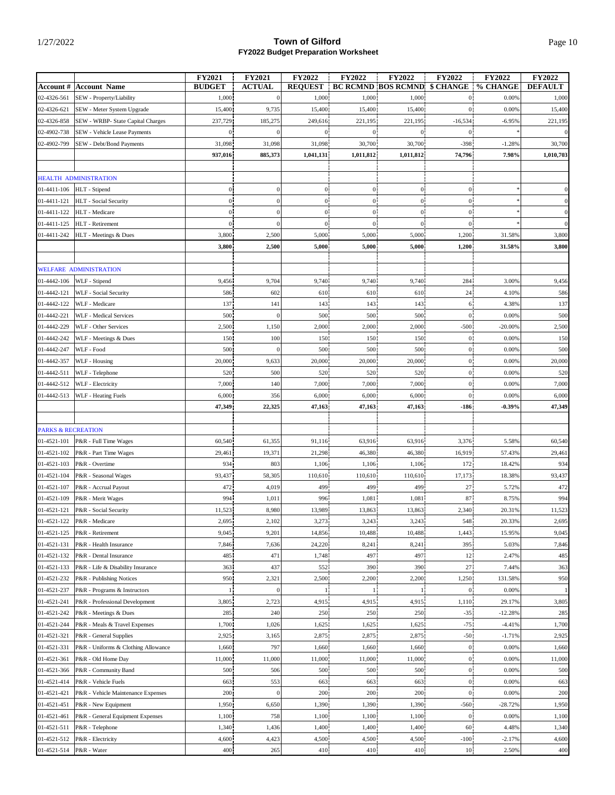|                               |                                     | <b>FY2021</b>  | FY2021           | <b>FY2022</b>    | <b>FY2022</b>    | <b>FY2022</b>             | FY2022           | <b>FY2022</b> | <b>FY2022</b>  |
|-------------------------------|-------------------------------------|----------------|------------------|------------------|------------------|---------------------------|------------------|---------------|----------------|
| <b>Account #</b>              | <b>Account Name</b>                 | <b>BUDGET</b>  | <b>ACTUAL</b>    | <b>REQUEST</b>   |                  | <b>BC RCMND BOS RCMND</b> | \$ CHANGE        | % CHANGE      | <b>DEFAULT</b> |
| 02-4326-561                   | SEW - Property/Liability            | 1,000          | $\bf{0}$         | 1,000            | 1,000            | 1,000                     | $\mathbf{0}$     | 0.00%         | 1,000          |
| 02-4326-621                   | SEW - Meter System Upgrade          | 15,400         | 9,735            | 15,400           | 15,400           | 15,400                    | $\overline{0}$   | 0.00%         | 15,400         |
| 02-4326-858                   | SEW - WRBP- State Capital Charges   | 237,729        | 185,275          | 249,616          | 221,195          | 221,195                   | $-16,534$        | $-6.95%$      | 221,195        |
| 02-4902-738                   | SEW - Vehicle Lease Payments        | 0 <sub>1</sub> | $\boldsymbol{0}$ | $\overline{0}$   | $\mathbf{0}$     | $\mathbf{0}$              | $\mathbf{0}$     |               |                |
| 02-4902-799                   | SEW - Debt/Bond Payments            | 31,098         | 31,098           | 31,098           | 30,700           | 30,700                    | $-398$           | $-1.28%$      | 30,700         |
|                               |                                     | 937,016        | 885,373          | 1,041,131        | 1,011,812        | 1,011,812                 | 74,796           | 7.98%         | 1,010,703      |
|                               |                                     |                |                  |                  |                  |                           |                  |               |                |
|                               | HEALTH ADMINISTRATION               |                |                  |                  |                  |                           |                  |               |                |
| 01-4411-106                   | HLT - Stipend                       | $\mathbf{0}$   | $\boldsymbol{0}$ | $\boldsymbol{0}$ | $\overline{0}$   | $\boldsymbol{0}$          | $\mathbf{0}$     |               |                |
| 01-4411-121                   | HLT - Social Security               | $\overline{0}$ | $\boldsymbol{0}$ | $\mathbf{0}$     | $\boldsymbol{0}$ | $\overline{0}$            | $\theta$         |               |                |
| 01-4411-122                   | HLT - Medicare                      | $\overline{0}$ | $\boldsymbol{0}$ | $\mathbf{0}$     | $\overline{0}$   | $\overline{0}$            | $\boldsymbol{0}$ |               | $\theta$       |
| 01-4411-125                   | HLT - Retirement                    | 0 <sub>1</sub> | $\boldsymbol{0}$ | $\mathbf{0}$     | $\mathbf{0}$     | $\overline{0}$            | $\theta$         |               | $\overline{0}$ |
| 01-4411-242                   | HLT - Meetings & Dues               | 3,800          | 2,500            | 5,000            | 5,000            | 5,000                     | 1,200            | 31.58%        | 3,800          |
|                               |                                     | 3,800          | 2,500            | 5,000            | 5,000            | 5,000                     | 1,200            | 31.58%        | 3,800          |
|                               |                                     |                |                  |                  |                  |                           |                  |               |                |
|                               | <b>WELFARE ADMINISTRATION</b>       |                |                  |                  |                  |                           |                  |               |                |
| 01-4442-106                   | WLF - Stipend                       | 9,456          | 9,704            | 9,740            | 9,740            | 9,740                     | 284              | 3.00%         | 9,456          |
| 01-4442-121                   | WLF - Social Security               | 586            | 602              | 610              | 610              | 610                       | 24               | 4.10%         | 586            |
| 01-4442-122                   | WLF - Medicare                      | 137            | 141              | 143              | 143              | 143                       | 6                | 4.38%         | 137            |
| 01-4442-221                   | <b>WLF</b> - Medical Services       | 500            | $\boldsymbol{0}$ | 500              | 500              | 500                       | $\mathbf{0}$     | 0.00%         | 500            |
| 01-4442-229                   | WLF - Other Services                | 2,500          | 1,150            | 2,000            | 2,000            | 2,000                     | $-500$           | $-20.00%$     | 2,500          |
| 01-4442-242                   | WLF - Meetings & Dues               | 150            | 100              | 150              | 150              | 150                       | $\mathbf{0}$     | 0.00%         | 150            |
| 01-4442-247                   | WLF - Food                          | 500            | $\boldsymbol{0}$ | 500              | 500              | 500                       | $\bf{0}$         | 0.00%         | 500            |
| 01-4442-357                   | WLF - Housing                       | 20,000         | 9,633            | 20,000           | 20,000           | 20,000                    | $\mathbf{0}$     | 0.00%         | 20,000         |
| 01-4442-511                   | WLF - Telephone                     | 520            | 500              | 520              | 520              | 520                       | $\bf{0}$         | 0.00%         | 520            |
| 01-4442-512                   | WLF - Electricity                   | 7,000          | 140              | 7,000            | 7,000            | 7,000                     | $\mathbf{0}$     | 0.00%         | 7,000          |
| 01-4442-513                   | WLF - Heating Fuels                 | 6,000          | 356              | 6,000            | 6,000            | 6,000                     | $\overline{0}$   | 0.00%         | 6,000          |
|                               |                                     | 47,349         | 22,325           | 47,163           | 47,163           | 47,163                    | $-186$           | $-0.39%$      | 47,349         |
|                               |                                     |                |                  |                  |                  |                           |                  |               |                |
| <b>PARKS &amp; RECREATION</b> |                                     |                |                  |                  |                  |                           |                  |               |                |
| 01-4521-101                   | P&R - Full Time Wages               | 60,540         | 61,355           | 91,116           | 63,916           | 63,916                    | 3,376            | 5.58%         | 60,540         |
| 01-4521-102                   | P&R - Part Time Wages               | 29,461         | 19,371           | 21,298           | 46,380           | 46,380                    | 16,919           | 57.43%        | 29,461         |
| 01-4521-103                   | P&R - Overtime                      | 934            | 803              | 1,106            | 1,106            | 1,106                     | 172              | 18.42%        | 934            |
| 01-4521-104                   | P&R - Seasonal Wages                | 93,437         | 58,305           | 110,610          | 110,610          | 110,610                   | 17,173           | 18.38%        | 93,437         |
| 01-4521-107                   | P&R - Accrual Payout                | 472            | 4,019            | 499              | 499              | 499                       | 27               | 5.72%         | 472            |
| 01-4521-109                   | P&R - Merit Wages                   | 994            | 1,011            | 996              | 1,081            | 1,081                     | 87               | 8.75%         | 994            |
| 01-4521-121                   | P&R - Social Security               | 11,523         | 8,980            | 13,989           | 13,863           | 13,863                    | 2,340            | 20.31%        | 11,523         |
| 01-4521-122                   | P&R - Medicare                      | 2,695          | 2,102            | 3,273            | 3,243            | 3,243                     | 548              | 20.33%        | 2,695          |
| 01-4521-125                   | P&R - Retirement                    | 9,045          | 9,201            | 14,856           | 10,488           | 10,488                    | 1,443            | 15.95%        | 9,045          |
| 01-4521-131                   | P&R - Health Insurance              | 7,846          | 7,636            | 24,220           | 8,241            | 8,241                     | 395              | 5.03%         | 7,846          |
| 01-4521-132                   | P&R - Dental Insurance              | 485            | 471              | 1,748            | 497              | 497                       | 12               | 2.47%         | 485            |
| 01-4521-133                   | P&R - Life & Disability Insurance   | 363            | 437              | 552              | 390              | 390                       | 27               | 7.44%         | 363            |
| 01-4521-232                   | P&R - Publishing Notices            | 950            | 2,321            | 2,500            | 2,200            | 2,200                     | 1,250            | 131.58%       | 950            |
| 01-4521-237                   | P&R - Programs & Instructors        | $\mathbf{1}$   | $\boldsymbol{0}$ |                  |                  |                           | $\mathbf{0}$     | 0.00%         |                |
| 01-4521-241                   | P&R - Professional Development      | 3,805          | 2,723            | 4,915            | 4,915            | 4,915                     | 1,110            | 29.17%        | 3,805          |
| 01-4521-242                   | P&R - Meetings & Dues               | 285            | 240              | 250              | 250              | 250                       | $-35$            | $-12.28%$     | 285            |
| 01-4521-244                   | P&R - Meals & Travel Expenses       | 1,700          | 1,026            | 1,625            | 1,625            | 1,625                     | $-75$            | $-4.41%$      | 1,700          |
| 01-4521-321                   | P&R - General Supplies              | 2,925          | 3,165            | 2,875            | 2,875            | 2,875                     | $-50$            | $-1.71%$      | 2,925          |
| 01-4521-331                   | P&R - Uniforms & Clothing Allowance | 1,660          | 797              | 1,660            | 1,660            | 1,660                     | $\mathbf{0}$     | 0.00%         | 1,660          |
| 01-4521-361                   | P&R - Old Home Day                  | 11,000         | 11,000           | 11,000           | 11,000           | 11,000                    | $\mathbf{0}$     | 0.00%         | 11,000         |
| 01-4521-366                   | P&R - Community Band                | 500            | 506              | 500              | 500              | 500                       | $\overline{0}$   | 0.00%         | 500            |
| 01-4521-414                   | P&R - Vehicle Fuels                 | 663            | 553              | 663              | 663              | 663                       | $\overline{0}$   | 0.00%         | 663            |
| 01-4521-421                   | P&R - Vehicle Maintenance Expenses  | 200            | $\boldsymbol{0}$ | 200              | 200              | 200                       | $\overline{0}$   | 0.00%         | 200            |
| 01-4521-451                   | P&R - New Equipment                 | 1,950          | 6,650            | 1,390            | 1,390            | 1,390                     | $-560$           | $-28.72%$     | 1,950          |
| 01-4521-461                   | P&R - General Equipment Expenses    | 1,100          | 758              | 1,100            | 1,100            | 1,100                     | $\bf{0}$         | 0.00%         | 1,100          |
| 01-4521-511                   | P&R - Telephone                     | 1,340          | 1,436            | 1,400            | 1,400            | 1,400                     | 60               | 4.48%         | 1,340          |
| 01-4521-512                   | P&R - Electricity                   | 4,600          | 4,423            | 4,500            | 4,500            | 4,500                     | $-100$           | $-2.17%$      | 4,600          |
| 01-4521-514                   | P&R - Water                         | 400            | 265              | 410              | 410              | 410                       | 10               | 2.50%         | 400            |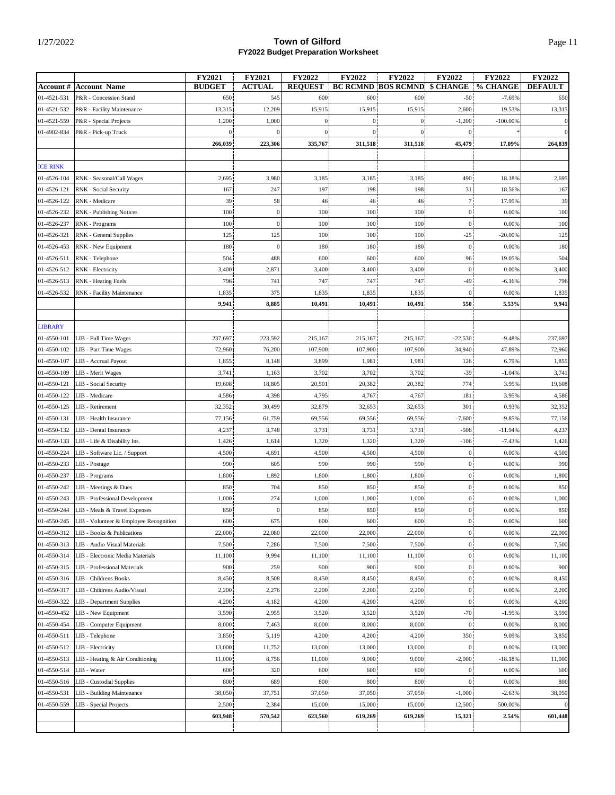|                            |                                                 | <b>FY2021</b>   | <b>FY2021</b>    | <b>FY2022</b>    | <b>FY2022</b> | <b>FY2022</b>             | <b>FY2022</b>              | <b>FY2022</b>      | FY2022          |
|----------------------------|-------------------------------------------------|-----------------|------------------|------------------|---------------|---------------------------|----------------------------|--------------------|-----------------|
|                            | <b>Account # Account Name</b>                   | <b>BUDGET</b>   | <b>ACTUAL</b>    | <b>REQUEST</b>   |               | <b>BC RCMND BOS RCMND</b> | \$ CHANGE                  | % CHANGE           | <b>DEFAULT</b>  |
| 01-4521-531                | P&R - Concession Stand                          | 650             | 545              | 600              | 600           | 600                       | $-50$                      | $-7.69%$           | 650             |
| 01-4521-532                | P&R - Facility Maintenance                      | 13,315          | 12,209           | 15,915           | 15,915        | 15,915                    | 2,600                      | 19.53%             | 13,315          |
| 01-4521-559                | P&R - Special Projects                          | 1,200           | 1,000            | $\bf{0}$         | $\mathbf{0}$  | $\boldsymbol{0}$          | $-1,200$                   | $-100.00%$         |                 |
| 01-4902-834                | P&R - Pick-up Truck                             | 0 <sub>1</sub>  | $\overline{0}$   | $\boldsymbol{0}$ | $\mathbf{0}$  | $\overline{0}$            | $\mathbf{0}$               |                    |                 |
|                            |                                                 | 266,039         | 223,306          | 335,767          | 311,518       | 311,518                   | 45,479                     | 17.09%             | 264,839         |
|                            |                                                 |                 |                  |                  |               |                           |                            |                    |                 |
| <b>ICE RINK</b>            |                                                 |                 |                  |                  |               |                           |                            |                    |                 |
| 01-4526-104                | RNK - Seasonal/Call Wages                       | 2,695           | 3,980            | 3,185            | 3,185         | 3,185                     | 490                        | 18.18%             | 2,695           |
| 01-4526-121                | RNK - Social Security                           | 167             | 247              | 197              | 198           | 198                       | 31                         | 18.56%             | 167             |
| 01-4526-122                | RNK - Medicare                                  | 39              | 58               | 46               | 46            | 46                        | 71                         | 17.95%             | 39              |
| 01-4526-232                | RNK - Publishing Notices                        | 100             | $\mathbf{0}$     | 100              | 100           | 100                       | $\overline{0}$             | 0.00%              | 100             |
| 01-4526-237                | RNK - Programs                                  | 100             | $\boldsymbol{0}$ | 100              | 100           | 100                       | $\theta$                   | 0.00%              | 100             |
| 01-4526-321                | RNK - General Supplies                          | 125             | 125              | 100              | 100           | 100                       | $-25$                      | $-20.00%$          | 125             |
| 01-4526-453                | RNK - New Equipment                             | 180             | $\boldsymbol{0}$ | 180              | 180           | 180                       | $\mathbf{0}$               | 0.00%              | 180             |
| 01-4526-511                | RNK - Telephone                                 | 504             | 488              | 600              | 600           | 600                       | 96                         | 19.05%             | 504             |
| 01-4526-512                | RNK - Electricity                               | 3,400           | 2,871            | 3,400            | 3,400         | 3,400                     | $\mathbf{0}$               | 0.00%              | 3,400           |
| 01-4526-513                | <b>RNK</b> - Heating Fuels                      | 796             | 741              | 747              | 747           | 747                       | $-49$                      | $-6.16%$           | 796             |
| 01-4526-532                | RNK - Facility Maintenance                      | 1,835           | 375              | 1,835            | 1,835         | 1,835                     | $\mathbf{0}$               | 0.00%              | 1,835           |
|                            |                                                 | 9,941           | 8,885            | 10,491           | 10,491        | 10,491                    | 550                        | 5.53%              | 9,941           |
|                            |                                                 |                 |                  |                  |               |                           |                            |                    |                 |
| <b>LIBRARY</b>             |                                                 |                 |                  |                  |               |                           |                            |                    |                 |
| 01-4550-101                | LIB - Full Time Wages                           | 237,697         | 223,592          | 215,167          | 215,167       | 215,167                   | $-22,530$                  | $-9.48%$           | 237,697         |
| 01-4550-102                | LIB - Part Time Wages                           | 72,960          | 76,200           | 107,900          | 107,900       | 107,900                   | 34,940                     | 47.89%             | 72,960          |
| 01-4550-107                | LIB - Accrual Payout                            | 1,855           | 8,148            | 3,899            | 1,981         | 1,981                     | 126                        | 6.79%              | 1,855           |
| 01-4550-109                | LIB - Merit Wages                               | 3,741           | 1,163            | 3,702            | 3,702         | 3,702                     | $-39$                      | $-1.04%$           | 3,741           |
| 01-4550-121                | LIB - Social Security                           | 19,608          | 18,805           | 20,501           | 20,382        | 20,382                    | 774                        | 3.95%              | 19,608          |
| 01-4550-122                | LIB - Medicare                                  | 4,586           | 4,398            | 4,795            | 4,767         | 4,767                     | 181                        | 3.95%              | 4,586           |
| 01-4550-125                | LIB - Retirement                                | 32,352          | 30,499           | 32,879           | 32,653        | 32,653                    | 301                        | 0.93%              | 32,352          |
| 01-4550-131                | LIB - Health Insurance                          | 77,156          | 61,759           | 69,556           | 69,556        | 69,556                    | $-7,600$                   | $-9.85%$           | 77,156          |
| 01-4550-132                | LIB - Dental Insurance                          | 4,237           | 3,748            | 3,731            | 3,731         | 3,731                     | $-506$                     | $-11.94%$          | 4,237           |
| 01-4550-133                | LIB - Life & Disability Ins.                    | 1,426           | 1,614            | 1,320            | 1,320         | 1,320                     | $-106$                     | $-7.43%$           | 1,426           |
| 01-4550-224                | LIB - Software Lic. / Support                   | 4,500           | 4,691            | 4,500            | 4,500         | 4,500                     | $\mathbf{0}$               | 0.00%              | 4,500           |
| 01-4550-233                | LIB - Postage                                   | 990             | 605              | 990              | 990           | 990                       | $\overline{0}$             | 0.00%              | 990             |
| 01-4550-237                | LIB - Programs                                  | 1,800           | 1,892            | 1,800            | 1,800         | 1,800                     | $\overline{0}$             | 0.00%              | 1,800           |
| 01-4550-242                | LIB - Meetings & Dues                           | 850             | 704              | 850              | 850           | 850                       | $\mathbf{0}$               | 0.00%              | 850             |
| 01-4550-243                | LIB - Professional Development                  | 1,000           | 274              | 1,000            | 1,000         | 1,000                     | $\mathbf{0}$               | 0.00%              | 1,000           |
| 01-4550-244                | LIB - Meals & Travel Expenses                   | 850             | $\boldsymbol{0}$ | 850              | 850           | 850                       | $\overline{0}$             | 0.00%              | 850             |
| 01-4550-245                | LIB - Volunteer & Employee Recognition          | 600             | 675              | 600              | 600           | 600                       | U.                         | 0.00%              | 600             |
| 01-4550-312                | LIB - Books & Publications                      | 22,000          | 22,080           | 22,000           | 22,000        | 22,000                    | $\mathbf{0}$               | 0.00%              | 22,000          |
| 01-4550-313                | LIB - Audio Visual Materials                    | 7,500           | 7,286            | 7,500            | 7,500         | 7,500                     | $\overline{0}$             | 0.00%              | 7,500           |
| 01-4550-314                | LIB - Electronic Media Materials                | 11,100          | 9,994            | 11,100           | 11,100        | 11,100                    | $\overline{0}$             | 0.00%              | 11,100          |
| 01-4550-315                | LIB - Professional Materials                    | 900             | 259              | 900              | 900           | 900                       | $\overline{0}$             | 0.00%              | 900             |
| 01-4550-316                | LIB - Childrens Books                           | 8,450           | 8,508            | 8,450            | 8,450         | 8,450                     | 0 <sup>1</sup>             | 0.00%              | 8,450           |
| 01-4550-317                | LIB - Childrens Audio/Visual                    | 2,200           | 2,276            | 2,200            | 2,200         | 2,200                     | 0 <sup>1</sup>             | 0.00%              | 2,200           |
| 01-4550-322                | LIB - Department Supplies                       | 4,200           | 4,182            | 4,200            | 4,200         | 4,200                     | $\mathbf{0}$               | 0.00%              | 4,200           |
| 01-4550-452                | LIB - New Equipment                             | 3,590           | 2,955            | 3,520            | 3,520         | 3,520                     | $-70$                      | $-1.95%$           | 3,590           |
| 01-4550-454                | LIB - Computer Equipment                        | 8,000           | 7,463            | 8,000            | 8,000         | 8,000                     | $\mathbf{0}$               | 0.00%              | 8,000           |
| 01-4550-511                |                                                 |                 |                  | 4,200            | 4,200         |                           |                            | 9.09%              |                 |
| 01-4550-512                | LIB - Telephone<br>LIB - Electricity            | 3,850<br>13,000 | 5,119<br>11,752  | 13,000           | 13,000        | 4,200<br>13,000           | 350<br>$\overline{0}$      | 0.00%              | 3,850<br>13,000 |
|                            |                                                 |                 |                  |                  | 9,000         | 9,000                     |                            |                    |                 |
| 01-4550-513<br>01-4550-514 | LIB - Heating & Air Conditioning<br>LIB - Water | 11,000<br>600   | 8,756<br>320     | 11,000<br>600    | 600           | 600                       | $-2,000$<br>$\overline{0}$ | $-18.18%$<br>0.00% | 11,000<br>600   |
|                            |                                                 |                 |                  |                  |               |                           |                            |                    |                 |
| 01-4550-516                | LIB - Custodial Supplies                        | 800             | 689              | 800              | 800           | 800                       | $\mathbf{0}$               | 0.00%              | 800             |
| 01-4550-531                | LIB - Building Maintenance                      | 38,050          | 37,751           | 37,050           | 37,050        | 37,050                    | $-1,000$                   | $-2.63%$           | 38,050          |
| 01-4550-559                | LIB - Special Projects                          | 2,500           | 2,384            | 15,000           | 15,000        | 15,000                    | 12,500                     | 500.00%            | $\overline{0}$  |
|                            |                                                 | 603,948         | 570,542          | 623,560          | 619,269       | 619,269                   | 15,321                     | 2.54%              | 601,448         |
|                            |                                                 |                 |                  |                  |               |                           |                            |                    |                 |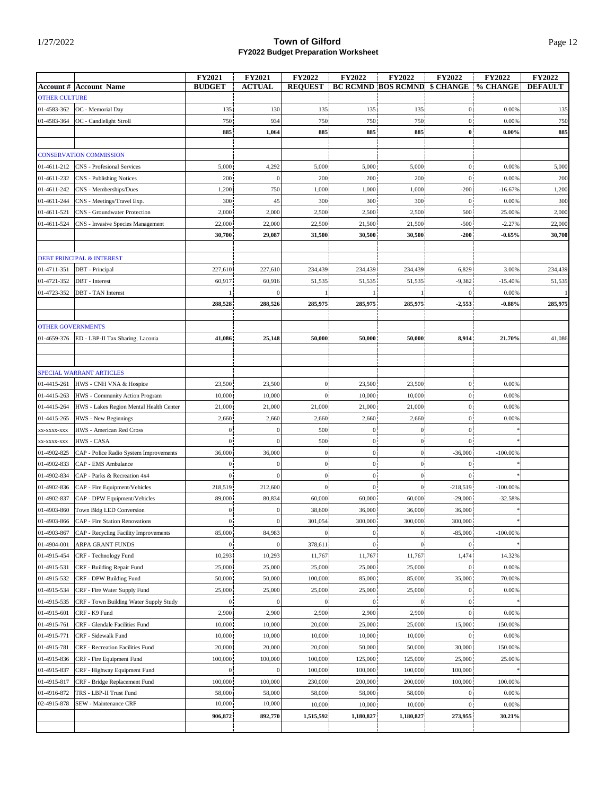|                                                                              | FY2021                           | <b>FY2021</b>        | <b>FY2022</b>                    | <b>FY2022</b>                    | <b>FY2022</b>                       | <b>FY2022</b>        | <b>FY2022</b> | <b>FY2022</b>  |
|------------------------------------------------------------------------------|----------------------------------|----------------------|----------------------------------|----------------------------------|-------------------------------------|----------------------|---------------|----------------|
| <b>Account # Account Name</b>                                                | <b>BUDGET</b>                    | <b>ACTUAL</b>        | <b>REQUEST</b>                   |                                  | <b>BC RCMND BOS RCMND \$ CHANGE</b> |                      | % CHANGE      | <b>DEFAULT</b> |
| <b>OTHER CULTURE</b><br>01-4583-362                                          | 135                              | 130                  | 135                              | 135                              | 135                                 | $\overline{0}$       | 0.00%         | 135            |
| OC - Memorial Day<br>01-4583-364<br>OC - Candlelight Stroll                  | 750                              | 934                  | 750                              | 750                              | 750                                 | $\overline{0}$       | 0.00%         | 750            |
|                                                                              | 885                              | 1,064                | 885                              | 885                              | 885                                 | $\bf{0}$             | $0.00\%$      | 885            |
|                                                                              |                                  |                      |                                  |                                  |                                     |                      |               |                |
| <b>CONSERVATION COMMISSION</b>                                               |                                  |                      |                                  |                                  |                                     |                      |               |                |
| 01-4611-212<br><b>CNS</b> - Profesional Services                             | 5,000                            | 4,292                | 5,000                            | 5,000                            | 5,000                               | $\overline{0}$       | 0.00%         | 5,000          |
| 01-4611-232<br><b>CNS</b> - Publishing Notices                               | 200                              | $\boldsymbol{0}$     | 200                              | 200                              | 200                                 | $\overline{0}$       | 0.00%         | 200            |
| 01-4611-242<br>CNS - Memberships/Dues                                        | 1,200                            | 750                  | 1,000                            | 1,000                            | 1,000                               | $-200$               | $-16.67%$     | 1,200          |
| 01-4611-244<br>CNS - Meetings/Travel Exp.                                    | 300                              | 45                   | 300                              | 300                              | 300                                 | $\bf{0}$             | 0.00%         | 300            |
| 01-4611-521<br>CNS - Groundwater Protection                                  | 2,000                            | 2,000                | 2,500                            | 2,500                            | 2,500                               | 500                  | 25.00%        | 2,000          |
| 01-4611-524<br>CNS - Invasive Species Management                             | 22,000                           | 22,000               | 22,500                           | 21,500                           | 21,500                              | $-500$               | $-2.27%$      | 22,000         |
|                                                                              | 30,700                           | 29,087               | 31,500                           | 30,500                           | 30,500                              | $-200$               | $-0.65%$      | 30,700         |
|                                                                              |                                  |                      |                                  |                                  |                                     |                      |               |                |
| <b>DEBT PRINCIPAL &amp; INTEREST</b>                                         |                                  |                      |                                  |                                  |                                     |                      |               |                |
| 01-4711-351<br>DBT - Principal                                               | 227,610                          | 227,610              | 234,439                          | 234,439                          | 234,439                             | 6,829                | 3.00%         | 234,439        |
| 01-4721-352<br>DBT - Interest                                                | 60,917                           | 60,916               | 51,535                           | 51,535                           | 51,535                              | $-9,382$             | $-15.40%$     | 51,535         |
| 01-4723-352<br><b>DBT</b> - TAN Interest                                     |                                  | $\theta$             |                                  |                                  |                                     | $\mathbf{0}$         | 0.00%         |                |
|                                                                              | 288,528                          | 288,526              | 285,975                          | 285,975                          | 285,975                             | $-2,553$             | $-0.88%$      | 285,975        |
|                                                                              |                                  |                      |                                  |                                  |                                     |                      |               |                |
| <b>OTHER GOVERNMENTS</b>                                                     |                                  |                      |                                  |                                  |                                     |                      |               |                |
| 01-4659-376<br>ED - LBP-II Tax Sharing, Laconia                              | 41,086                           | 25,148               | 50,000                           | 50,000                           | 50,000                              | 8,914                | 21.70%        | 41,086         |
|                                                                              |                                  |                      |                                  |                                  |                                     |                      |               |                |
|                                                                              |                                  |                      |                                  |                                  |                                     |                      |               |                |
| SPECIAL WARRANT ARTICLES                                                     |                                  |                      |                                  |                                  |                                     |                      |               |                |
| 01-4415-261<br>HWS - CNH VNA & Hospice                                       | 23,500                           | 23,500               | $\bf{0}$                         | 23,500                           | 23,500                              | $\mathbf{0}$         | 0.00%         |                |
| 01-4415-263<br>HWS - Community Action Program                                | 10,000                           | 10,000               | 0 <sup>1</sup>                   | 10,000                           | 10,000                              | $\overline{0}$       | 0.00%         |                |
| 01-4415-264<br>HWS - Lakes Region Mental Health Center                       | 21,000                           | 21,000               | 21,000                           | 21,000                           | 21,000                              | $\overline{0}$       | 0.00%         |                |
| 01-4415-265<br>HWS - New Beginnings                                          | 2,660                            | 2,660                | 2,660                            | 2,660                            | 2,660                               | $\boldsymbol{0}$     | 0.00%         |                |
| HWS - American Red Cross<br>XX-XXXX-XXX                                      | $\overline{0}$                   | $\Omega$             | 500                              | $\boldsymbol{0}$                 | $\mathbf{0}$                        | $\mathbf{0}$         |               |                |
| <b>HWS - CASA</b><br>XX-XXXX-XXX                                             | $\overline{0}$                   | $\boldsymbol{0}$     | 500                              | $\overline{0}$                   | $\overline{0}$                      | $\overline{0}$       |               |                |
| 01-4902-825<br>CAP - Police Radio System Improvements                        | 36,000                           | 36,000               | $\mathbf{0}$                     | $\overline{0}$                   | $\boldsymbol{0}$                    | $-36,000$            | $-100.00%$    |                |
| 01-4902-833<br>CAP - EMS Ambulance<br>01-4902-834                            | $\overline{0}$<br>$\overline{0}$ | $\theta$<br>$\theta$ | $\overline{0}$<br>$\overline{0}$ | $\overline{0}$<br>$\overline{0}$ | $\overline{0}$<br>$\overline{0}$    | $\theta$<br>$\theta$ |               |                |
| CAP - Parks & Recreation 4x4<br>01-4902-836<br>CAP - Fire Equipment/Vehicles | 218,519                          | 212,600              | $\theta$                         | $\boldsymbol{0}$                 | $\mathbf{0}$                        | $-218,519$           | $-100.00%$    |                |
| 01-4902-837<br>CAP - DPW Equipment/Vehicles                                  | 89,000                           | 80,834               | 60,000                           | 60,000                           | 60,000                              | $-29,000$            | $-32.58%$     |                |
| 01-4903-860<br>Town Bldg LED Conversion                                      | $\overline{0}$                   | $\theta$             | 38,600                           | 36,000                           | 36,000                              | 36,000               |               |                |
| CAP - Fire Station Renovations<br>01-4903-866                                | $\bf{0}$                         | $\boldsymbol{0}$     | 301,054                          | 300,000                          | 300,000                             | 300,000              |               |                |
| 01-4903-867<br>CAP - Recycling Facility Improvements                         | 85,000                           | 84,983               | $\overline{0}$                   | $\mathbf{0}$                     | $\mathbf{0}$                        | $-85,000$            | $-100.00%$    |                |
| 01-4904-001<br>ARPA GRANT FUNDS                                              | $\mathbf{0}$                     |                      | 378,611                          | $\mathbf{0}$                     | $\overline{0}$                      | $\mathbf{0}$         |               |                |
| 01-4915-454<br>CRF - Technology Fund                                         | 10,293                           | 10,293               | 11,767                           | 11,767                           | 11,767                              | 1,474                | 14.32%        |                |
| CRF - Building Repair Fund<br>01-4915-531                                    | 25,000                           | 25,000               | 25,000                           | 25,000                           | 25,000                              | $\overline{0}$       | 0.00%         |                |
| 01-4915-532<br>CRF - DPW Building Fund                                       | 50,000                           | 50,000               | 100,000                          | 85,000                           | 85,000                              | 35,000               | 70.00%        |                |
| 01-4915-534<br>CRF - Fire Water Supply Fund                                  | 25,000                           | 25,000               | 25,000                           | 25,000                           | 25,000                              | $\mathbf{0}$         | 0.00%         |                |
| 01-4915-535<br>CRF - Town Building Water Supply Study                        | 0 <sup>1</sup>                   | $\mathbf{0}$         | $\mathbf{0}$                     | 0 <sup>1</sup>                   | 0 <sup>1</sup>                      | $\overline{0}$       |               |                |
| 01-4915-601<br>CRF - K9 Fund                                                 | 2,900                            | 2,900                | 2,900                            | 2,900                            | 2,900                               | $\overline{0}$       | 0.00%         |                |
| CRF - Glendale Facilities Fund<br>01-4915-761                                | 10,000                           | 10,000               | 20,000                           | 25,000                           | 25,000                              | 15,000               | 150.00%       |                |
| CRF - Sidewalk Fund<br>01-4915-771                                           | 10,000                           | 10,000               | 10,000                           | 10,000                           | 10,000                              | $\overline{0}$       | 0.00%         |                |
| CRF - Recreation Facilities Fund<br>01-4915-781                              | 20,000                           | 20,000               | 20,000                           | 50,000                           | 50,000                              | 30,000               | 150.00%       |                |
| 01-4915-836<br>CRF - Fire Equipment Fund                                     | 100,000                          | 100,000              | 100,000                          | 125,000                          | 125,000                             | 25,000               | 25.00%        |                |
| 01-4915-837<br>CRF - Highway Equipment Fund                                  | $\boldsymbol{0}$                 | $\boldsymbol{0}$     | 100,000                          | 100,000                          | 100,000                             | 100,000              |               |                |
| 01-4915-817<br>CRF - Bridge Replacement Fund                                 | 100,000                          | 100,000              | 230,000                          | 200,000                          | 200,000                             | 100,000              | 100.00%       |                |
| 01-4916-872<br>TRS - LBP-II Trust Fund                                       | 58,000                           | 58,000               | 58,000                           | 58,000                           | 58,000                              | $\overline{0}$       | 0.00%         |                |
| 02-4915-878<br>SEW - Maintenance CRF                                         | 10,000                           | 10,000               | 10,000                           | 10,000                           | 10,000                              | $\mathbf{0}$         | 0.00%         |                |
|                                                                              | 906,872                          | 892,770              | 1,515,592                        | 1,180,827                        | 1,180,827                           | 273,955              | 30.21%        |                |
|                                                                              |                                  |                      |                                  |                                  |                                     |                      |               |                |